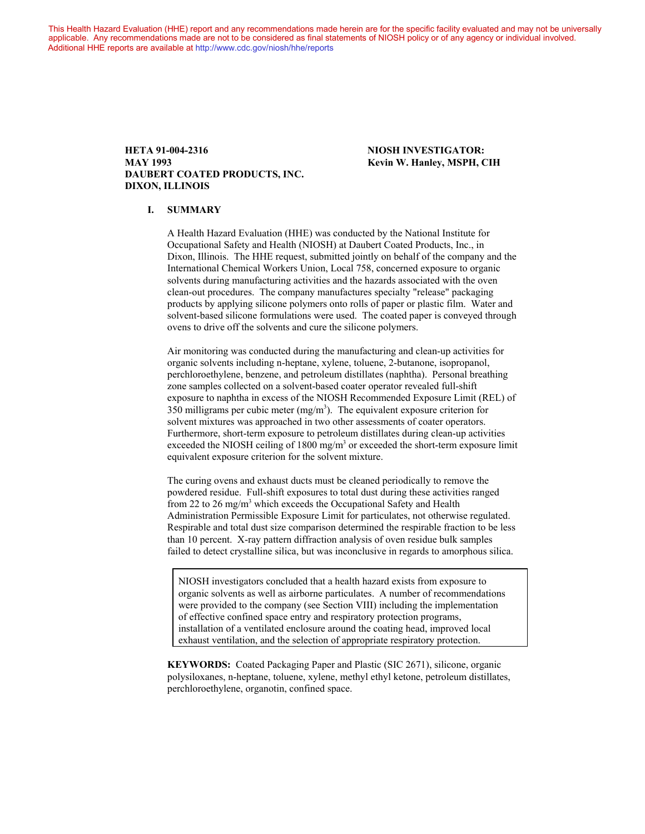This Health Hazard Evaluation (HHE) report and any recommendations made herein are for the specific facility evaluated and may not be universally applicable. Any recommendations made are not to be considered as final statements of NIOSH policy or of any agency or individual involved. Additional HHE reports are available at <http://www.cdc.gov/niosh/hhe/reports> Additional HHE reports are available at <http://www.cdc.gov/niosh/hhe/reports>

#### **HETA 91-004-2316 NIOSH INVESTIGATOR: MAY 1993 Kevin W. Hanley, MSPH, CIH DAUBERT COATED PRODUCTS, INC. DIXON, ILLINOIS**

#### **I. SUMMARY**

A Health Hazard Evaluation (HHE) was conducted by the National Institute for Occupational Safety and Health (NIOSH) at Daubert Coated Products, Inc., in Dixon, Illinois. The HHE request, submitted jointly on behalf of the company and the International Chemical Workers Union, Local 758, concerned exposure to organic solvents during manufacturing activities and the hazards associated with the oven clean-out procedures. The company manufactures specialty "release" packaging products by applying silicone polymers onto rolls of paper or plastic film. Water and solvent-based silicone formulations were used. The coated paper is conveyed through ovens to drive off the solvents and cure the silicone polymers.

Air monitoring was conducted during the manufacturing and clean-up activities for organic solvents including n-heptane, xylene, toluene, 2-butanone, isopropanol, perchloroethylene, benzene, and petroleum distillates (naphtha). Personal breathing zone samples collected on a solvent-based coater operator revealed full-shift exposure to naphtha in excess of the NIOSH Recommended Exposure Limit (REL) of 350 milligrams per cubic meter  $(mg/m<sup>3</sup>)$ . The equivalent exposure criterion for solvent mixtures was approached in two other assessments of coater operators. Furthermore, short-term exposure to petroleum distillates during clean-up activities exceeded the NIOSH ceiling of 1800 mg/m<sup>3</sup> or exceeded the short-term exposure limit equivalent exposure criterion for the solvent mixture.

The curing ovens and exhaust ducts must be cleaned periodically to remove the powdered residue. Full-shift exposures to total dust during these activities ranged from 22 to 26 mg/m<sup>3</sup> which exceeds the Occupational Safety and Health Administration Permissible Exposure Limit for particulates, not otherwise regulated. Respirable and total dust size comparison determined the respirable fraction to be less than 10 percent. X-ray pattern diffraction analysis of oven residue bulk samples failed to detect crystalline silica, but was inconclusive in regards to amorphous silica.

NIOSH investigators concluded that a health hazard exists from exposure to organic solvents as well as airborne particulates. A number of recommendations were provided to the company (see Section VIII) including the implementation of effective confined space entry and respiratory protection programs, installation of a ventilated enclosure around the coating head, improved local exhaust ventilation, and the selection of appropriate respiratory protection.

**KEYWORDS:** Coated Packaging Paper and Plastic (SIC 2671), silicone, organic polysiloxanes, n-heptane, toluene, xylene, methyl ethyl ketone, petroleum distillates, perchloroethylene, organotin, confined space.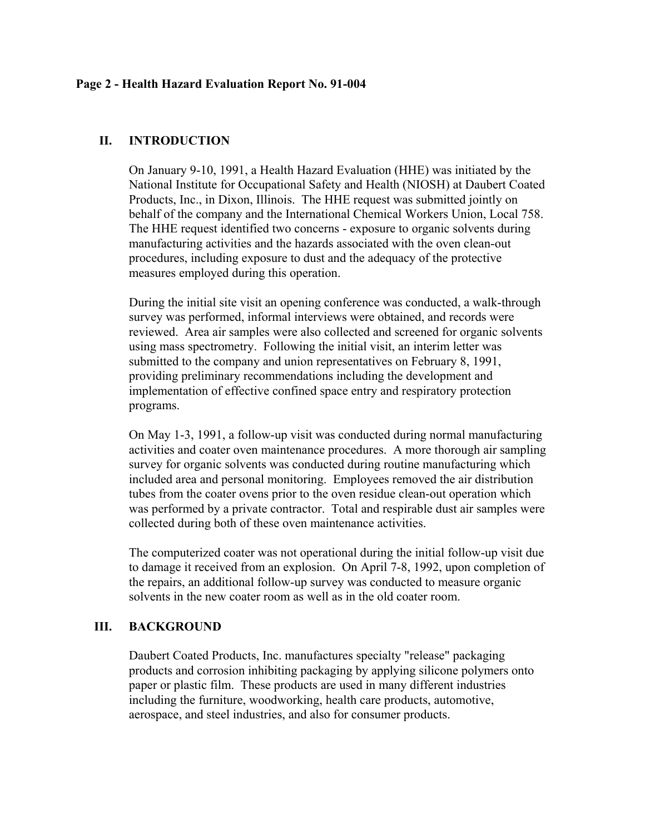## **Page 2 - Health Hazard Evaluation Report No. 91-004**

# **II. INTRODUCTION**

On January 9-10, 1991, a Health Hazard Evaluation (HHE) was initiated by the National Institute for Occupational Safety and Health (NIOSH) at Daubert Coated Products, Inc., in Dixon, Illinois. The HHE request was submitted jointly on behalf of the company and the International Chemical Workers Union, Local 758. The HHE request identified two concerns - exposure to organic solvents during manufacturing activities and the hazards associated with the oven clean-out procedures, including exposure to dust and the adequacy of the protective measures employed during this operation.

During the initial site visit an opening conference was conducted, a walk-through survey was performed, informal interviews were obtained, and records were reviewed. Area air samples were also collected and screened for organic solvents using mass spectrometry. Following the initial visit, an interim letter was submitted to the company and union representatives on February 8, 1991, providing preliminary recommendations including the development and implementation of effective confined space entry and respiratory protection programs.

On May 1-3, 1991, a follow-up visit was conducted during normal manufacturing activities and coater oven maintenance procedures. A more thorough air sampling survey for organic solvents was conducted during routine manufacturing which included area and personal monitoring. Employees removed the air distribution tubes from the coater ovens prior to the oven residue clean-out operation which was performed by a private contractor. Total and respirable dust air samples were collected during both of these oven maintenance activities.

The computerized coater was not operational during the initial follow-up visit due to damage it received from an explosion. On April 7-8, 1992, upon completion of the repairs, an additional follow-up survey was conducted to measure organic solvents in the new coater room as well as in the old coater room.

# **III. BACKGROUND**

Daubert Coated Products, Inc. manufactures specialty "release" packaging products and corrosion inhibiting packaging by applying silicone polymers onto paper or plastic film. These products are used in many different industries including the furniture, woodworking, health care products, automotive, aerospace, and steel industries, and also for consumer products.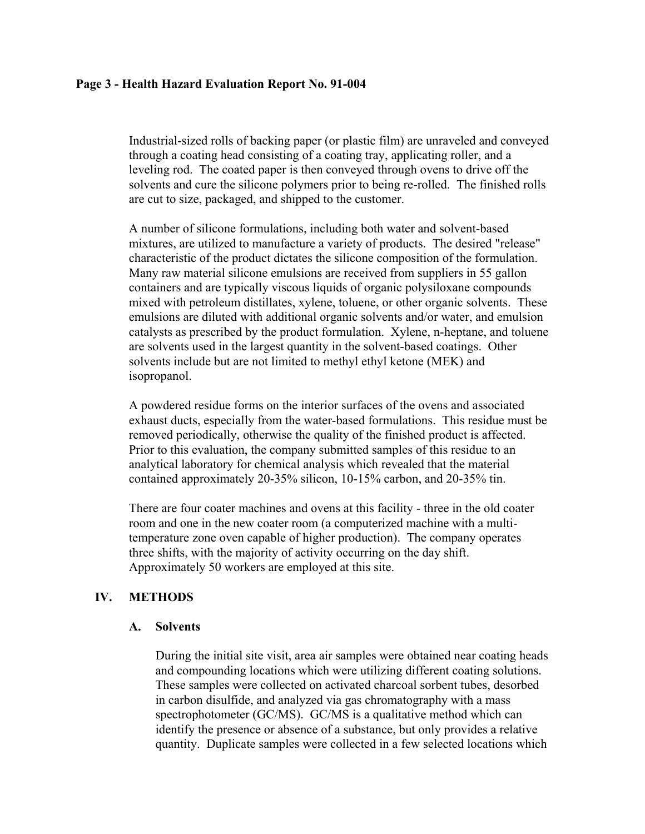## **Page 3 - Health Hazard Evaluation Report No. 91-004**

Industrial-sized rolls of backing paper (or plastic film) are unraveled and conveyed through a coating head consisting of a coating tray, applicating roller, and a leveling rod. The coated paper is then conveyed through ovens to drive off the solvents and cure the silicone polymers prior to being re-rolled. The finished rolls are cut to size, packaged, and shipped to the customer.

A number of silicone formulations, including both water and solvent-based mixtures, are utilized to manufacture a variety of products. The desired "release" characteristic of the product dictates the silicone composition of the formulation. Many raw material silicone emulsions are received from suppliers in 55 gallon containers and are typically viscous liquids of organic polysiloxane compounds mixed with petroleum distillates, xylene, toluene, or other organic solvents. These emulsions are diluted with additional organic solvents and/or water, and emulsion catalysts as prescribed by the product formulation. Xylene, n-heptane, and toluene are solvents used in the largest quantity in the solvent-based coatings. Other solvents include but are not limited to methyl ethyl ketone (MEK) and isopropanol.

A powdered residue forms on the interior surfaces of the ovens and associated exhaust ducts, especially from the water-based formulations. This residue must be removed periodically, otherwise the quality of the finished product is affected. Prior to this evaluation, the company submitted samples of this residue to an analytical laboratory for chemical analysis which revealed that the material contained approximately 20-35% silicon, 10-15% carbon, and 20-35% tin.

There are four coater machines and ovens at this facility - three in the old coater room and one in the new coater room (a computerized machine with a multitemperature zone oven capable of higher production). The company operates three shifts, with the majority of activity occurring on the day shift. Approximately 50 workers are employed at this site.

# **IV. METHODS**

## **A. Solvents**

During the initial site visit, area air samples were obtained near coating heads and compounding locations which were utilizing different coating solutions. These samples were collected on activated charcoal sorbent tubes, desorbed in carbon disulfide, and analyzed via gas chromatography with a mass spectrophotometer (GC/MS). GC/MS is a qualitative method which can identify the presence or absence of a substance, but only provides a relative quantity. Duplicate samples were collected in a few selected locations which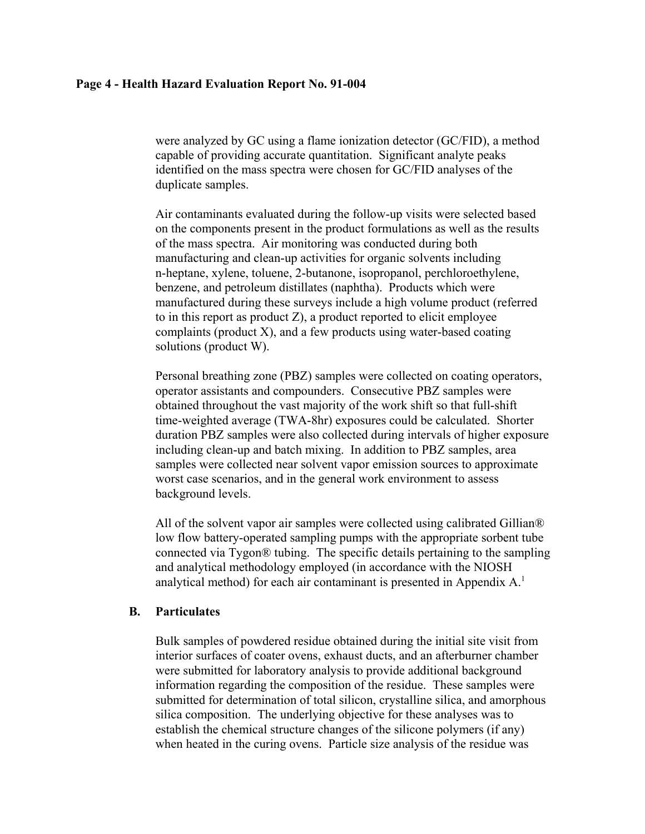### **Page 4 - Health Hazard Evaluation Report No. 91-004**

were analyzed by GC using a flame ionization detector (GC/FID), a method capable of providing accurate quantitation. Significant analyte peaks identified on the mass spectra were chosen for GC/FID analyses of the duplicate samples.

Air contaminants evaluated during the follow-up visits were selected based on the components present in the product formulations as well as the results of the mass spectra. Air monitoring was conducted during both manufacturing and clean-up activities for organic solvents including n-heptane, xylene, toluene, 2-butanone, isopropanol, perchloroethylene, benzene, and petroleum distillates (naphtha). Products which were manufactured during these surveys include a high volume product (referred to in this report as product  $Z$ ), a product reported to elicit employee complaints (product X), and a few products using water-based coating solutions (product W).

Personal breathing zone (PBZ) samples were collected on coating operators, operator assistants and compounders. Consecutive PBZ samples were obtained throughout the vast majority of the work shift so that full-shift time-weighted average (TWA-8hr) exposures could be calculated. Shorter duration PBZ samples were also collected during intervals of higher exposure including clean-up and batch mixing. In addition to PBZ samples, area samples were collected near solvent vapor emission sources to approximate worst case scenarios, and in the general work environment to assess background levels.

All of the solvent vapor air samples were collected using calibrated Gillian® low flow battery-operated sampling pumps with the appropriate sorbent tube connected via Tygon® tubing. The specific details pertaining to the sampling and analytical methodology employed (in accordance with the NIOSH analytical method) for each air contaminant is presented in Appendix A.1

## **B. Particulates**

Bulk samples of powdered residue obtained during the initial site visit from interior surfaces of coater ovens, exhaust ducts, and an afterburner chamber were submitted for laboratory analysis to provide additional background information regarding the composition of the residue. These samples were submitted for determination of total silicon, crystalline silica, and amorphous silica composition. The underlying objective for these analyses was to establish the chemical structure changes of the silicone polymers (if any) when heated in the curing ovens. Particle size analysis of the residue was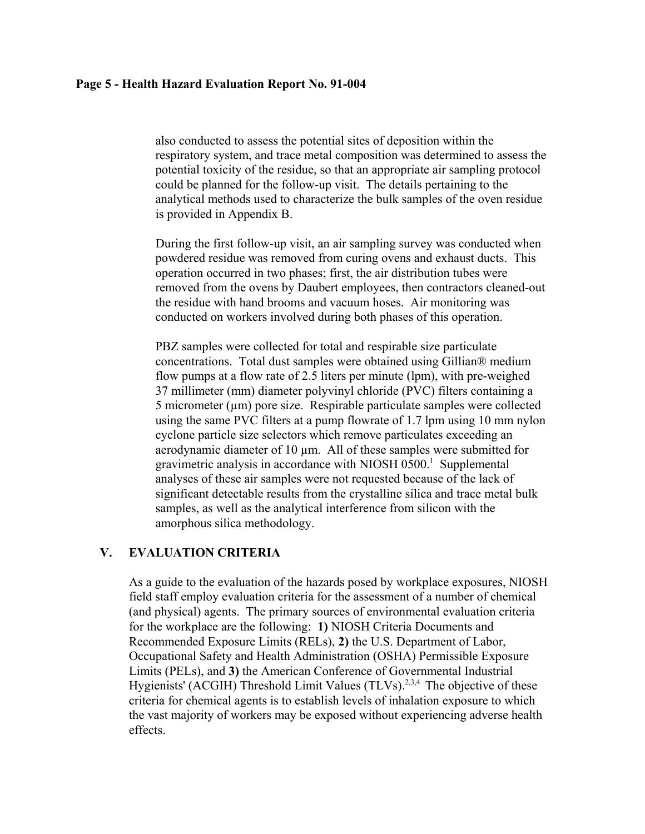## **Page 5 - Health Hazard Evaluation Report No. 91-004**

also conducted to assess the potential sites of deposition within the respiratory system, and trace metal composition was determined to assess the potential toxicity of the residue, so that an appropriate air sampling protocol could be planned for the follow-up visit. The details pertaining to the analytical methods used to characterize the bulk samples of the oven residue is provided in Appendix B.

During the first follow-up visit, an air sampling survey was conducted when powdered residue was removed from curing ovens and exhaust ducts. This operation occurred in two phases; first, the air distribution tubes were removed from the ovens by Daubert employees, then contractors cleaned-out the residue with hand brooms and vacuum hoses. Air monitoring was conducted on workers involved during both phases of this operation.

PBZ samples were collected for total and respirable size particulate concentrations. Total dust samples were obtained using Gillian® medium flow pumps at a flow rate of 2.5 liters per minute (lpm), with pre-weighed 37 millimeter (mm) diameter polyvinyl chloride (PVC) filters containing a  $5$  micrometer ( $\mu$ m) pore size. Respirable particulate samples were collected using the same PVC filters at a pump flowrate of 1.7 lpm using 10 mm nylon cyclone particle size selectors which remove particulates exceeding an aerodynamic diameter of 10 µm. All of these samples were submitted for gravimetric analysis in accordance with NIOSH  $0500$ .<sup>1</sup> Supplemental analyses of these air samples were not requested because of the lack of significant detectable results from the crystalline silica and trace metal bulk samples, as well as the analytical interference from silicon with the amorphous silica methodology.

# **V. EVALUATION CRITERIA**

As a guide to the evaluation of the hazards posed by workplace exposures, NIOSH field staff employ evaluation criteria for the assessment of a number of chemical (and physical) agents. The primary sources of environmental evaluation criteria for the workplace are the following: **1)** NIOSH Criteria Documents and Recommended Exposure Limits (RELs), **2)** the U.S. Department of Labor, Occupational Safety and Health Administration (OSHA) Permissible Exposure Limits (PELs), and **3)** the American Conference of Governmental Industrial Hygienists' (ACGIH) Threshold Limit Values (TLVs).<sup>2,3,4</sup> The objective of these criteria for chemical agents is to establish levels of inhalation exposure to which the vast majority of workers may be exposed without experiencing adverse health effects.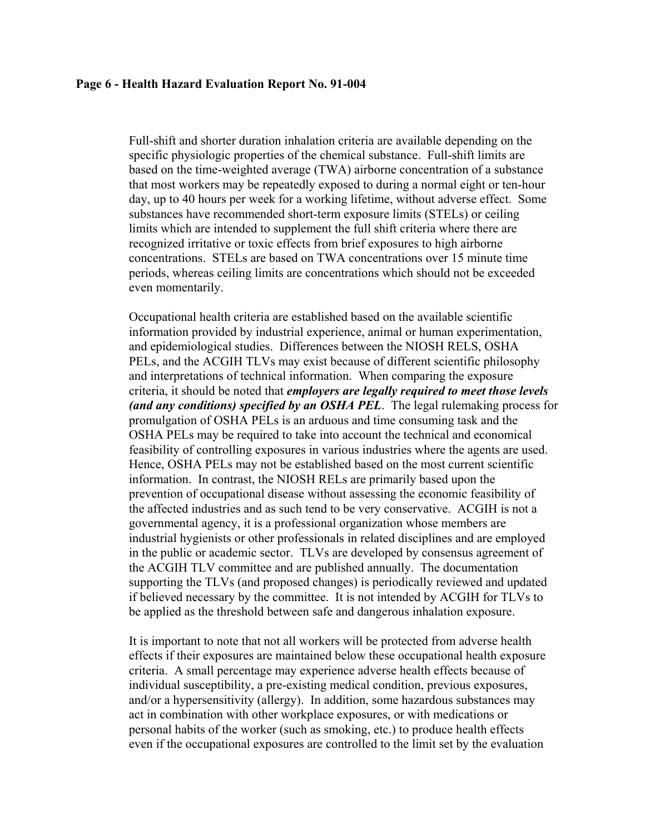#### **Page 6 - Health Hazard Evaluation Report No. 91-004**

Full-shift and shorter duration inhalation criteria are available depending on the specific physiologic properties of the chemical substance. Full-shift limits are based on the time-weighted average (TWA) airborne concentration of a substance that most workers may be repeatedly exposed to during a normal eight or ten-hour day, up to 40 hours per week for a working lifetime, without adverse effect. Some substances have recommended short-term exposure limits (STELs) or ceiling limits which are intended to supplement the full shift criteria where there are recognized irritative or toxic effects from brief exposures to high airborne concentrations. STELs are based on TWA concentrations over 15 minute time periods, whereas ceiling limits are concentrations which should not be exceeded even momentarily.

Occupational health criteria are established based on the available scientific information provided by industrial experience, animal or human experimentation, and epidemiological studies. Differences between the NIOSH RELS, OSHA PELs, and the ACGIH TLVs may exist because of different scientific philosophy and interpretations of technical information. When comparing the exposure criteria, it should be noted that *employers are legally required to meet those levels (and any conditions) specified by an OSHA PEL*. The legal rulemaking process for promulgation of OSHA PELs is an arduous and time consuming task and the OSHA PELs may be required to take into account the technical and economical feasibility of controlling exposures in various industries where the agents are used. Hence, OSHA PELs may not be established based on the most current scientific information. In contrast, the NIOSH RELs are primarily based upon the prevention of occupational disease without assessing the economic feasibility of the affected industries and as such tend to be very conservative. ACGIH is not a governmental agency, it is a professional organization whose members are industrial hygienists or other professionals in related disciplines and are employed in the public or academic sector. TLVs are developed by consensus agreement of the ACGIH TLV committee and are published annually. The documentation supporting the TLVs (and proposed changes) is periodically reviewed and updated if believed necessary by the committee. It is not intended by ACGIH for TLVs to be applied as the threshold between safe and dangerous inhalation exposure.

It is important to note that not all workers will be protected from adverse health effects if their exposures are maintained below these occupational health exposure criteria. A small percentage may experience adverse health effects because of individual susceptibility, a pre-existing medical condition, previous exposures, and/or a hypersensitivity (allergy). In addition, some hazardous substances may act in combination with other workplace exposures, or with medications or personal habits of the worker (such as smoking, etc.) to produce health effects even if the occupational exposures are controlled to the limit set by the evaluation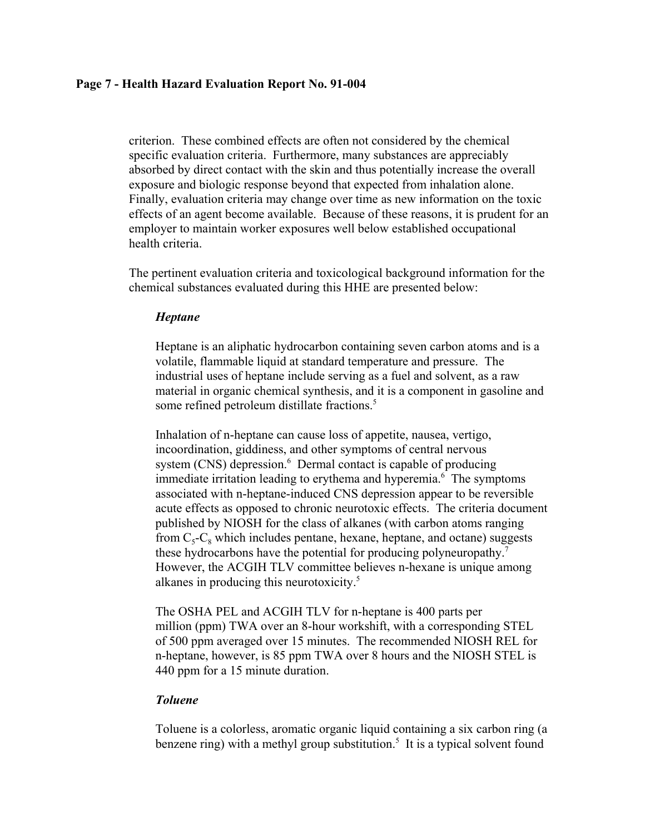## **Page 7 - Health Hazard Evaluation Report No. 91-004**

criterion. These combined effects are often not considered by the chemical specific evaluation criteria. Furthermore, many substances are appreciably absorbed by direct contact with the skin and thus potentially increase the overall exposure and biologic response beyond that expected from inhalation alone. Finally, evaluation criteria may change over time as new information on the toxic effects of an agent become available. Because of these reasons, it is prudent for an employer to maintain worker exposures well below established occupational health criteria.

The pertinent evaluation criteria and toxicological background information for the chemical substances evaluated during this HHE are presented below:

## *Heptane*

Heptane is an aliphatic hydrocarbon containing seven carbon atoms and is a volatile, flammable liquid at standard temperature and pressure. The industrial uses of heptane include serving as a fuel and solvent, as a raw material in organic chemical synthesis, and it is a component in gasoline and some refined petroleum distillate fractions.<sup>5</sup>

Inhalation of n-heptane can cause loss of appetite, nausea, vertigo, incoordination, giddiness, and other symptoms of central nervous system (CNS) depression.<sup>6</sup> Dermal contact is capable of producing immediate irritation leading to erythema and hyperemia.<sup>6</sup> The symptoms associated with n-heptane-induced CNS depression appear to be reversible acute effects as opposed to chronic neurotoxic effects. The criteria document published by NIOSH for the class of alkanes (with carbon atoms ranging from  $C_5-C_8$  which includes pentane, hexane, heptane, and octane) suggests these hydrocarbons have the potential for producing polyneuropathy.<sup>7</sup> However, the ACGIH TLV committee believes n-hexane is unique among alkanes in producing this neurotoxicity.5

The OSHA PEL and ACGIH TLV for n-heptane is 400 parts per million (ppm) TWA over an 8-hour workshift, with a corresponding STEL of 500 ppm averaged over 15 minutes. The recommended NIOSH REL for n-heptane, however, is 85 ppm TWA over 8 hours and the NIOSH STEL is 440 ppm for a 15 minute duration.

# *Toluene*

Toluene is a colorless, aromatic organic liquid containing a six carbon ring (a benzene ring) with a methyl group substitution.<sup>5</sup> It is a typical solvent found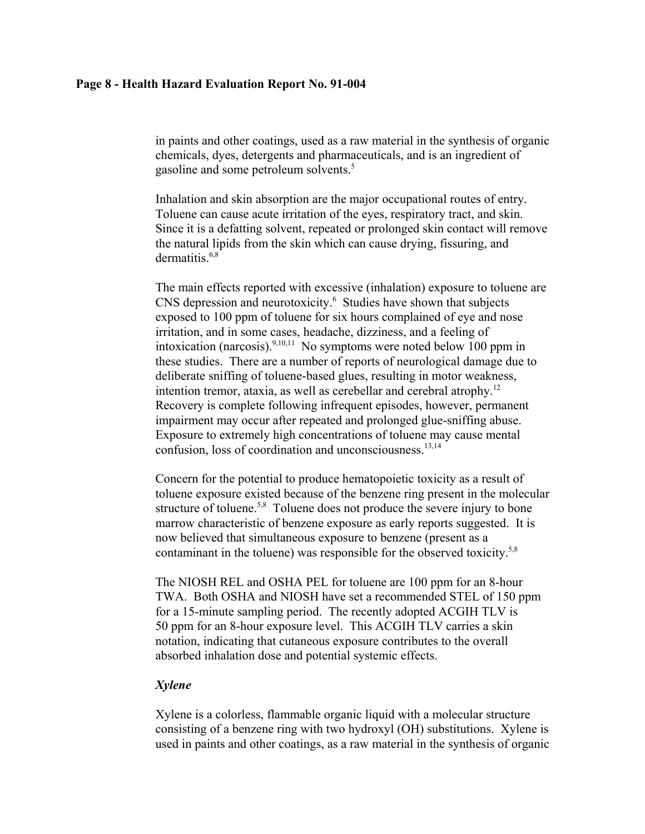### **Page 8 - Health Hazard Evaluation Report No. 91-004**

in paints and other coatings, used as a raw material in the synthesis of organic chemicals, dyes, detergents and pharmaceuticals, and is an ingredient of gasoline and some petroleum solvents.<sup>5</sup>

Inhalation and skin absorption are the major occupational routes of entry. Toluene can cause acute irritation of the eyes, respiratory tract, and skin. Since it is a defatting solvent, repeated or prolonged skin contact will remove the natural lipids from the skin which can cause drying, fissuring, and dermatitis. $6,8$ 

The main effects reported with excessive (inhalation) exposure to toluene are CNS depression and neurotoxicity.<sup>6</sup> Studies have shown that subjects exposed to 100 ppm of toluene for six hours complained of eye and nose irritation, and in some cases, headache, dizziness, and a feeling of intoxication (narcosis).<sup>9,10,11</sup> No symptoms were noted below 100 ppm in these studies. There are a number of reports of neurological damage due to deliberate sniffing of toluene-based glues, resulting in motor weakness, intention tremor, ataxia, as well as cerebellar and cerebral atrophy.12 Recovery is complete following infrequent episodes, however, permanent impairment may occur after repeated and prolonged glue-sniffing abuse. Exposure to extremely high concentrations of toluene may cause mental confusion, loss of coordination and unconsciousness.<sup>13,14</sup>

Concern for the potential to produce hematopoietic toxicity as a result of toluene exposure existed because of the benzene ring present in the molecular structure of toluene.<sup>5,8</sup> Toluene does not produce the severe injury to bone marrow characteristic of benzene exposure as early reports suggested. It is now believed that simultaneous exposure to benzene (present as a contaminant in the toluene) was responsible for the observed toxicity.<sup>5,8</sup>

The NIOSH REL and OSHA PEL for toluene are 100 ppm for an 8-hour TWA. Both OSHA and NIOSH have set a recommended STEL of 150 ppm for a 15-minute sampling period. The recently adopted ACGIH TLV is 50 ppm for an 8-hour exposure level. This ACGIH TLV carries a skin notation, indicating that cutaneous exposure contributes to the overall absorbed inhalation dose and potential systemic effects.

## *Xylene*

Xylene is a colorless, flammable organic liquid with a molecular structure consisting of a benzene ring with two hydroxyl (OH) substitutions. Xylene is used in paints and other coatings, as a raw material in the synthesis of organic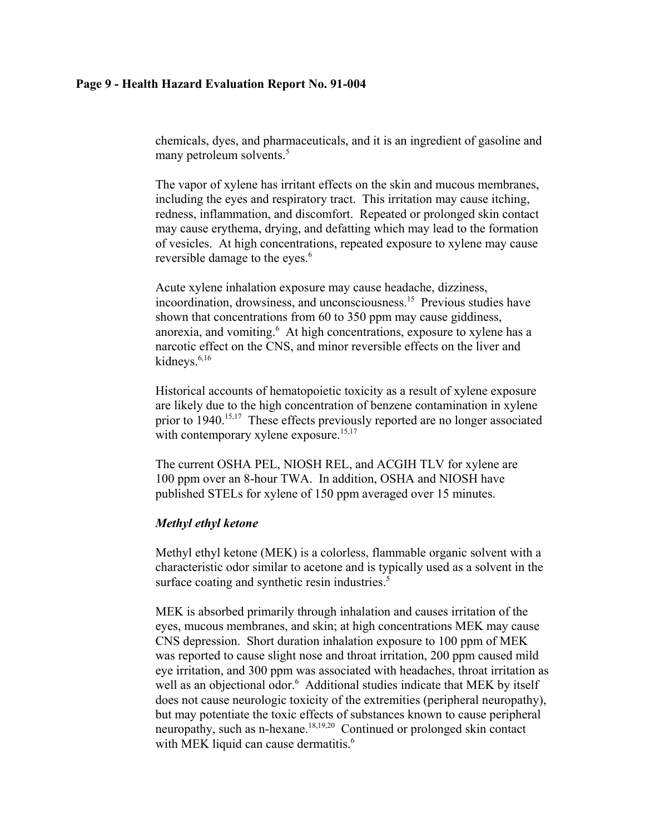## **Page 9 - Health Hazard Evaluation Report No. 91-004**

chemicals, dyes, and pharmaceuticals, and it is an ingredient of gasoline and many petroleum solvents.<sup>5</sup>

The vapor of xylene has irritant effects on the skin and mucous membranes, including the eyes and respiratory tract. This irritation may cause itching, redness, inflammation, and discomfort. Repeated or prolonged skin contact may cause erythema, drying, and defatting which may lead to the formation of vesicles. At high concentrations, repeated exposure to xylene may cause reversible damage to the eyes.<sup>6</sup>

Acute xylene inhalation exposure may cause headache, dizziness, incoordination, drowsiness, and unconsciousness.15 Previous studies have shown that concentrations from 60 to 350 ppm may cause giddiness, anorexia, and vomiting.<sup>6</sup> At high concentrations, exposure to xylene has a narcotic effect on the CNS, and minor reversible effects on the liver and kidneys.<sup>6,16</sup>

Historical accounts of hematopoietic toxicity as a result of xylene exposure are likely due to the high concentration of benzene contamination in xylene prior to 1940.15,17 These effects previously reported are no longer associated with contemporary xylene exposure.<sup>15,17</sup>

The current OSHA PEL, NIOSH REL, and ACGIH TLV for xylene are 100 ppm over an 8-hour TWA. In addition, OSHA and NIOSH have published STELs for xylene of 150 ppm averaged over 15 minutes.

## *Methyl ethyl ketone*

Methyl ethyl ketone (MEK) is a colorless, flammable organic solvent with a characteristic odor similar to acetone and is typically used as a solvent in the surface coating and synthetic resin industries.<sup>5</sup>

MEK is absorbed primarily through inhalation and causes irritation of the eyes, mucous membranes, and skin; at high concentrations MEK may cause CNS depression. Short duration inhalation exposure to 100 ppm of MEK was reported to cause slight nose and throat irritation, 200 ppm caused mild eye irritation, and 300 ppm was associated with headaches, throat irritation as well as an objectional odor.<sup>6</sup> Additional studies indicate that MEK by itself does not cause neurologic toxicity of the extremities (peripheral neuropathy), but may potentiate the toxic effects of substances known to cause peripheral neuropathy, such as n-hexane.18,19,20 Continued or prolonged skin contact with MEK liquid can cause dermatitis.<sup>6</sup>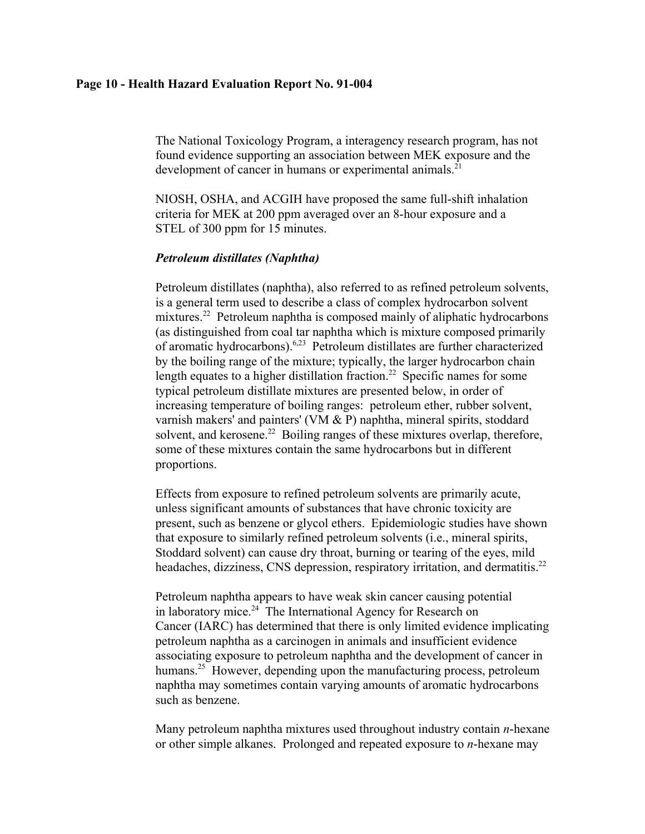### **Page 10 - Health Hazard Evaluation Report No. 91-004**

The National Toxicology Program, a interagency research program, has not found evidence supporting an association between MEK exposure and the development of cancer in humans or experimental animals. $^{21}$ 

NIOSH, OSHA, and ACGIH have proposed the same full-shift inhalation criteria for MEK at 200 ppm averaged over an 8-hour exposure and a STEL of 300 ppm for 15 minutes.

## *Petroleum distillates (Naphtha)*

Petroleum distillates (naphtha), also referred to as refined petroleum solvents, is a general term used to describe a class of complex hydrocarbon solvent mixtures.<sup>22</sup> Petroleum naphtha is composed mainly of aliphatic hydrocarbons (as distinguished from coal tar naphtha which is mixture composed primarily of aromatic hydrocarbons).6,23 Petroleum distillates are further characterized by the boiling range of the mixture; typically, the larger hydrocarbon chain length equates to a higher distillation fraction.<sup>22</sup> Specific names for some typical petroleum distillate mixtures are presented below, in order of increasing temperature of boiling ranges: petroleum ether, rubber solvent, varnish makers' and painters' (VM & P) naphtha, mineral spirits, stoddard solvent, and kerosene.<sup>22</sup> Boiling ranges of these mixtures overlap, therefore, some of these mixtures contain the same hydrocarbons but in different proportions.

Effects from exposure to refined petroleum solvents are primarily acute, unless significant amounts of substances that have chronic toxicity are present, such as benzene or glycol ethers. Epidemiologic studies have shown that exposure to similarly refined petroleum solvents (i.e., mineral spirits, Stoddard solvent) can cause dry throat, burning or tearing of the eyes, mild headaches, dizziness, CNS depression, respiratory irritation, and dermatitis.<sup>22</sup>

Petroleum naphtha appears to have weak skin cancer causing potential in laboratory mice. $24$  The International Agency for Research on Cancer (IARC) has determined that there is only limited evidence implicating petroleum naphtha as a carcinogen in animals and insufficient evidence associating exposure to petroleum naphtha and the development of cancer in humans.<sup>25</sup> However, depending upon the manufacturing process, petroleum naphtha may sometimes contain varying amounts of aromatic hydrocarbons such as benzene.

Many petroleum naphtha mixtures used throughout industry contain *n*-hexane or other simple alkanes. Prolonged and repeated exposure to *n*-hexane may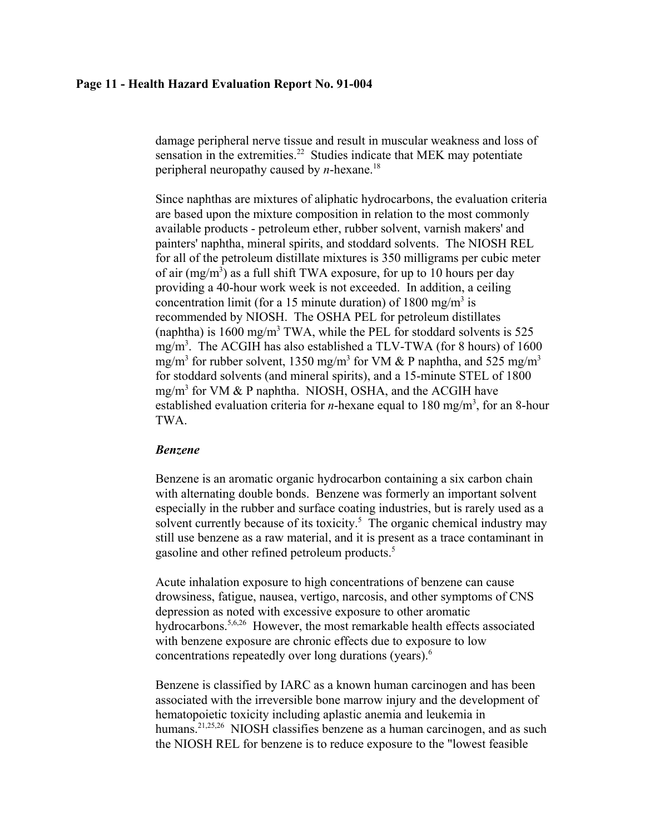### **Page 11 - Health Hazard Evaluation Report No. 91-004**

damage peripheral nerve tissue and result in muscular weakness and loss of sensation in the extremities.<sup>22</sup> Studies indicate that MEK may potentiate peripheral neuropathy caused by *n*-hexane.18

Since naphthas are mixtures of aliphatic hydrocarbons, the evaluation criteria are based upon the mixture composition in relation to the most commonly available products - petroleum ether, rubber solvent, varnish makers' and painters' naphtha, mineral spirits, and stoddard solvents. The NIOSH REL for all of the petroleum distillate mixtures is 350 milligrams per cubic meter of air  $(mg/m<sup>3</sup>)$  as a full shift TWA exposure, for up to 10 hours per day providing a 40-hour work week is not exceeded. In addition, a ceiling concentration limit (for a 15 minute duration) of 1800 mg/m<sup>3</sup> is recommended by NIOSH. The OSHA PEL for petroleum distillates (naphtha) is  $1600 \text{ mg/m}^3$  TWA, while the PEL for stoddard solvents is  $525$ mg/m<sup>3</sup>. The ACGIH has also established a TLV-TWA (for 8 hours) of 1600 mg/m<sup>3</sup> for rubber solvent, 1350 mg/m<sup>3</sup> for VM & P naphtha, and 525 mg/m<sup>3</sup> for stoddard solvents (and mineral spirits), and a 15-minute STEL of 1800 mg/m<sup>3</sup> for VM & P naphtha. NIOSH, OSHA, and the ACGIH have established evaluation criteria for *n*-hexane equal to 180 mg/m<sup>3</sup>, for an 8-hour TWA.

### *Benzene*

Benzene is an aromatic organic hydrocarbon containing a six carbon chain with alternating double bonds. Benzene was formerly an important solvent especially in the rubber and surface coating industries, but is rarely used as a solvent currently because of its toxicity. $5$  The organic chemical industry may still use benzene as a raw material, and it is present as a trace contaminant in gasoline and other refined petroleum products.<sup>5</sup>

Acute inhalation exposure to high concentrations of benzene can cause drowsiness, fatigue, nausea, vertigo, narcosis, and other symptoms of CNS depression as noted with excessive exposure to other aromatic hydrocarbons.<sup>5,6,26</sup> However, the most remarkable health effects associated with benzene exposure are chronic effects due to exposure to low concentrations repeatedly over long durations (years).<sup>6</sup>

Benzene is classified by IARC as a known human carcinogen and has been associated with the irreversible bone marrow injury and the development of hematopoietic toxicity including aplastic anemia and leukemia in humans.<sup>21,25,26</sup> NIOSH classifies benzene as a human carcinogen, and as such the NIOSH REL for benzene is to reduce exposure to the "lowest feasible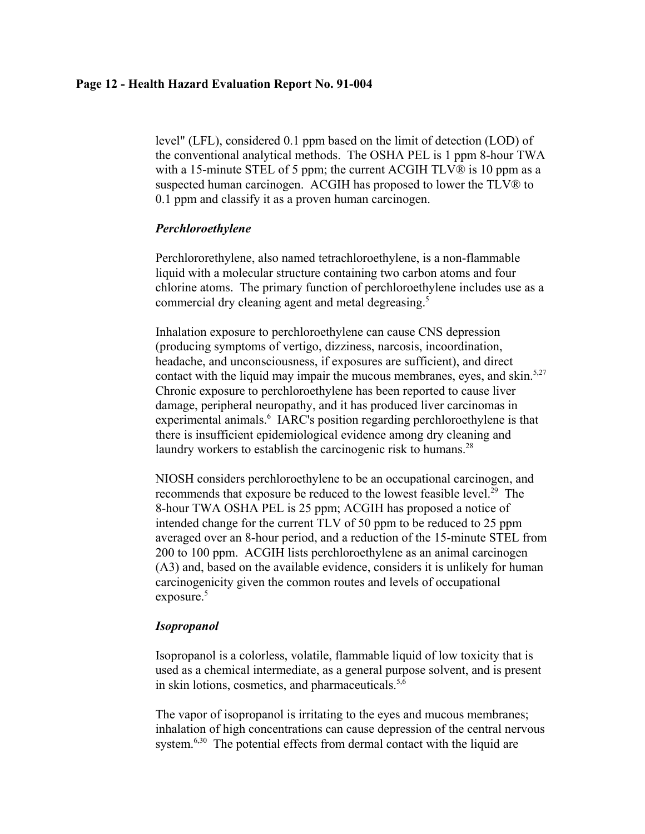### **Page 12 - Health Hazard Evaluation Report No. 91-004**

level" (LFL), considered 0.1 ppm based on the limit of detection (LOD) of the conventional analytical methods. The OSHA PEL is 1 ppm 8-hour TWA with a 15-minute STEL of 5 ppm; the current ACGIH TLV® is 10 ppm as a suspected human carcinogen. ACGIH has proposed to lower the TLV® to 0.1 ppm and classify it as a proven human carcinogen.

## *Perchloroethylene*

Perchlororethylene, also named tetrachloroethylene, is a non-flammable liquid with a molecular structure containing two carbon atoms and four chlorine atoms. The primary function of perchloroethylene includes use as a commercial dry cleaning agent and metal degreasing.<sup>5</sup>

Inhalation exposure to perchloroethylene can cause CNS depression (producing symptoms of vertigo, dizziness, narcosis, incoordination, headache, and unconsciousness, if exposures are sufficient), and direct contact with the liquid may impair the mucous membranes, eyes, and skin.<sup>5,27</sup> Chronic exposure to perchloroethylene has been reported to cause liver damage, peripheral neuropathy, and it has produced liver carcinomas in experimental animals.<sup>6</sup> IARC's position regarding perchloroethylene is that there is insufficient epidemiological evidence among dry cleaning and laundry workers to establish the carcinogenic risk to humans.<sup>28</sup>

NIOSH considers perchloroethylene to be an occupational carcinogen, and recommends that exposure be reduced to the lowest feasible level.<sup>29</sup> The 8-hour TWA OSHA PEL is 25 ppm; ACGIH has proposed a notice of intended change for the current TLV of 50 ppm to be reduced to 25 ppm averaged over an 8-hour period, and a reduction of the 15-minute STEL from 200 to 100 ppm. ACGIH lists perchloroethylene as an animal carcinogen (A3) and, based on the available evidence, considers it is unlikely for human carcinogenicity given the common routes and levels of occupational exposure. $5$ 

# *Isopropanol*

Isopropanol is a colorless, volatile, flammable liquid of low toxicity that is used as a chemical intermediate, as a general purpose solvent, and is present in skin lotions, cosmetics, and pharmaceuticals. $5,6$ 

The vapor of isopropanol is irritating to the eyes and mucous membranes; inhalation of high concentrations can cause depression of the central nervous system.<sup>6,30</sup> The potential effects from dermal contact with the liquid are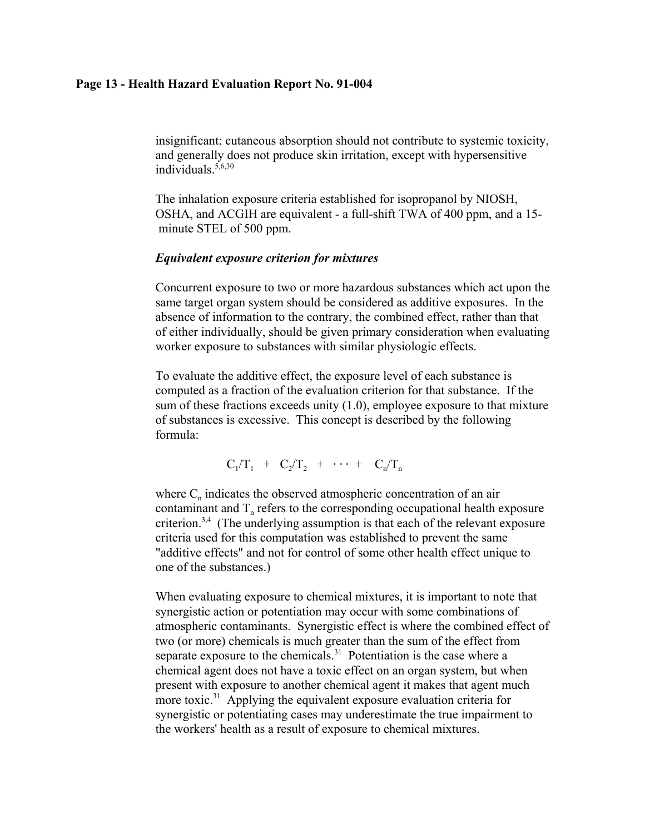### **Page 13 - Health Hazard Evaluation Report No. 91-004**

insignificant; cutaneous absorption should not contribute to systemic toxicity, and generally does not produce skin irritation, except with hypersensitive individuals. $5,6,30$ 

The inhalation exposure criteria established for isopropanol by NIOSH, OSHA, and ACGIH are equivalent - a full-shift TWA of 400 ppm, and a 15 minute STEL of 500 ppm.

#### *Equivalent exposure criterion for mixtures*

Concurrent exposure to two or more hazardous substances which act upon the same target organ system should be considered as additive exposures. In the absence of information to the contrary, the combined effect, rather than that of either individually, should be given primary consideration when evaluating worker exposure to substances with similar physiologic effects.

To evaluate the additive effect, the exposure level of each substance is computed as a fraction of the evaluation criterion for that substance. If the sum of these fractions exceeds unity (1.0), employee exposure to that mixture of substances is excessive. This concept is described by the following formula:

$$
C_1/T_1 + C_2/T_2 + \cdots + C_n/T_n
$$

where  $C_n$  indicates the observed atmospheric concentration of an air contaminant and  $T<sub>n</sub>$  refers to the corresponding occupational health exposure criterion.3,4 (The underlying assumption is that each of the relevant exposure criteria used for this computation was established to prevent the same "additive effects" and not for control of some other health effect unique to one of the substances.)

When evaluating exposure to chemical mixtures, it is important to note that synergistic action or potentiation may occur with some combinations of atmospheric contaminants. Synergistic effect is where the combined effect of two (or more) chemicals is much greater than the sum of the effect from separate exposure to the chemicals.<sup>31</sup> Potentiation is the case where a chemical agent does not have a toxic effect on an organ system, but when present with exposure to another chemical agent it makes that agent much more toxic.<sup>31</sup> Applying the equivalent exposure evaluation criteria for synergistic or potentiating cases may underestimate the true impairment to the workers' health as a result of exposure to chemical mixtures.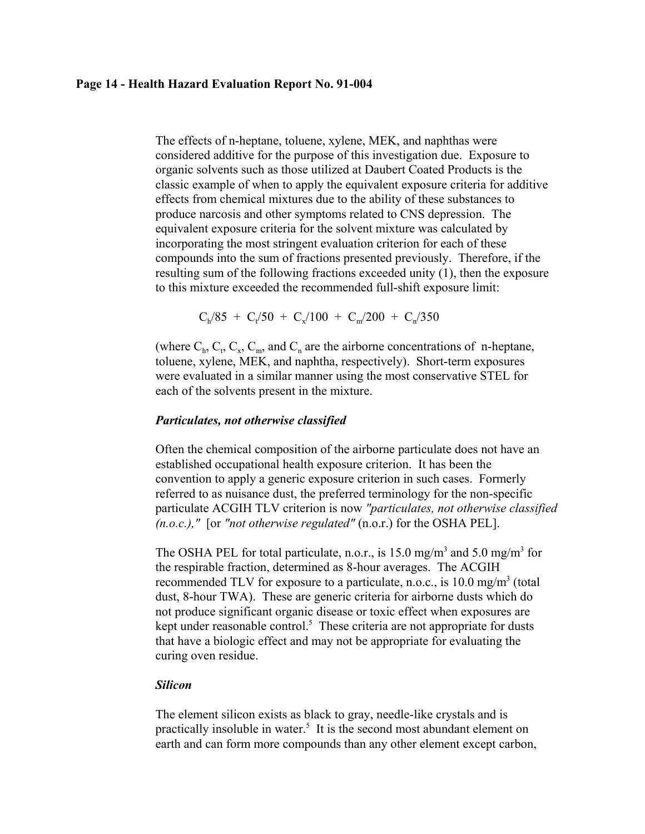### **Page 14 - Health Hazard Evaluation Report No. 91-004**

The effects of n-heptane, toluene, xylene, MEK, and naphthas were considered additive for the purpose of this investigation due. Exposure to organic solvents such as those utilized at Daubert Coated Products is the classic example of when to apply the equivalent exposure criteria for additive effects from chemical mixtures due to the ability of these substances to produce narcosis and other symptoms related to CNS depression. The equivalent exposure criteria for the solvent mixture was calculated by incorporating the most stringent evaluation criterion for each of these compounds into the sum of fractions presented previously. Therefore, if the resulting sum of the following fractions exceeded unity (1), then the exposure to this mixture exceeded the recommended full-shift exposure limit:

 $C_h/85 + C_t/50 + C_x/100 + C_m/200 + C_n/350$ 

(where  $C_h$ ,  $C_t$ ,  $C_x$ ,  $C_m$ , and  $C_n$  are the airborne concentrations of n-heptane, toluene, xylene, MEK, and naphtha, respectively). Short-term exposures were evaluated in a similar manner using the most conservative STEL for each of the solvents present in the mixture.

#### *Particulates, not otherwise classified*

Often the chemical composition of the airborne particulate does not have an established occupational health exposure criterion. It has been the convention to apply a generic exposure criterion in such cases. Formerly referred to as nuisance dust, the preferred terminology for the non-specific particulate ACGIH TLV criterion is now *"particulates, not otherwise classified (n.o.c.),"* [or *"not otherwise regulated"* (n.o.r.) for the OSHA PEL].

The OSHA PEL for total particulate, n.o.r., is 15.0 mg/m<sup>3</sup> and 5.0 mg/m<sup>3</sup> for the respirable fraction, determined as 8-hour averages. The ACGIH recommended TLV for exposure to a particulate, n.o.c., is  $10.0 \text{ mg/m}^3$  (total dust, 8-hour TWA). These are generic criteria for airborne dusts which do not produce significant organic disease or toxic effect when exposures are kept under reasonable control. $<sup>5</sup>$  These criteria are not appropriate for dusts</sup> that have a biologic effect and may not be appropriate for evaluating the curing oven residue.

### *Silicon*

The element silicon exists as black to gray, needle-like crystals and is practically insoluble in water.<sup>5</sup> It is the second most abundant element on earth and can form more compounds than any other element except carbon,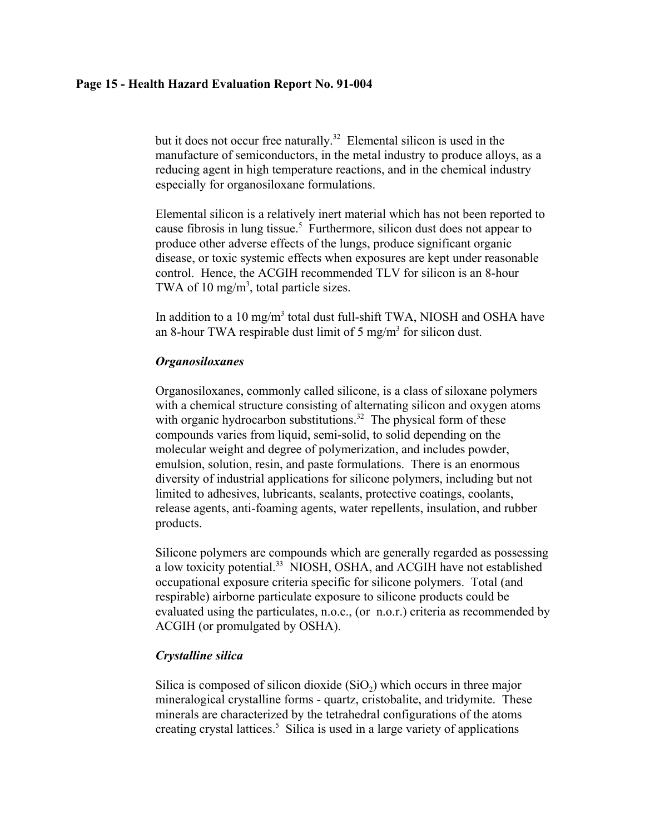## **Page 15 - Health Hazard Evaluation Report No. 91-004**

but it does not occur free naturally.<sup>32</sup> Elemental silicon is used in the manufacture of semiconductors, in the metal industry to produce alloys, as a reducing agent in high temperature reactions, and in the chemical industry especially for organosiloxane formulations.

Elemental silicon is a relatively inert material which has not been reported to cause fibrosis in lung tissue.<sup>5</sup> Furthermore, silicon dust does not appear to produce other adverse effects of the lungs, produce significant organic disease, or toxic systemic effects when exposures are kept under reasonable control. Hence, the ACGIH recommended TLV for silicon is an 8-hour TWA of 10 mg/m<sup>3</sup>, total particle sizes.

In addition to a 10 mg/m<sup>3</sup> total dust full-shift TWA, NIOSH and OSHA have an 8-hour TWA respirable dust limit of 5 mg/m<sup>3</sup> for silicon dust.

## *Organosiloxanes*

Organosiloxanes, commonly called silicone, is a class of siloxane polymers with a chemical structure consisting of alternating silicon and oxygen atoms with organic hydrocarbon substitutions.<sup>32</sup> The physical form of these compounds varies from liquid, semi-solid, to solid depending on the molecular weight and degree of polymerization, and includes powder, emulsion, solution, resin, and paste formulations. There is an enormous diversity of industrial applications for silicone polymers, including but not limited to adhesives, lubricants, sealants, protective coatings, coolants, release agents, anti-foaming agents, water repellents, insulation, and rubber products.

Silicone polymers are compounds which are generally regarded as possessing a low toxicity potential.<sup>33</sup> NIOSH, OSHA, and ACGIH have not established occupational exposure criteria specific for silicone polymers. Total (and respirable) airborne particulate exposure to silicone products could be evaluated using the particulates, n.o.c., (or n.o.r.) criteria as recommended by ACGIH (or promulgated by OSHA).

## *Crystalline silica*

Silica is composed of silicon dioxide  $(SiO<sub>2</sub>)$  which occurs in three major mineralogical crystalline forms - quartz, cristobalite, and tridymite. These minerals are characterized by the tetrahedral configurations of the atoms creating crystal lattices.<sup>5</sup> Silica is used in a large variety of applications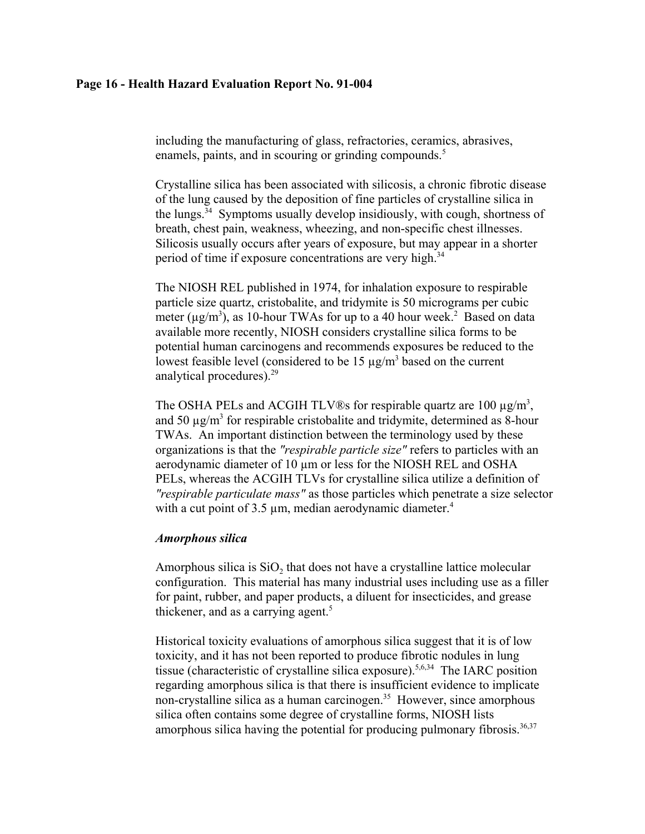### **Page 16 - Health Hazard Evaluation Report No. 91-004**

including the manufacturing of glass, refractories, ceramics, abrasives, enamels, paints, and in scouring or grinding compounds.<sup>5</sup>

Crystalline silica has been associated with silicosis, a chronic fibrotic disease of the lung caused by the deposition of fine particles of crystalline silica in the lungs.<sup>34</sup> Symptoms usually develop insidiously, with cough, shortness of breath, chest pain, weakness, wheezing, and non-specific chest illnesses. Silicosis usually occurs after years of exposure, but may appear in a shorter period of time if exposure concentrations are very high.<sup>34</sup>

The NIOSH REL published in 1974, for inhalation exposure to respirable particle size quartz, cristobalite, and tridymite is 50 micrograms per cubic meter ( $\mu$ g/m<sup>3</sup>), as 10-hour TWAs for up to a 40 hour week.<sup>2</sup> Based on data available more recently, NIOSH considers crystalline silica forms to be potential human carcinogens and recommends exposures be reduced to the lowest feasible level (considered to be  $15 \mu g/m^3$  based on the current analytical procedures).29

The OSHA PELs and ACGIH TLV®s for respirable quartz are 100  $\mu$ g/m<sup>3</sup>, and 50  $\mu$ g/m<sup>3</sup> for respirable cristobalite and tridymite, determined as 8-hour TWAs. An important distinction between the terminology used by these organizations is that the *"respirable particle size"* refers to particles with an aerodynamic diameter of 10  $\mu$ m or less for the NIOSH REL and OSHA PELs, whereas the ACGIH TLVs for crystalline silica utilize a definition of *"respirable particulate mass"* as those particles which penetrate a size selector with a cut point of  $3.5 \mu m$ , median aerodynamic diameter.<sup>4</sup>

#### *Amorphous silica*

Amorphous silica is  $SiO<sub>2</sub>$  that does not have a crystalline lattice molecular configuration. This material has many industrial uses including use as a filler for paint, rubber, and paper products, a diluent for insecticides, and grease thickener, and as a carrying agent. $5$ 

Historical toxicity evaluations of amorphous silica suggest that it is of low toxicity, and it has not been reported to produce fibrotic nodules in lung tissue (characteristic of crystalline silica exposure).5,6,34 The IARC position regarding amorphous silica is that there is insufficient evidence to implicate non-crystalline silica as a human carcinogen.<sup>35</sup> However, since amorphous silica often contains some degree of crystalline forms, NIOSH lists amorphous silica having the potential for producing pulmonary fibrosis.<sup>36,37</sup>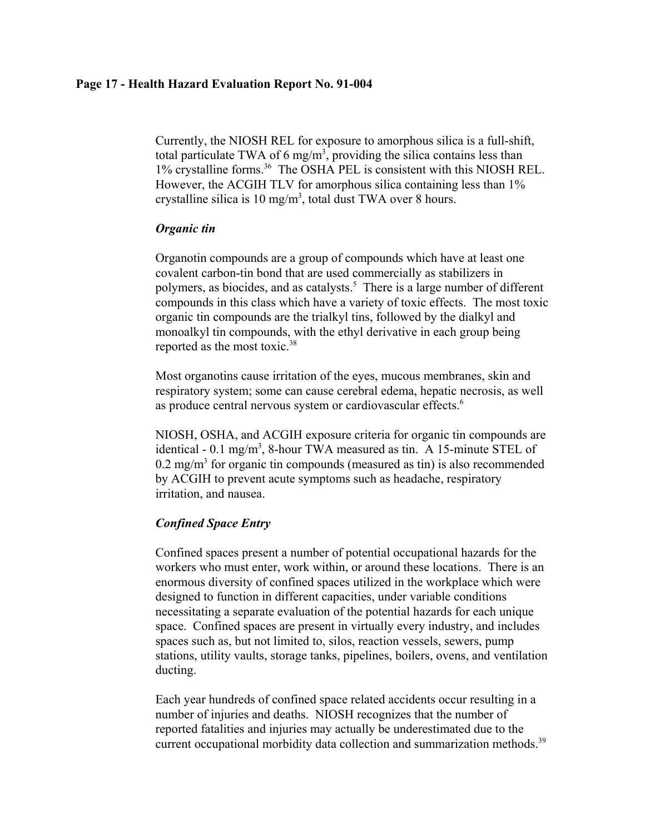## **Page 17 - Health Hazard Evaluation Report No. 91-004**

Currently, the NIOSH REL for exposure to amorphous silica is a full-shift, total particulate TWA of 6 mg/m<sup>3</sup>, providing the silica contains less than 1% crystalline forms.<sup>36</sup> The OSHA PEL is consistent with this NIOSH REL. However, the ACGIH TLV for amorphous silica containing less than 1% crystalline silica is 10 mg/m<sup>3</sup>, total dust TWA over 8 hours.

## *Organic tin*

Organotin compounds are a group of compounds which have at least one covalent carbon-tin bond that are used commercially as stabilizers in polymers, as biocides, and as catalysts.<sup>5</sup> There is a large number of different compounds in this class which have a variety of toxic effects. The most toxic organic tin compounds are the trialkyl tins, followed by the dialkyl and monoalkyl tin compounds, with the ethyl derivative in each group being reported as the most toxic.<sup>38</sup>

Most organotins cause irritation of the eyes, mucous membranes, skin and respiratory system; some can cause cerebral edema, hepatic necrosis, as well as produce central nervous system or cardiovascular effects.<sup>6</sup>

NIOSH, OSHA, and ACGIH exposure criteria for organic tin compounds are identical - 0.1 mg/m<sup>3</sup>, 8-hour TWA measured as tin. A 15-minute STEL of  $0.2$  mg/m<sup>3</sup> for organic tin compounds (measured as tin) is also recommended by ACGIH to prevent acute symptoms such as headache, respiratory irritation, and nausea.

# *Confined Space Entry*

Confined spaces present a number of potential occupational hazards for the workers who must enter, work within, or around these locations. There is an enormous diversity of confined spaces utilized in the workplace which were designed to function in different capacities, under variable conditions necessitating a separate evaluation of the potential hazards for each unique space. Confined spaces are present in virtually every industry, and includes spaces such as, but not limited to, silos, reaction vessels, sewers, pump stations, utility vaults, storage tanks, pipelines, boilers, ovens, and ventilation ducting.

Each year hundreds of confined space related accidents occur resulting in a number of injuries and deaths. NIOSH recognizes that the number of reported fatalities and injuries may actually be underestimated due to the current occupational morbidity data collection and summarization methods.<sup>39</sup>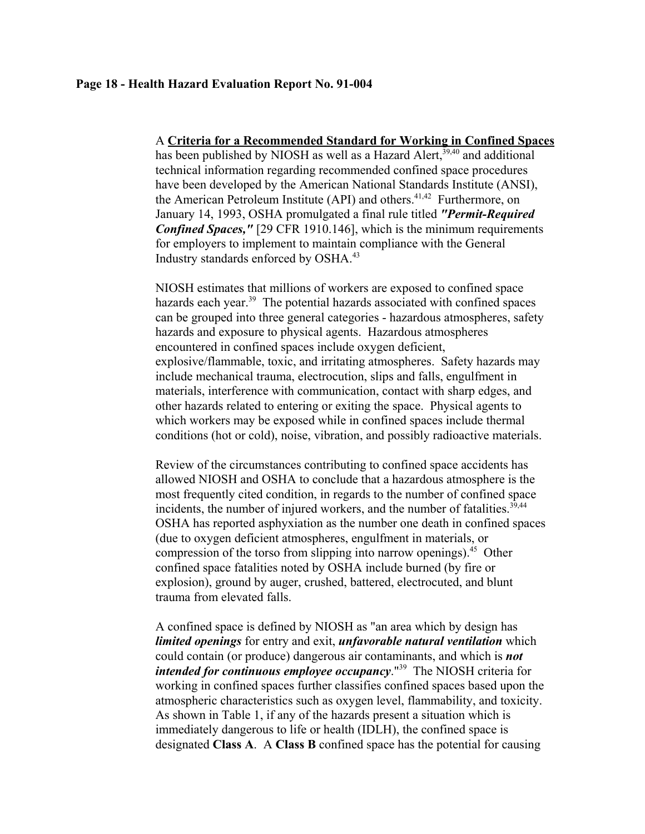#### **Page 18 - Health Hazard Evaluation Report No. 91-004**

A **Criteria for a Recommended Standard for Working in Confined Spaces** has been published by NIOSH as well as a Hazard Alert,  $39,40$  and additional technical information regarding recommended confined space procedures have been developed by the American National Standards Institute (ANSI), the American Petroleum Institute (API) and others.<sup>41,42</sup> Furthermore, on January 14, 1993, OSHA promulgated a final rule titled *"Permit-Required Confined Spaces,"* [29 CFR 1910.146], which is the minimum requirements for employers to implement to maintain compliance with the General Industry standards enforced by OSHA.43

NIOSH estimates that millions of workers are exposed to confined space hazards each year.<sup>39</sup> The potential hazards associated with confined spaces can be grouped into three general categories - hazardous atmospheres, safety hazards and exposure to physical agents. Hazardous atmospheres encountered in confined spaces include oxygen deficient, explosive/flammable, toxic, and irritating atmospheres. Safety hazards may include mechanical trauma, electrocution, slips and falls, engulfment in materials, interference with communication, contact with sharp edges, and other hazards related to entering or exiting the space. Physical agents to which workers may be exposed while in confined spaces include thermal conditions (hot or cold), noise, vibration, and possibly radioactive materials.

Review of the circumstances contributing to confined space accidents has allowed NIOSH and OSHA to conclude that a hazardous atmosphere is the most frequently cited condition, in regards to the number of confined space incidents, the number of injured workers, and the number of fatalities.<sup>39,44</sup> OSHA has reported asphyxiation as the number one death in confined spaces (due to oxygen deficient atmospheres, engulfment in materials, or compression of the torso from slipping into narrow openings).<sup>45</sup> Other confined space fatalities noted by OSHA include burned (by fire or explosion), ground by auger, crushed, battered, electrocuted, and blunt trauma from elevated falls.

A confined space is defined by NIOSH as "an area which by design has *limited openings* for entry and exit, *unfavorable natural ventilation* which could contain (or produce) dangerous air contaminants, and which is *not intended for continuous employee occupancy*."39 The NIOSH criteria for working in confined spaces further classifies confined spaces based upon the atmospheric characteristics such as oxygen level, flammability, and toxicity. As shown in Table 1, if any of the hazards present a situation which is immediately dangerous to life or health (IDLH), the confined space is designated **Class A**. A **Class B** confined space has the potential for causing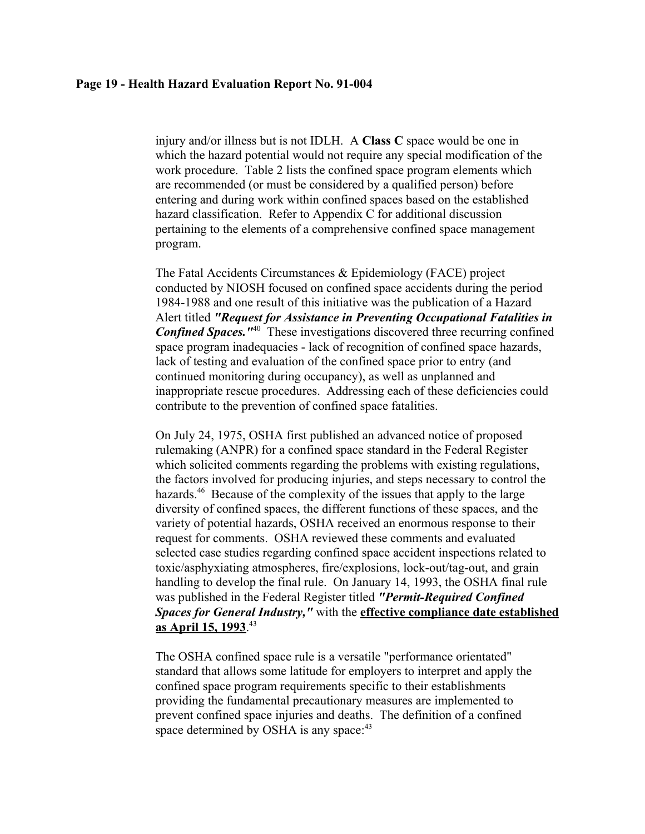#### **Page 19 - Health Hazard Evaluation Report No. 91-004**

injury and/or illness but is not IDLH. A **Class C** space would be one in which the hazard potential would not require any special modification of the work procedure. Table 2 lists the confined space program elements which are recommended (or must be considered by a qualified person) before entering and during work within confined spaces based on the established hazard classification. Refer to Appendix C for additional discussion pertaining to the elements of a comprehensive confined space management program.

The Fatal Accidents Circumstances & Epidemiology (FACE) project conducted by NIOSH focused on confined space accidents during the period 1984-1988 and one result of this initiative was the publication of a Hazard Alert titled *"Request for Assistance in Preventing Occupational Fatalities in* **Confined Spaces.**<sup>"40</sup> These investigations discovered three recurring confined space program inadequacies - lack of recognition of confined space hazards, lack of testing and evaluation of the confined space prior to entry (and continued monitoring during occupancy), as well as unplanned and inappropriate rescue procedures. Addressing each of these deficiencies could contribute to the prevention of confined space fatalities.

On July 24, 1975, OSHA first published an advanced notice of proposed rulemaking (ANPR) for a confined space standard in the Federal Register which solicited comments regarding the problems with existing regulations, the factors involved for producing injuries, and steps necessary to control the hazards.<sup>46</sup> Because of the complexity of the issues that apply to the large diversity of confined spaces, the different functions of these spaces, and the variety of potential hazards, OSHA received an enormous response to their request for comments. OSHA reviewed these comments and evaluated selected case studies regarding confined space accident inspections related to toxic/asphyxiating atmospheres, fire/explosions, lock-out/tag-out, and grain handling to develop the final rule. On January 14, 1993, the OSHA final rule was published in the Federal Register titled *"Permit-Required Confined Spaces for General Industry,"* with the **effective compliance date established as April 15, 1993**. 43

The OSHA confined space rule is a versatile "performance orientated" standard that allows some latitude for employers to interpret and apply the confined space program requirements specific to their establishments providing the fundamental precautionary measures are implemented to prevent confined space injuries and deaths. The definition of a confined space determined by OSHA is any space:<sup>43</sup>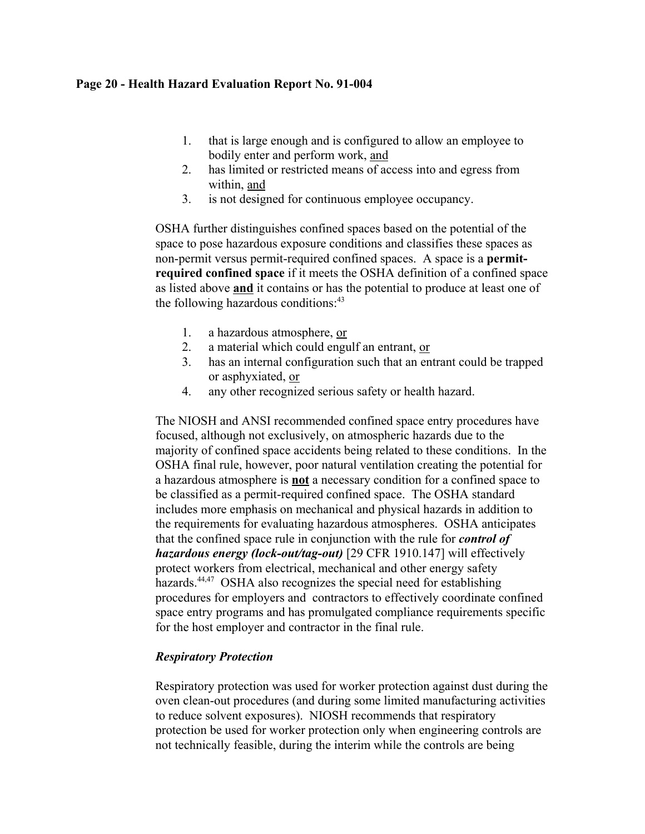## **Page 20 - Health Hazard Evaluation Report No. 91-004**

- 1. that is large enough and is configured to allow an employee to bodily enter and perform work, and
- 2. has limited or restricted means of access into and egress from within, and
- 3. is not designed for continuous employee occupancy.

OSHA further distinguishes confined spaces based on the potential of the space to pose hazardous exposure conditions and classifies these spaces as non-permit versus permit-required confined spaces. A space is a **permitrequired confined space** if it meets the OSHA definition of a confined space as listed above **and** it contains or has the potential to produce at least one of the following hazardous conditions: $43$ 

- 1. a hazardous atmosphere, or
- 2. a material which could engulf an entrant, or
- 3. has an internal configuration such that an entrant could be trapped or asphyxiated, or
- 4. any other recognized serious safety or health hazard.

The NIOSH and ANSI recommended confined space entry procedures have focused, although not exclusively, on atmospheric hazards due to the majority of confined space accidents being related to these conditions. In the OSHA final rule, however, poor natural ventilation creating the potential for a hazardous atmosphere is **not** a necessary condition for a confined space to be classified as a permit-required confined space. The OSHA standard includes more emphasis on mechanical and physical hazards in addition to the requirements for evaluating hazardous atmospheres. OSHA anticipates that the confined space rule in conjunction with the rule for *control of hazardous energy (lock-out/tag-out)* [29 CFR 1910.147] will effectively protect workers from electrical, mechanical and other energy safety hazards. $44,47$  OSHA also recognizes the special need for establishing procedures for employers and contractors to effectively coordinate confined space entry programs and has promulgated compliance requirements specific for the host employer and contractor in the final rule.

# *Respiratory Protection*

Respiratory protection was used for worker protection against dust during the oven clean-out procedures (and during some limited manufacturing activities to reduce solvent exposures). NIOSH recommends that respiratory protection be used for worker protection only when engineering controls are not technically feasible, during the interim while the controls are being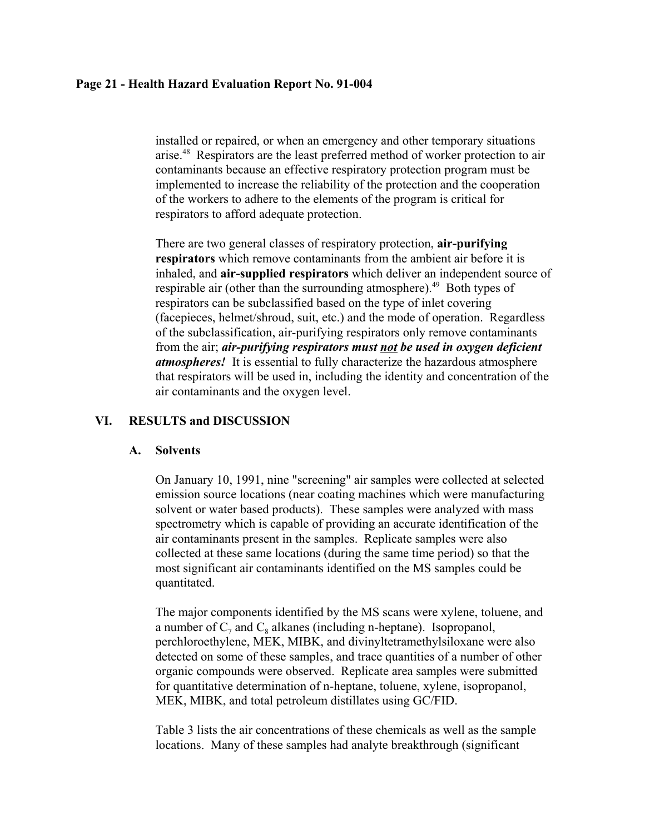## **Page 21 - Health Hazard Evaluation Report No. 91-004**

installed or repaired, or when an emergency and other temporary situations arise.48 Respirators are the least preferred method of worker protection to air contaminants because an effective respiratory protection program must be implemented to increase the reliability of the protection and the cooperation of the workers to adhere to the elements of the program is critical for respirators to afford adequate protection.

There are two general classes of respiratory protection, **air-purifying respirators** which remove contaminants from the ambient air before it is inhaled, and **air-supplied respirators** which deliver an independent source of respirable air (other than the surrounding atmosphere).<sup>49</sup> Both types of respirators can be subclassified based on the type of inlet covering (facepieces, helmet/shroud, suit, etc.) and the mode of operation. Regardless of the subclassification, air-purifying respirators only remove contaminants from the air; *air-purifying respirators must not be used in oxygen deficient atmospheres!* It is essential to fully characterize the hazardous atmosphere that respirators will be used in, including the identity and concentration of the air contaminants and the oxygen level.

# **VI. RESULTS and DISCUSSION**

## **A. Solvents**

On January 10, 1991, nine "screening" air samples were collected at selected emission source locations (near coating machines which were manufacturing solvent or water based products). These samples were analyzed with mass spectrometry which is capable of providing an accurate identification of the air contaminants present in the samples. Replicate samples were also collected at these same locations (during the same time period) so that the most significant air contaminants identified on the MS samples could be quantitated.

The major components identified by the MS scans were xylene, toluene, and a number of  $C_7$  and  $C_8$  alkanes (including n-heptane). Isopropanol, perchloroethylene, MEK, MIBK, and divinyltetramethylsiloxane were also detected on some of these samples, and trace quantities of a number of other organic compounds were observed. Replicate area samples were submitted for quantitative determination of n-heptane, toluene, xylene, isopropanol, MEK, MIBK, and total petroleum distillates using GC/FID.

Table 3 lists the air concentrations of these chemicals as well as the sample locations. Many of these samples had analyte breakthrough (significant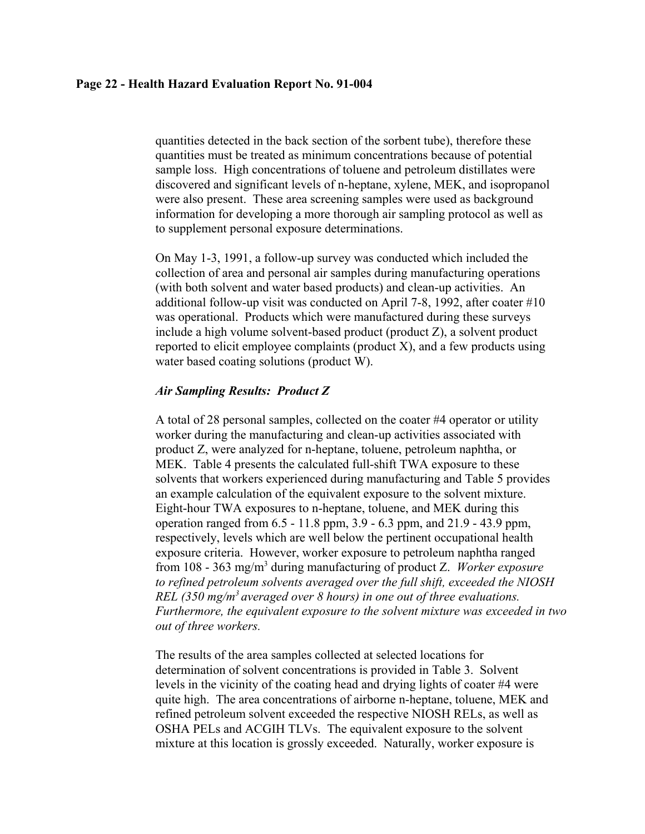#### **Page 22 - Health Hazard Evaluation Report No. 91-004**

quantities detected in the back section of the sorbent tube), therefore these quantities must be treated as minimum concentrations because of potential sample loss. High concentrations of toluene and petroleum distillates were discovered and significant levels of n-heptane, xylene, MEK, and isopropanol were also present. These area screening samples were used as background information for developing a more thorough air sampling protocol as well as to supplement personal exposure determinations.

On May 1-3, 1991, a follow-up survey was conducted which included the collection of area and personal air samples during manufacturing operations (with both solvent and water based products) and clean-up activities. An additional follow-up visit was conducted on April 7-8, 1992, after coater #10 was operational. Products which were manufactured during these surveys include a high volume solvent-based product (product Z), a solvent product reported to elicit employee complaints (product X), and a few products using water based coating solutions (product W).

## *Air Sampling Results: Product Z*

A total of 28 personal samples, collected on the coater #4 operator or utility worker during the manufacturing and clean-up activities associated with product Z, were analyzed for n-heptane, toluene, petroleum naphtha, or MEK. Table 4 presents the calculated full-shift TWA exposure to these solvents that workers experienced during manufacturing and Table 5 provides an example calculation of the equivalent exposure to the solvent mixture. Eight-hour TWA exposures to n-heptane, toluene, and MEK during this operation ranged from 6.5 - 11.8 ppm, 3.9 - 6.3 ppm, and 21.9 - 43.9 ppm, respectively, levels which are well below the pertinent occupational health exposure criteria. However, worker exposure to petroleum naphtha ranged from 108 - 363 mg/m3 during manufacturing of product Z. *Worker exposure to refined petroleum solvents averaged over the full shift, exceeded the NIOSH REL (350 mg/m3 averaged over 8 hours) in one out of three evaluations. Furthermore, the equivalent exposure to the solvent mixture was exceeded in two out of three workers.*

The results of the area samples collected at selected locations for determination of solvent concentrations is provided in Table 3. Solvent levels in the vicinity of the coating head and drying lights of coater #4 were quite high. The area concentrations of airborne n-heptane, toluene, MEK and refined petroleum solvent exceeded the respective NIOSH RELs, as well as OSHA PELs and ACGIH TLVs. The equivalent exposure to the solvent mixture at this location is grossly exceeded. Naturally, worker exposure is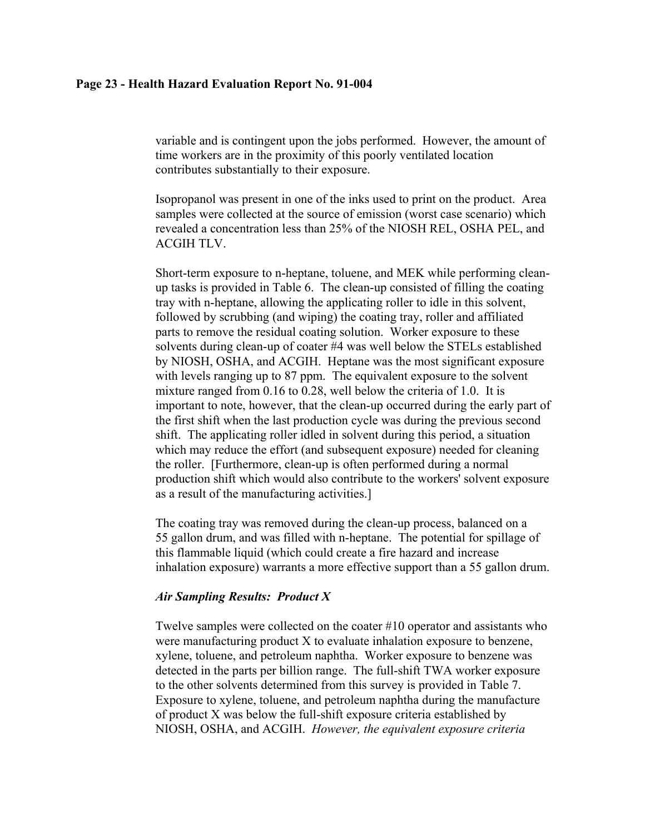#### **Page 23 - Health Hazard Evaluation Report No. 91-004**

variable and is contingent upon the jobs performed. However, the amount of time workers are in the proximity of this poorly ventilated location contributes substantially to their exposure.

Isopropanol was present in one of the inks used to print on the product. Area samples were collected at the source of emission (worst case scenario) which revealed a concentration less than 25% of the NIOSH REL, OSHA PEL, and ACGIH TLV.

Short-term exposure to n-heptane, toluene, and MEK while performing cleanup tasks is provided in Table 6. The clean-up consisted of filling the coating tray with n-heptane, allowing the applicating roller to idle in this solvent, followed by scrubbing (and wiping) the coating tray, roller and affiliated parts to remove the residual coating solution. Worker exposure to these solvents during clean-up of coater #4 was well below the STELs established by NIOSH, OSHA, and ACGIH. Heptane was the most significant exposure with levels ranging up to 87 ppm. The equivalent exposure to the solvent mixture ranged from 0.16 to 0.28, well below the criteria of 1.0. It is important to note, however, that the clean-up occurred during the early part of the first shift when the last production cycle was during the previous second shift. The applicating roller idled in solvent during this period, a situation which may reduce the effort (and subsequent exposure) needed for cleaning the roller. [Furthermore, clean-up is often performed during a normal production shift which would also contribute to the workers' solvent exposure as a result of the manufacturing activities.]

The coating tray was removed during the clean-up process, balanced on a 55 gallon drum, and was filled with n-heptane. The potential for spillage of this flammable liquid (which could create a fire hazard and increase inhalation exposure) warrants a more effective support than a 55 gallon drum.

#### *Air Sampling Results: Product X*

Twelve samples were collected on the coater #10 operator and assistants who were manufacturing product X to evaluate inhalation exposure to benzene, xylene, toluene, and petroleum naphtha. Worker exposure to benzene was detected in the parts per billion range. The full-shift TWA worker exposure to the other solvents determined from this survey is provided in Table 7. Exposure to xylene, toluene, and petroleum naphtha during the manufacture of product X was below the full-shift exposure criteria established by NIOSH, OSHA, and ACGIH. *However, the equivalent exposure criteria*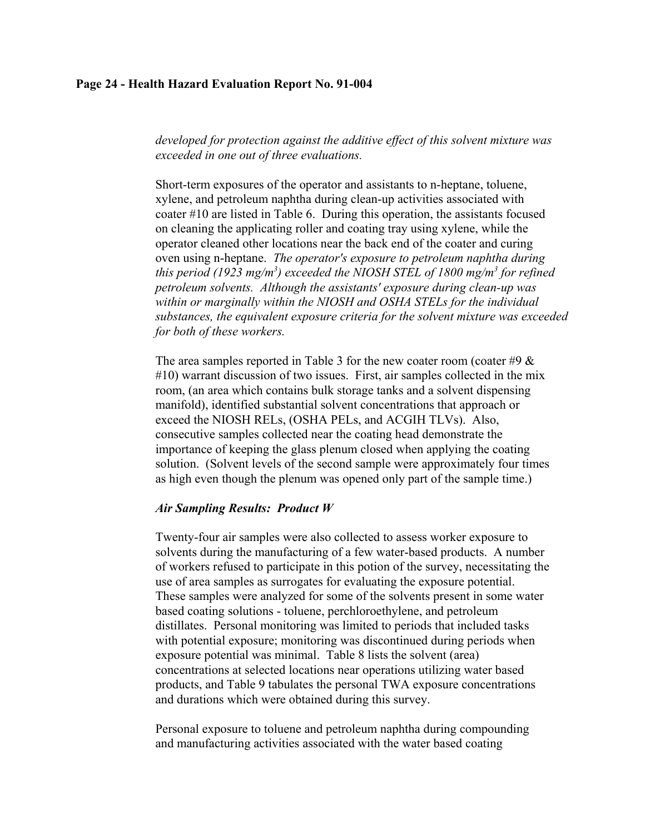### **Page 24 - Health Hazard Evaluation Report No. 91-004**

*developed for protection against the additive effect of this solvent mixture was exceeded in one out of three evaluations.*

Short-term exposures of the operator and assistants to n-heptane, toluene, xylene, and petroleum naphtha during clean-up activities associated with coater #10 are listed in Table 6. During this operation, the assistants focused on cleaning the applicating roller and coating tray using xylene, while the operator cleaned other locations near the back end of the coater and curing oven using n-heptane. *The operator's exposure to petroleum naphtha during this period (1923 mg/m3 ) exceeded the NIOSH STEL of 1800 mg/m3 for refined petroleum solvents. Although the assistants' exposure during clean-up was within or marginally within the NIOSH and OSHA STELs for the individual substances, the equivalent exposure criteria for the solvent mixture was exceeded for both of these workers.*

The area samples reported in Table 3 for the new coater room (coater #9  $\&$ #10) warrant discussion of two issues. First, air samples collected in the mix room, (an area which contains bulk storage tanks and a solvent dispensing manifold), identified substantial solvent concentrations that approach or exceed the NIOSH RELs, (OSHA PELs, and ACGIH TLVs). Also, consecutive samples collected near the coating head demonstrate the importance of keeping the glass plenum closed when applying the coating solution. (Solvent levels of the second sample were approximately four times as high even though the plenum was opened only part of the sample time.)

### *Air Sampling Results: Product W*

Twenty-four air samples were also collected to assess worker exposure to solvents during the manufacturing of a few water-based products. A number of workers refused to participate in this potion of the survey, necessitating the use of area samples as surrogates for evaluating the exposure potential. These samples were analyzed for some of the solvents present in some water based coating solutions - toluene, perchloroethylene, and petroleum distillates. Personal monitoring was limited to periods that included tasks with potential exposure; monitoring was discontinued during periods when exposure potential was minimal. Table 8 lists the solvent (area) concentrations at selected locations near operations utilizing water based products, and Table 9 tabulates the personal TWA exposure concentrations and durations which were obtained during this survey.

Personal exposure to toluene and petroleum naphtha during compounding and manufacturing activities associated with the water based coating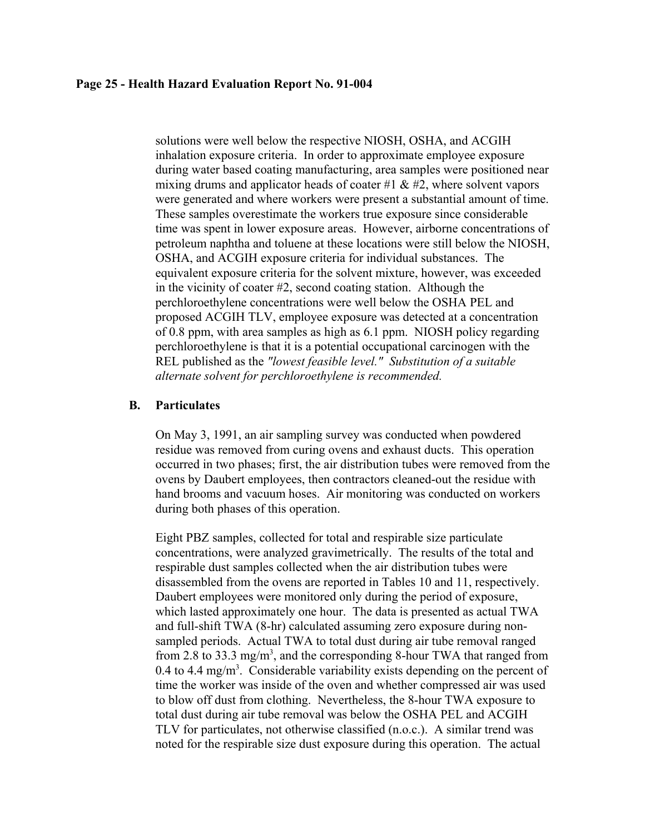#### **Page 25 - Health Hazard Evaluation Report No. 91-004**

solutions were well below the respective NIOSH, OSHA, and ACGIH inhalation exposure criteria. In order to approximate employee exposure during water based coating manufacturing, area samples were positioned near mixing drums and applicator heads of coater #1  $\&$  #2, where solvent vapors were generated and where workers were present a substantial amount of time. These samples overestimate the workers true exposure since considerable time was spent in lower exposure areas. However, airborne concentrations of petroleum naphtha and toluene at these locations were still below the NIOSH, OSHA, and ACGIH exposure criteria for individual substances. The equivalent exposure criteria for the solvent mixture, however, was exceeded in the vicinity of coater #2, second coating station. Although the perchloroethylene concentrations were well below the OSHA PEL and proposed ACGIH TLV, employee exposure was detected at a concentration of 0.8 ppm, with area samples as high as 6.1 ppm. NIOSH policy regarding perchloroethylene is that it is a potential occupational carcinogen with the REL published as the *"lowest feasible level." Substitution of a suitable alternate solvent for perchloroethylene is recommended.*

## **B. Particulates**

On May 3, 1991, an air sampling survey was conducted when powdered residue was removed from curing ovens and exhaust ducts. This operation occurred in two phases; first, the air distribution tubes were removed from the ovens by Daubert employees, then contractors cleaned-out the residue with hand brooms and vacuum hoses. Air monitoring was conducted on workers during both phases of this operation.

Eight PBZ samples, collected for total and respirable size particulate concentrations, were analyzed gravimetrically. The results of the total and respirable dust samples collected when the air distribution tubes were disassembled from the ovens are reported in Tables 10 and 11, respectively. Daubert employees were monitored only during the period of exposure, which lasted approximately one hour. The data is presented as actual TWA and full-shift TWA (8-hr) calculated assuming zero exposure during nonsampled periods. Actual TWA to total dust during air tube removal ranged from 2.8 to 33.3 mg/m<sup>3</sup>, and the corresponding 8-hour TWA that ranged from  $0.4$  to  $4.4$  mg/m<sup>3</sup>. Considerable variability exists depending on the percent of time the worker was inside of the oven and whether compressed air was used to blow off dust from clothing. Nevertheless, the 8-hour TWA exposure to total dust during air tube removal was below the OSHA PEL and ACGIH TLV for particulates, not otherwise classified (n.o.c.). A similar trend was noted for the respirable size dust exposure during this operation. The actual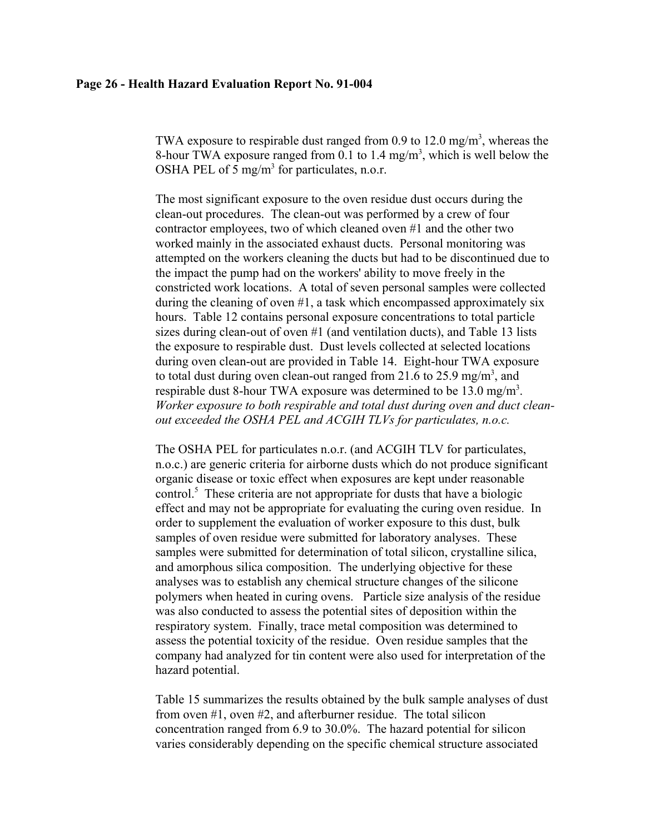#### **Page 26 - Health Hazard Evaluation Report No. 91-004**

TWA exposure to respirable dust ranged from 0.9 to 12.0 mg/m<sup>3</sup>, whereas the 8-hour TWA exposure ranged from 0.1 to 1.4 mg/m<sup>3</sup>, which is well below the OSHA PEL of 5 mg/m<sup>3</sup> for particulates, n.o.r.

The most significant exposure to the oven residue dust occurs during the clean-out procedures. The clean-out was performed by a crew of four contractor employees, two of which cleaned oven #1 and the other two worked mainly in the associated exhaust ducts. Personal monitoring was attempted on the workers cleaning the ducts but had to be discontinued due to the impact the pump had on the workers' ability to move freely in the constricted work locations. A total of seven personal samples were collected during the cleaning of oven #1, a task which encompassed approximately six hours. Table 12 contains personal exposure concentrations to total particle sizes during clean-out of oven #1 (and ventilation ducts), and Table 13 lists the exposure to respirable dust. Dust levels collected at selected locations during oven clean-out are provided in Table 14. Eight-hour TWA exposure to total dust during oven clean-out ranged from 21.6 to 25.9 mg/m<sup>3</sup>, and respirable dust 8-hour TWA exposure was determined to be  $13.0 \text{ mg/m}^3$ . *Worker exposure to both respirable and total dust during oven and duct cleanout exceeded the OSHA PEL and ACGIH TLVs for particulates, n.o.c.*

The OSHA PEL for particulates n.o.r. (and ACGIH TLV for particulates, n.o.c.) are generic criteria for airborne dusts which do not produce significant organic disease or toxic effect when exposures are kept under reasonable control.<sup>5</sup> These criteria are not appropriate for dusts that have a biologic effect and may not be appropriate for evaluating the curing oven residue. In order to supplement the evaluation of worker exposure to this dust, bulk samples of oven residue were submitted for laboratory analyses. These samples were submitted for determination of total silicon, crystalline silica, and amorphous silica composition. The underlying objective for these analyses was to establish any chemical structure changes of the silicone polymers when heated in curing ovens. Particle size analysis of the residue was also conducted to assess the potential sites of deposition within the respiratory system. Finally, trace metal composition was determined to assess the potential toxicity of the residue. Oven residue samples that the company had analyzed for tin content were also used for interpretation of the hazard potential.

Table 15 summarizes the results obtained by the bulk sample analyses of dust from oven #1, oven #2, and afterburner residue. The total silicon concentration ranged from 6.9 to 30.0%. The hazard potential for silicon varies considerably depending on the specific chemical structure associated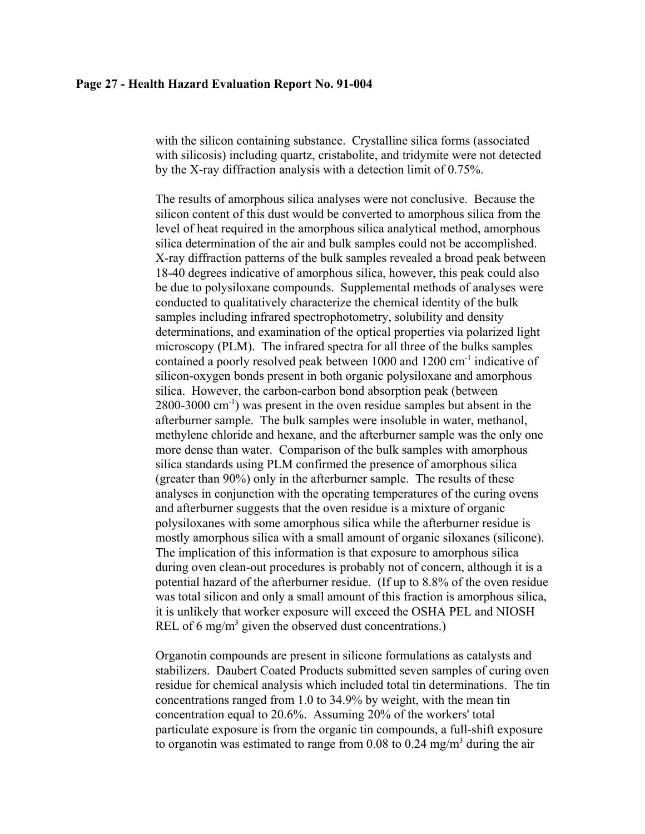with the silicon containing substance. Crystalline silica forms (associated with silicosis) including quartz, cristabolite, and tridymite were not detected by the X-ray diffraction analysis with a detection limit of 0.75%.

The results of amorphous silica analyses were not conclusive. Because the silicon content of this dust would be converted to amorphous silica from the level of heat required in the amorphous silica analytical method, amorphous silica determination of the air and bulk samples could not be accomplished. X-ray diffraction patterns of the bulk samples revealed a broad peak between 18-40 degrees indicative of amorphous silica, however, this peak could also be due to polysiloxane compounds. Supplemental methods of analyses were conducted to qualitatively characterize the chemical identity of the bulk samples including infrared spectrophotometry, solubility and density determinations, and examination of the optical properties via polarized light microscopy (PLM). The infrared spectra for all three of the bulks samples contained a poorly resolved peak between 1000 and 1200 cm<sup>-1</sup> indicative of silicon-oxygen bonds present in both organic polysiloxane and amorphous silica. However, the carbon-carbon bond absorption peak (between 2800-3000 cm-1) was present in the oven residue samples but absent in the afterburner sample. The bulk samples were insoluble in water, methanol, methylene chloride and hexane, and the afterburner sample was the only one more dense than water. Comparison of the bulk samples with amorphous silica standards using PLM confirmed the presence of amorphous silica (greater than 90%) only in the afterburner sample. The results of these analyses in conjunction with the operating temperatures of the curing ovens and afterburner suggests that the oven residue is a mixture of organic polysiloxanes with some amorphous silica while the afterburner residue is mostly amorphous silica with a small amount of organic siloxanes (silicone). The implication of this information is that exposure to amorphous silica during oven clean-out procedures is probably not of concern, although it is a potential hazard of the afterburner residue. (If up to 8.8% of the oven residue was total silicon and only a small amount of this fraction is amorphous silica, it is unlikely that worker exposure will exceed the OSHA PEL and NIOSH REL of 6 mg/m<sup>3</sup> given the observed dust concentrations.)

Organotin compounds are present in silicone formulations as catalysts and stabilizers. Daubert Coated Products submitted seven samples of curing oven residue for chemical analysis which included total tin determinations. The tin concentrations ranged from 1.0 to 34.9% by weight, with the mean tin concentration equal to 20.6%. Assuming 20% of the workers' total particulate exposure is from the organic tin compounds, a full-shift exposure to organotin was estimated to range from 0.08 to 0.24 mg/m<sup>3</sup> during the air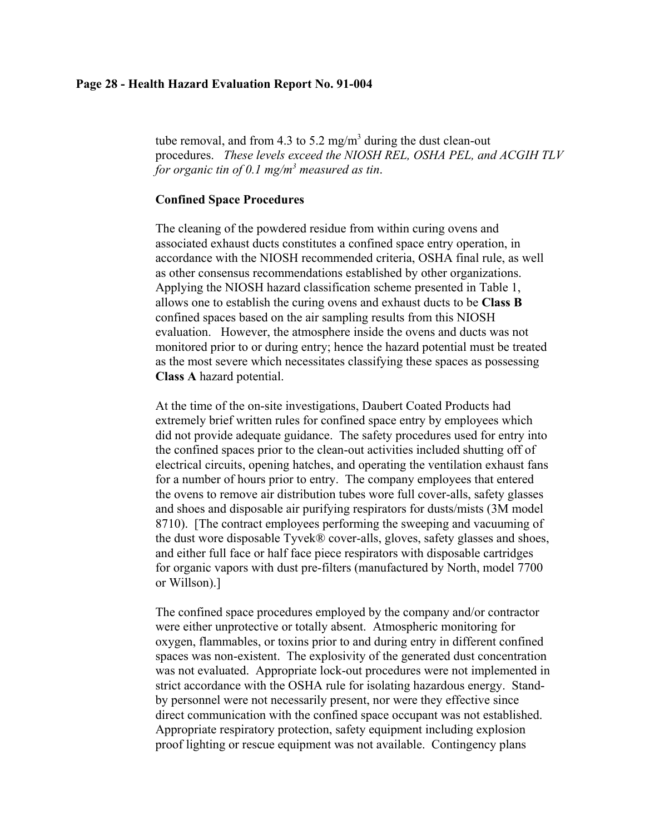#### **Page 28 - Health Hazard Evaluation Report No. 91-004**

tube removal, and from 4.3 to 5.2 mg/m<sup>3</sup> during the dust clean-out procedures. *These levels exceed the NIOSH REL, OSHA PEL, and ACGIH TLV for organic tin of 0.1 mg/m3 measured as tin*.

## **Confined Space Procedures**

The cleaning of the powdered residue from within curing ovens and associated exhaust ducts constitutes a confined space entry operation, in accordance with the NIOSH recommended criteria, OSHA final rule, as well as other consensus recommendations established by other organizations. Applying the NIOSH hazard classification scheme presented in Table 1, allows one to establish the curing ovens and exhaust ducts to be **Class B** confined spaces based on the air sampling results from this NIOSH evaluation. However, the atmosphere inside the ovens and ducts was not monitored prior to or during entry; hence the hazard potential must be treated as the most severe which necessitates classifying these spaces as possessing **Class A** hazard potential.

At the time of the on-site investigations, Daubert Coated Products had extremely brief written rules for confined space entry by employees which did not provide adequate guidance. The safety procedures used for entry into the confined spaces prior to the clean-out activities included shutting off of electrical circuits, opening hatches, and operating the ventilation exhaust fans for a number of hours prior to entry. The company employees that entered the ovens to remove air distribution tubes wore full cover-alls, safety glasses and shoes and disposable air purifying respirators for dusts/mists (3M model 8710). [The contract employees performing the sweeping and vacuuming of the dust wore disposable Tyvek® cover-alls, gloves, safety glasses and shoes, and either full face or half face piece respirators with disposable cartridges for organic vapors with dust pre-filters (manufactured by North, model 7700 or Willson).]

The confined space procedures employed by the company and/or contractor were either unprotective or totally absent. Atmospheric monitoring for oxygen, flammables, or toxins prior to and during entry in different confined spaces was non-existent. The explosivity of the generated dust concentration was not evaluated. Appropriate lock-out procedures were not implemented in strict accordance with the OSHA rule for isolating hazardous energy. Standby personnel were not necessarily present, nor were they effective since direct communication with the confined space occupant was not established. Appropriate respiratory protection, safety equipment including explosion proof lighting or rescue equipment was not available. Contingency plans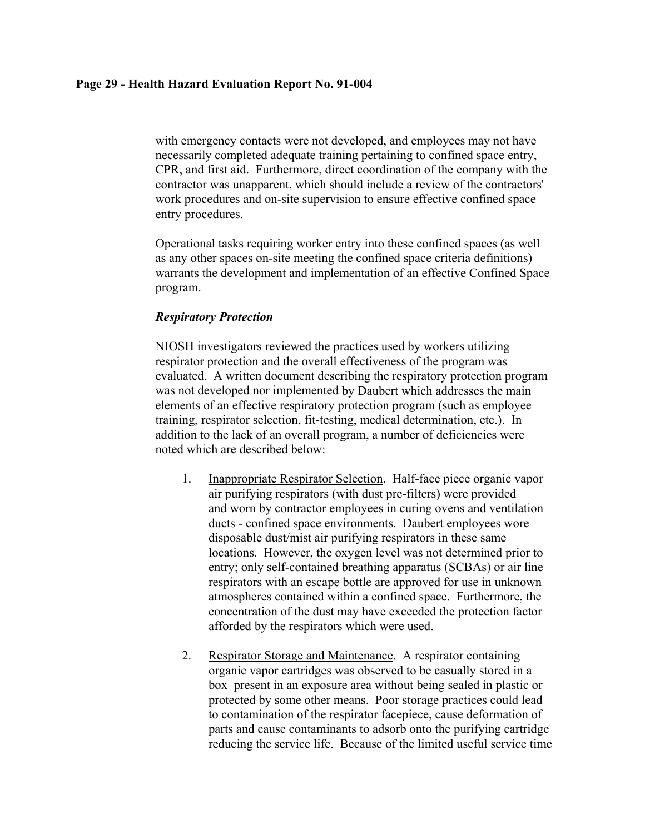with emergency contacts were not developed, and employees may not have necessarily completed adequate training pertaining to confined space entry, CPR, and first aid. Furthermore, direct coordination of the company with the contractor was unapparent, which should include a review of the contractors' work procedures and on-site supervision to ensure effective confined space entry procedures.

Operational tasks requiring worker entry into these confined spaces (as well as any other spaces on-site meeting the confined space criteria definitions) warrants the development and implementation of an effective Confined Space program.

# *Respiratory Protection*

NIOSH investigators reviewed the practices used by workers utilizing respirator protection and the overall effectiveness of the program was evaluated. A written document describing the respiratory protection program was not developed nor implemented by Daubert which addresses the main elements of an effective respiratory protection program (such as employee training, respirator selection, fit-testing, medical determination, etc.). In addition to the lack of an overall program, a number of deficiencies were noted which are described below:

- 1. Inappropriate Respirator Selection. Half-face piece organic vapor air purifying respirators (with dust pre-filters) were provided and worn by contractor employees in curing ovens and ventilation ducts - confined space environments. Daubert employees wore disposable dust/mist air purifying respirators in these same locations. However, the oxygen level was not determined prior to entry; only self-contained breathing apparatus (SCBAs) or air line respirators with an escape bottle are approved for use in unknown atmospheres contained within a confined space. Furthermore, the concentration of the dust may have exceeded the protection factor afforded by the respirators which were used.
- 2. Respirator Storage and Maintenance. A respirator containing organic vapor cartridges was observed to be casually stored in a box present in an exposure area without being sealed in plastic or protected by some other means. Poor storage practices could lead to contamination of the respirator facepiece, cause deformation of parts and cause contaminants to adsorb onto the purifying cartridge reducing the service life. Because of the limited useful service time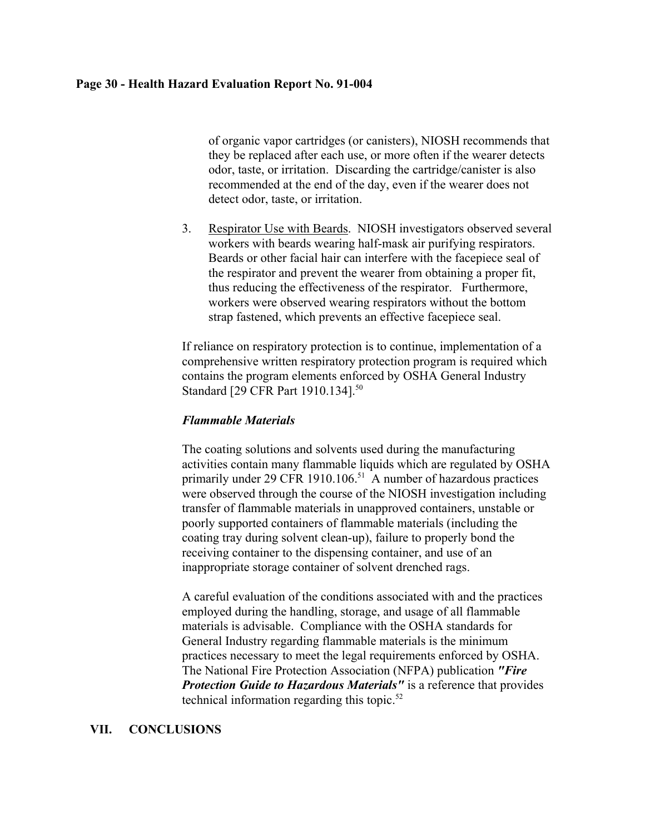#### **Page 30 - Health Hazard Evaluation Report No. 91-004**

of organic vapor cartridges (or canisters), NIOSH recommends that they be replaced after each use, or more often if the wearer detects odor, taste, or irritation. Discarding the cartridge/canister is also recommended at the end of the day, even if the wearer does not detect odor, taste, or irritation.

3. Respirator Use with Beards. NIOSH investigators observed several workers with beards wearing half-mask air purifying respirators. Beards or other facial hair can interfere with the facepiece seal of the respirator and prevent the wearer from obtaining a proper fit, thus reducing the effectiveness of the respirator. Furthermore, workers were observed wearing respirators without the bottom strap fastened, which prevents an effective facepiece seal.

If reliance on respiratory protection is to continue, implementation of a comprehensive written respiratory protection program is required which contains the program elements enforced by OSHA General Industry Standard [29 CFR Part 1910.134].<sup>50</sup>

### *Flammable Materials*

The coating solutions and solvents used during the manufacturing activities contain many flammable liquids which are regulated by OSHA primarily under 29 CFR 1910.106.<sup>51</sup> A number of hazardous practices were observed through the course of the NIOSH investigation including transfer of flammable materials in unapproved containers, unstable or poorly supported containers of flammable materials (including the coating tray during solvent clean-up), failure to properly bond the receiving container to the dispensing container, and use of an inappropriate storage container of solvent drenched rags.

A careful evaluation of the conditions associated with and the practices employed during the handling, storage, and usage of all flammable materials is advisable. Compliance with the OSHA standards for General Industry regarding flammable materials is the minimum practices necessary to meet the legal requirements enforced by OSHA. The National Fire Protection Association (NFPA) publication *"Fire Protection Guide to Hazardous Materials"* is a reference that provides technical information regarding this topic. $52$ 

# **VII. CONCLUSIONS**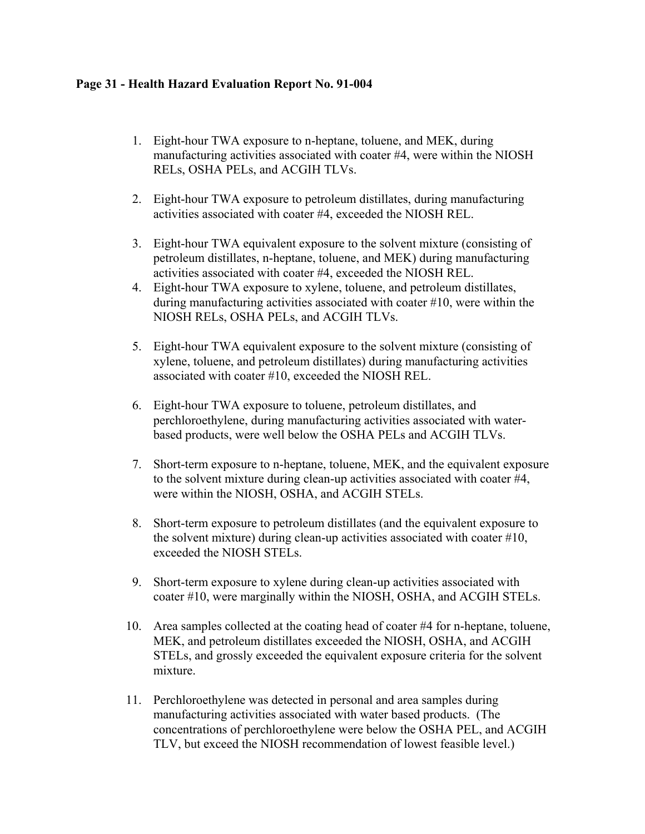# **Page 31 - Health Hazard Evaluation Report No. 91-004**

- 1. Eight-hour TWA exposure to n-heptane, toluene, and MEK, during manufacturing activities associated with coater #4, were within the NIOSH RELs, OSHA PELs, and ACGIH TLVs.
- 2. Eight-hour TWA exposure to petroleum distillates, during manufacturing activities associated with coater #4, exceeded the NIOSH REL.
- 3. Eight-hour TWA equivalent exposure to the solvent mixture (consisting of petroleum distillates, n-heptane, toluene, and MEK) during manufacturing activities associated with coater #4, exceeded the NIOSH REL.
- 4. Eight-hour TWA exposure to xylene, toluene, and petroleum distillates, during manufacturing activities associated with coater #10, were within the NIOSH RELs, OSHA PELs, and ACGIH TLVs.
- 5. Eight-hour TWA equivalent exposure to the solvent mixture (consisting of xylene, toluene, and petroleum distillates) during manufacturing activities associated with coater #10, exceeded the NIOSH REL.
- 6. Eight-hour TWA exposure to toluene, petroleum distillates, and perchloroethylene, during manufacturing activities associated with waterbased products, were well below the OSHA PELs and ACGIH TLVs.
- 7. Short-term exposure to n-heptane, toluene, MEK, and the equivalent exposure to the solvent mixture during clean-up activities associated with coater #4, were within the NIOSH, OSHA, and ACGIH STELs.
- 8. Short-term exposure to petroleum distillates (and the equivalent exposure to the solvent mixture) during clean-up activities associated with coater #10, exceeded the NIOSH STELs.
- 9. Short-term exposure to xylene during clean-up activities associated with coater #10, were marginally within the NIOSH, OSHA, and ACGIH STELs.
- 10. Area samples collected at the coating head of coater #4 for n-heptane, toluene, MEK, and petroleum distillates exceeded the NIOSH, OSHA, and ACGIH STELs, and grossly exceeded the equivalent exposure criteria for the solvent mixture.
- 11. Perchloroethylene was detected in personal and area samples during manufacturing activities associated with water based products. (The concentrations of perchloroethylene were below the OSHA PEL, and ACGIH TLV, but exceed the NIOSH recommendation of lowest feasible level.)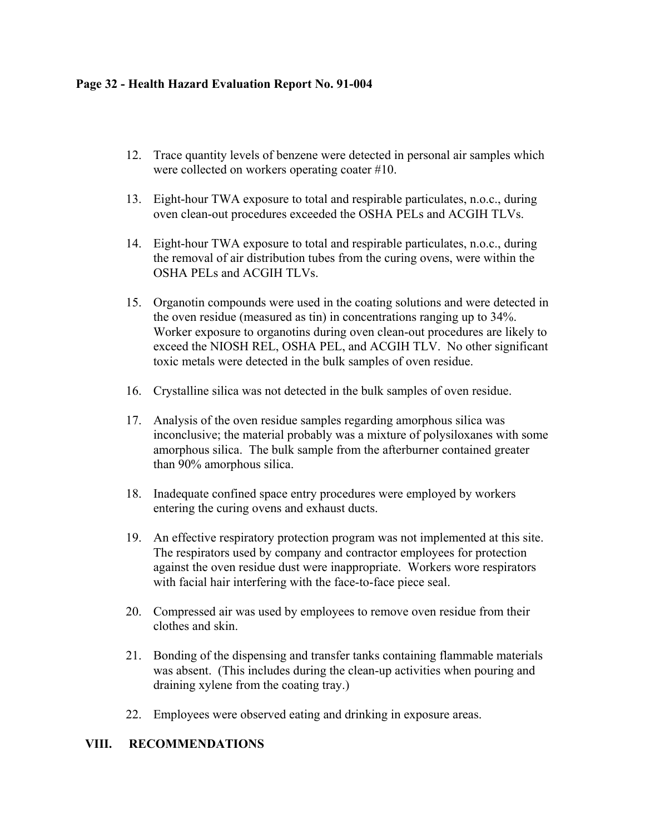# **Page 32 - Health Hazard Evaluation Report No. 91-004**

- 12. Trace quantity levels of benzene were detected in personal air samples which were collected on workers operating coater #10.
- 13. Eight-hour TWA exposure to total and respirable particulates, n.o.c., during oven clean-out procedures exceeded the OSHA PELs and ACGIH TLVs.
- 14. Eight-hour TWA exposure to total and respirable particulates, n.o.c., during the removal of air distribution tubes from the curing ovens, were within the OSHA PELs and ACGIH TLVs.
- 15. Organotin compounds were used in the coating solutions and were detected in the oven residue (measured as tin) in concentrations ranging up to 34%. Worker exposure to organotins during oven clean-out procedures are likely to exceed the NIOSH REL, OSHA PEL, and ACGIH TLV. No other significant toxic metals were detected in the bulk samples of oven residue.
- 16. Crystalline silica was not detected in the bulk samples of oven residue.
- 17. Analysis of the oven residue samples regarding amorphous silica was inconclusive; the material probably was a mixture of polysiloxanes with some amorphous silica. The bulk sample from the afterburner contained greater than 90% amorphous silica.
- 18. Inadequate confined space entry procedures were employed by workers entering the curing ovens and exhaust ducts.
- 19. An effective respiratory protection program was not implemented at this site. The respirators used by company and contractor employees for protection against the oven residue dust were inappropriate. Workers wore respirators with facial hair interfering with the face-to-face piece seal.
- 20. Compressed air was used by employees to remove oven residue from their clothes and skin.
- 21. Bonding of the dispensing and transfer tanks containing flammable materials was absent. (This includes during the clean-up activities when pouring and draining xylene from the coating tray.)
- 22. Employees were observed eating and drinking in exposure areas.

# **VIII. RECOMMENDATIONS**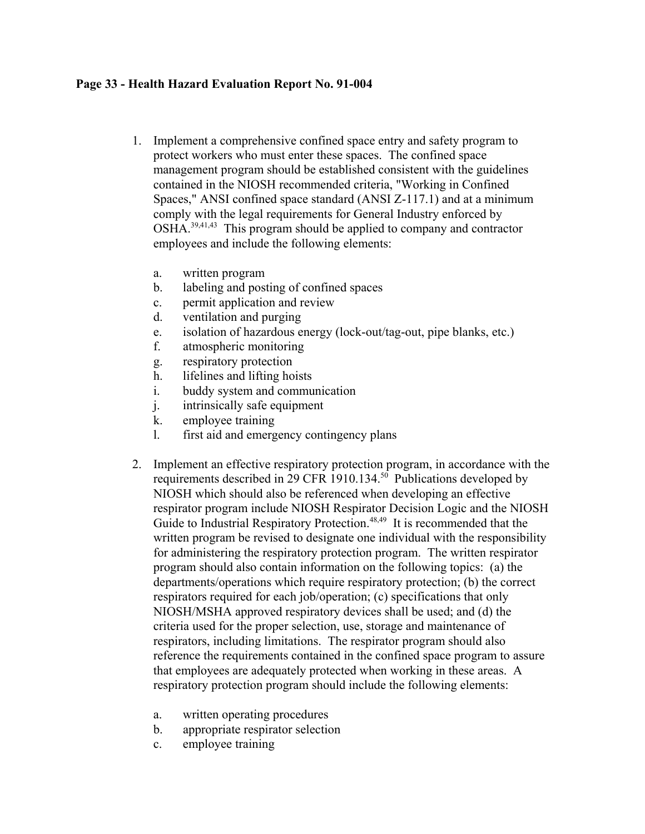# **Page 33 - Health Hazard Evaluation Report No. 91-004**

- 1. Implement a comprehensive confined space entry and safety program to protect workers who must enter these spaces. The confined space management program should be established consistent with the guidelines contained in the NIOSH recommended criteria, "Working in Confined Spaces," ANSI confined space standard (ANSI Z-117.1) and at a minimum comply with the legal requirements for General Industry enforced by OSHA.39,41,43 This program should be applied to company and contractor employees and include the following elements:
	- a. written program
	- b. labeling and posting of confined spaces
	- c. permit application and review
	- d. ventilation and purging
	- e. isolation of hazardous energy (lock-out/tag-out, pipe blanks, etc.)
	- f. atmospheric monitoring
	- g. respiratory protection
	- h. lifelines and lifting hoists
	- i. buddy system and communication
	- j. intrinsically safe equipment
	- k. employee training
	- l. first aid and emergency contingency plans
- 2. Implement an effective respiratory protection program, in accordance with the requirements described in 29 CFR 1910.134. $50$  Publications developed by NIOSH which should also be referenced when developing an effective respirator program include NIOSH Respirator Decision Logic and the NIOSH Guide to Industrial Respiratory Protection.<sup>48,49</sup> It is recommended that the written program be revised to designate one individual with the responsibility for administering the respiratory protection program. The written respirator program should also contain information on the following topics: (a) the departments/operations which require respiratory protection; (b) the correct respirators required for each job/operation; (c) specifications that only NIOSH/MSHA approved respiratory devices shall be used; and (d) the criteria used for the proper selection, use, storage and maintenance of respirators, including limitations. The respirator program should also reference the requirements contained in the confined space program to assure that employees are adequately protected when working in these areas. A respiratory protection program should include the following elements:
	- a. written operating procedures
	- b. appropriate respirator selection
	- c. employee training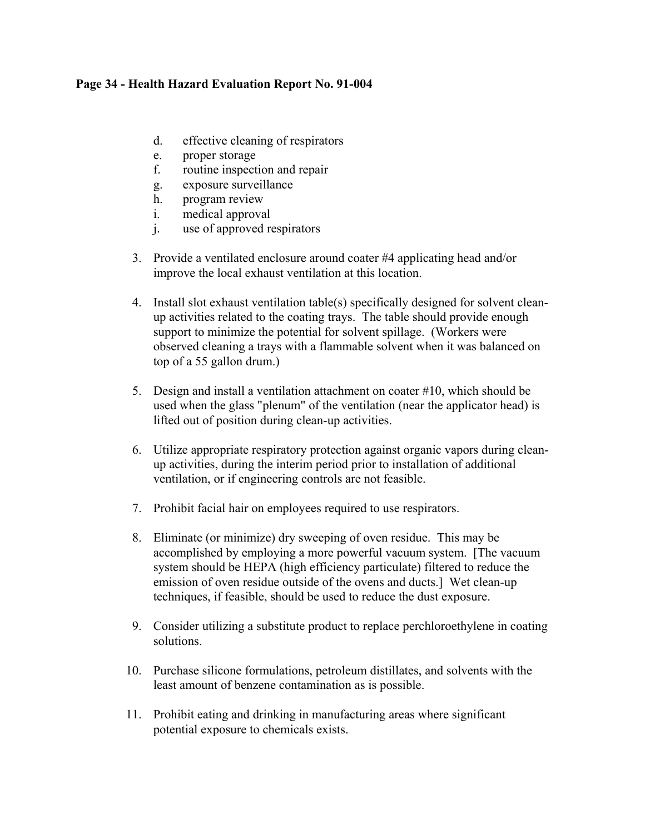# **Page 34 - Health Hazard Evaluation Report No. 91-004**

- d. effective cleaning of respirators
- e. proper storage
- f. routine inspection and repair
- g. exposure surveillance
- h. program review
- i. medical approval
- j. use of approved respirators
- 3. Provide a ventilated enclosure around coater #4 applicating head and/or improve the local exhaust ventilation at this location.
- 4. Install slot exhaust ventilation table(s) specifically designed for solvent cleanup activities related to the coating trays. The table should provide enough support to minimize the potential for solvent spillage. (Workers were observed cleaning a trays with a flammable solvent when it was balanced on top of a 55 gallon drum.)
- 5. Design and install a ventilation attachment on coater #10, which should be used when the glass "plenum" of the ventilation (near the applicator head) is lifted out of position during clean-up activities.
- 6. Utilize appropriate respiratory protection against organic vapors during cleanup activities, during the interim period prior to installation of additional ventilation, or if engineering controls are not feasible.
- 7. Prohibit facial hair on employees required to use respirators.
- 8. Eliminate (or minimize) dry sweeping of oven residue. This may be accomplished by employing a more powerful vacuum system. [The vacuum system should be HEPA (high efficiency particulate) filtered to reduce the emission of oven residue outside of the ovens and ducts.] Wet clean-up techniques, if feasible, should be used to reduce the dust exposure.
- 9. Consider utilizing a substitute product to replace perchloroethylene in coating solutions.
- 10. Purchase silicone formulations, petroleum distillates, and solvents with the least amount of benzene contamination as is possible.
- 11. Prohibit eating and drinking in manufacturing areas where significant potential exposure to chemicals exists.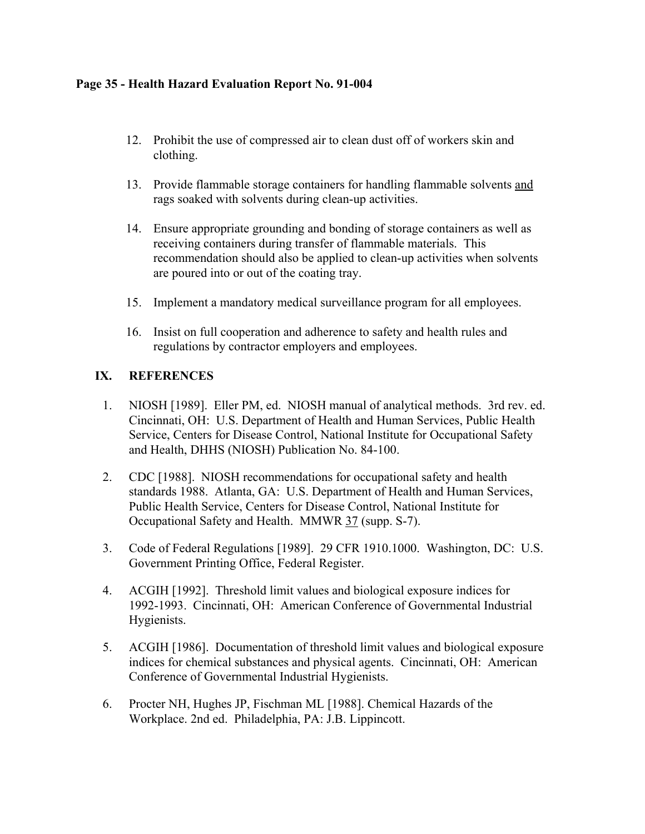# **Page 35 - Health Hazard Evaluation Report No. 91-004**

- 12. Prohibit the use of compressed air to clean dust off of workers skin and clothing.
- 13. Provide flammable storage containers for handling flammable solvents and rags soaked with solvents during clean-up activities.
- 14. Ensure appropriate grounding and bonding of storage containers as well as receiving containers during transfer of flammable materials. This recommendation should also be applied to clean-up activities when solvents are poured into or out of the coating tray.
- 15. Implement a mandatory medical surveillance program for all employees.
- 16. Insist on full cooperation and adherence to safety and health rules and regulations by contractor employers and employees.

# **IX. REFERENCES**

- 1. NIOSH [1989]. Eller PM, ed. NIOSH manual of analytical methods. 3rd rev. ed. Cincinnati, OH: U.S. Department of Health and Human Services, Public Health Service, Centers for Disease Control, National Institute for Occupational Safety and Health, DHHS (NIOSH) Publication No. 84-100.
- 2. CDC [1988]. NIOSH recommendations for occupational safety and health standards 1988. Atlanta, GA: U.S. Department of Health and Human Services, Public Health Service, Centers for Disease Control, National Institute for Occupational Safety and Health. MMWR 37 (supp. S-7).
- 3. Code of Federal Regulations [1989]. 29 CFR 1910.1000. Washington, DC: U.S. Government Printing Office, Federal Register.
- 4. ACGIH [1992]. Threshold limit values and biological exposure indices for 1992-1993. Cincinnati, OH: American Conference of Governmental Industrial Hygienists.
- 5. ACGIH [1986]. Documentation of threshold limit values and biological exposure indices for chemical substances and physical agents. Cincinnati, OH: American Conference of Governmental Industrial Hygienists.
- 6. Procter NH, Hughes JP, Fischman ML [1988]. Chemical Hazards of the Workplace. 2nd ed. Philadelphia, PA: J.B. Lippincott.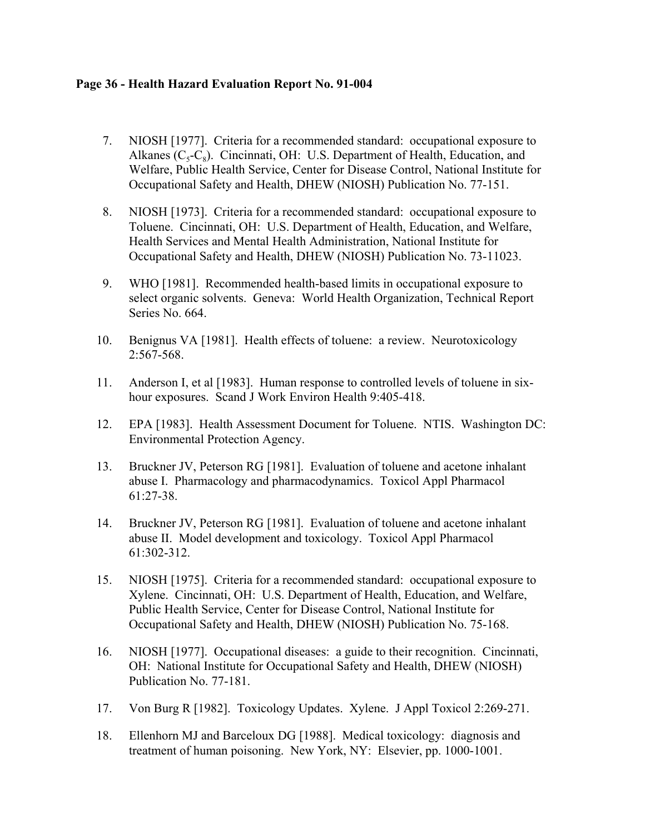## **Page 36 - Health Hazard Evaluation Report No. 91-004**

- 7. NIOSH [1977]. Criteria for a recommended standard: occupational exposure to Alkanes  $(C_5-C_8)$ . Cincinnati, OH: U.S. Department of Health, Education, and Welfare, Public Health Service, Center for Disease Control, National Institute for Occupational Safety and Health, DHEW (NIOSH) Publication No. 77-151.
- 8. NIOSH [1973]. Criteria for a recommended standard: occupational exposure to Toluene. Cincinnati, OH: U.S. Department of Health, Education, and Welfare, Health Services and Mental Health Administration, National Institute for Occupational Safety and Health, DHEW (NIOSH) Publication No. 73-11023.
- 9. WHO [1981]. Recommended health-based limits in occupational exposure to select organic solvents. Geneva: World Health Organization, Technical Report Series No. 664.
- 10. Benignus VA [1981]. Health effects of toluene: a review. Neurotoxicology 2:567-568.
- 11. Anderson I, et al [1983]. Human response to controlled levels of toluene in sixhour exposures. Scand J Work Environ Health 9:405-418.
- 12. EPA [1983]. Health Assessment Document for Toluene. NTIS. Washington DC: Environmental Protection Agency.
- 13. Bruckner JV, Peterson RG [1981]. Evaluation of toluene and acetone inhalant abuse I. Pharmacology and pharmacodynamics. Toxicol Appl Pharmacol 61:27-38.
- 14. Bruckner JV, Peterson RG [1981]. Evaluation of toluene and acetone inhalant abuse II. Model development and toxicology. Toxicol Appl Pharmacol 61:302-312.
- 15. NIOSH [1975]. Criteria for a recommended standard: occupational exposure to Xylene. Cincinnati, OH: U.S. Department of Health, Education, and Welfare, Public Health Service, Center for Disease Control, National Institute for Occupational Safety and Health, DHEW (NIOSH) Publication No. 75-168.
- 16. NIOSH [1977]. Occupational diseases: a guide to their recognition. Cincinnati, OH: National Institute for Occupational Safety and Health, DHEW (NIOSH) Publication No. 77-181.
- 17. Von Burg R [1982]. Toxicology Updates. Xylene. J Appl Toxicol 2:269-271.
- 18. Ellenhorn MJ and Barceloux DG [1988]. Medical toxicology: diagnosis and treatment of human poisoning. New York, NY: Elsevier, pp. 1000-1001.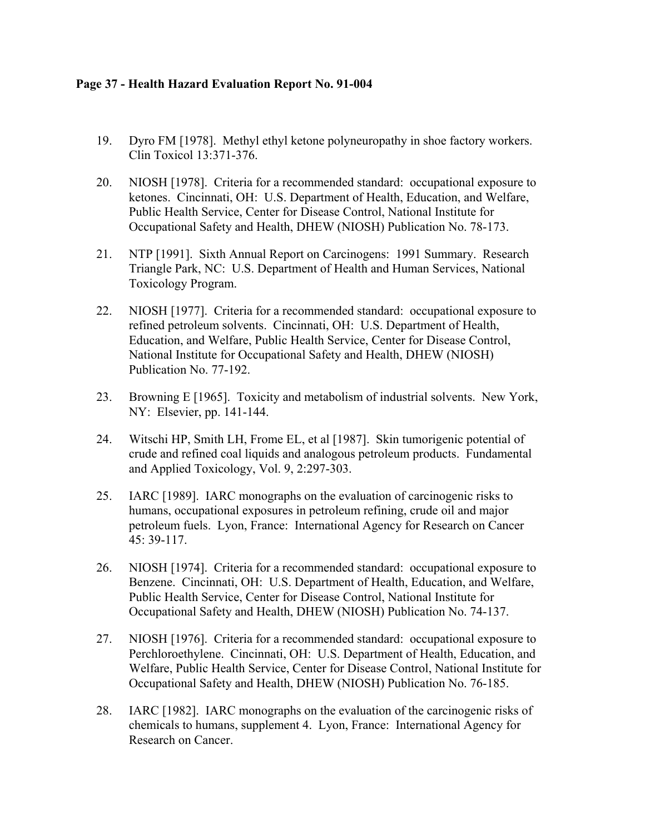# **Page 37 - Health Hazard Evaluation Report No. 91-004**

- 19. Dyro FM [1978]. Methyl ethyl ketone polyneuropathy in shoe factory workers. Clin Toxicol 13:371-376.
- 20. NIOSH [1978]. Criteria for a recommended standard: occupational exposure to ketones. Cincinnati, OH: U.S. Department of Health, Education, and Welfare, Public Health Service, Center for Disease Control, National Institute for Occupational Safety and Health, DHEW (NIOSH) Publication No. 78-173.
- 21. NTP [1991]. Sixth Annual Report on Carcinogens: 1991 Summary. Research Triangle Park, NC: U.S. Department of Health and Human Services, National Toxicology Program.
- 22. NIOSH [1977]. Criteria for a recommended standard: occupational exposure to refined petroleum solvents. Cincinnati, OH: U.S. Department of Health, Education, and Welfare, Public Health Service, Center for Disease Control, National Institute for Occupational Safety and Health, DHEW (NIOSH) Publication No. 77-192.
- 23. Browning E [1965]. Toxicity and metabolism of industrial solvents. New York, NY: Elsevier, pp. 141-144.
- 24. Witschi HP, Smith LH, Frome EL, et al [1987]. Skin tumorigenic potential of crude and refined coal liquids and analogous petroleum products. Fundamental and Applied Toxicology, Vol. 9, 2:297-303.
- 25. IARC [1989]. IARC monographs on the evaluation of carcinogenic risks to humans, occupational exposures in petroleum refining, crude oil and major petroleum fuels. Lyon, France: International Agency for Research on Cancer 45: 39-117.
- 26. NIOSH [1974]. Criteria for a recommended standard: occupational exposure to Benzene. Cincinnati, OH: U.S. Department of Health, Education, and Welfare, Public Health Service, Center for Disease Control, National Institute for Occupational Safety and Health, DHEW (NIOSH) Publication No. 74-137.
- 27. NIOSH [1976]. Criteria for a recommended standard: occupational exposure to Perchloroethylene. Cincinnati, OH: U.S. Department of Health, Education, and Welfare, Public Health Service, Center for Disease Control, National Institute for Occupational Safety and Health, DHEW (NIOSH) Publication No. 76-185.
- 28. IARC [1982]. IARC monographs on the evaluation of the carcinogenic risks of chemicals to humans, supplement 4. Lyon, France: International Agency for Research on Cancer.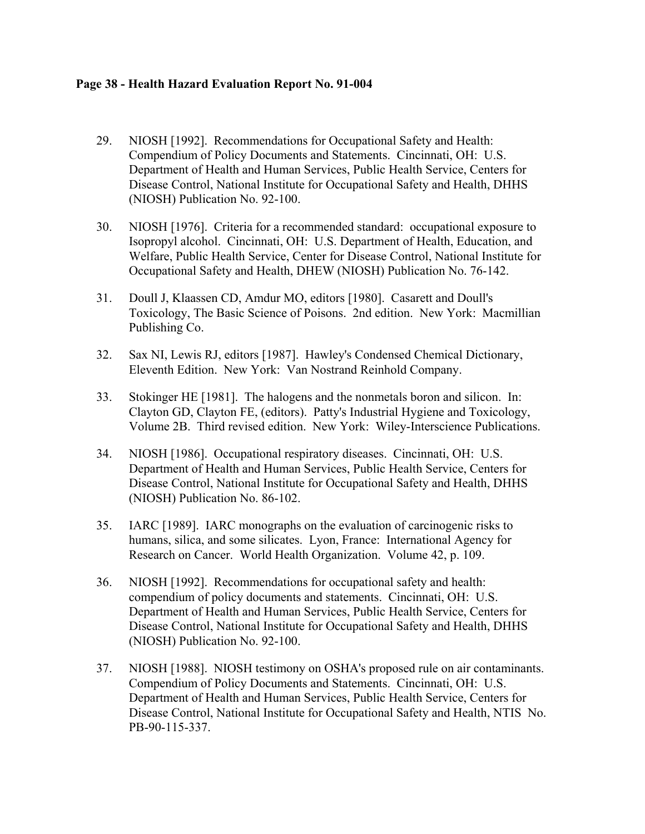# **Page 38 - Health Hazard Evaluation Report No. 91-004**

- 29. NIOSH [1992]. Recommendations for Occupational Safety and Health: Compendium of Policy Documents and Statements. Cincinnati, OH: U.S. Department of Health and Human Services, Public Health Service, Centers for Disease Control, National Institute for Occupational Safety and Health, DHHS (NIOSH) Publication No. 92-100.
- 30. NIOSH [1976]. Criteria for a recommended standard: occupational exposure to Isopropyl alcohol. Cincinnati, OH: U.S. Department of Health, Education, and Welfare, Public Health Service, Center for Disease Control, National Institute for Occupational Safety and Health, DHEW (NIOSH) Publication No. 76-142.
- 31. Doull J, Klaassen CD, Amdur MO, editors [1980]. Casarett and Doull's Toxicology, The Basic Science of Poisons. 2nd edition. New York: Macmillian Publishing Co.
- 32. Sax NI, Lewis RJ, editors [1987]. Hawley's Condensed Chemical Dictionary, Eleventh Edition. New York: Van Nostrand Reinhold Company.
- 33. Stokinger HE [1981]. The halogens and the nonmetals boron and silicon. In: Clayton GD, Clayton FE, (editors). Patty's Industrial Hygiene and Toxicology, Volume 2B. Third revised edition. New York: Wiley-Interscience Publications.
- 34. NIOSH [1986]. Occupational respiratory diseases. Cincinnati, OH: U.S. Department of Health and Human Services, Public Health Service, Centers for Disease Control, National Institute for Occupational Safety and Health, DHHS (NIOSH) Publication No. 86-102.
- 35. IARC [1989]. IARC monographs on the evaluation of carcinogenic risks to humans, silica, and some silicates. Lyon, France: International Agency for Research on Cancer. World Health Organization. Volume 42, p. 109.
- 36. NIOSH [1992]. Recommendations for occupational safety and health: compendium of policy documents and statements. Cincinnati, OH: U.S. Department of Health and Human Services, Public Health Service, Centers for Disease Control, National Institute for Occupational Safety and Health, DHHS (NIOSH) Publication No. 92-100.
- 37. NIOSH [1988]. NIOSH testimony on OSHA's proposed rule on air contaminants. Compendium of Policy Documents and Statements. Cincinnati, OH: U.S. Department of Health and Human Services, Public Health Service, Centers for Disease Control, National Institute for Occupational Safety and Health, NTIS No. PB-90-115-337.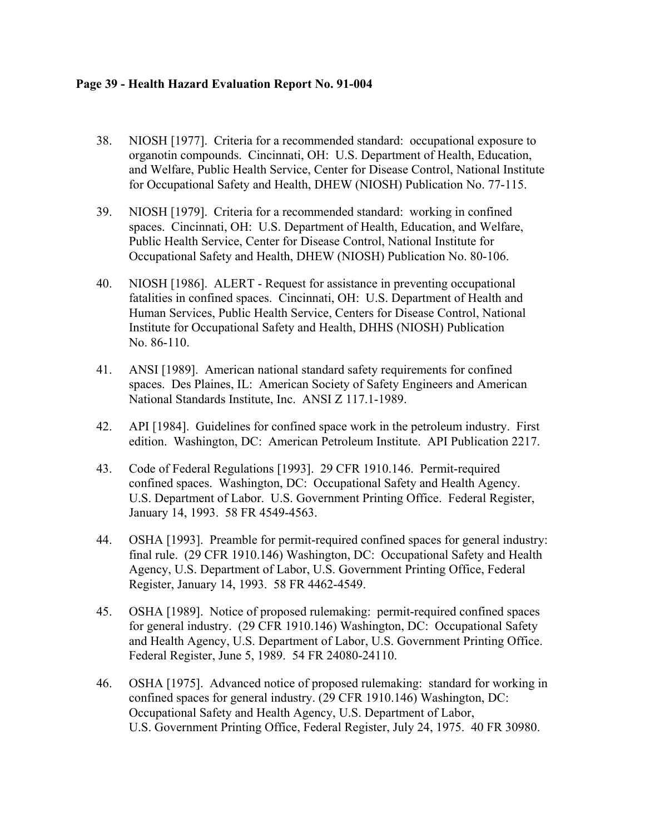## **Page 39 - Health Hazard Evaluation Report No. 91-004**

- 38. NIOSH [1977]. Criteria for a recommended standard: occupational exposure to organotin compounds. Cincinnati, OH: U.S. Department of Health, Education, and Welfare, Public Health Service, Center for Disease Control, National Institute for Occupational Safety and Health, DHEW (NIOSH) Publication No. 77-115.
- 39. NIOSH [1979]. Criteria for a recommended standard: working in confined spaces. Cincinnati, OH: U.S. Department of Health, Education, and Welfare, Public Health Service, Center for Disease Control, National Institute for Occupational Safety and Health, DHEW (NIOSH) Publication No. 80-106.
- 40. NIOSH [1986]. ALERT Request for assistance in preventing occupational fatalities in confined spaces. Cincinnati, OH: U.S. Department of Health and Human Services, Public Health Service, Centers for Disease Control, National Institute for Occupational Safety and Health, DHHS (NIOSH) Publication No. 86-110.
- 41. ANSI [1989]. American national standard safety requirements for confined spaces. Des Plaines, IL: American Society of Safety Engineers and American National Standards Institute, Inc. ANSI Z 117.1-1989.
- 42. API [1984]. Guidelines for confined space work in the petroleum industry. First edition. Washington, DC: American Petroleum Institute. API Publication 2217.
- 43. Code of Federal Regulations [1993]. 29 CFR 1910.146. Permit-required confined spaces. Washington, DC: Occupational Safety and Health Agency. U.S. Department of Labor. U.S. Government Printing Office. Federal Register, January 14, 1993. 58 FR 4549-4563.
- 44. OSHA [1993]. Preamble for permit-required confined spaces for general industry: final rule. (29 CFR 1910.146) Washington, DC: Occupational Safety and Health Agency, U.S. Department of Labor, U.S. Government Printing Office, Federal Register, January 14, 1993. 58 FR 4462-4549.
- 45. OSHA [1989]. Notice of proposed rulemaking: permit-required confined spaces for general industry. (29 CFR 1910.146) Washington, DC: Occupational Safety and Health Agency, U.S. Department of Labor, U.S. Government Printing Office. Federal Register, June 5, 1989. 54 FR 24080-24110.
- 46. OSHA [1975]. Advanced notice of proposed rulemaking: standard for working in confined spaces for general industry. (29 CFR 1910.146) Washington, DC: Occupational Safety and Health Agency, U.S. Department of Labor, U.S. Government Printing Office, Federal Register, July 24, 1975. 40 FR 30980.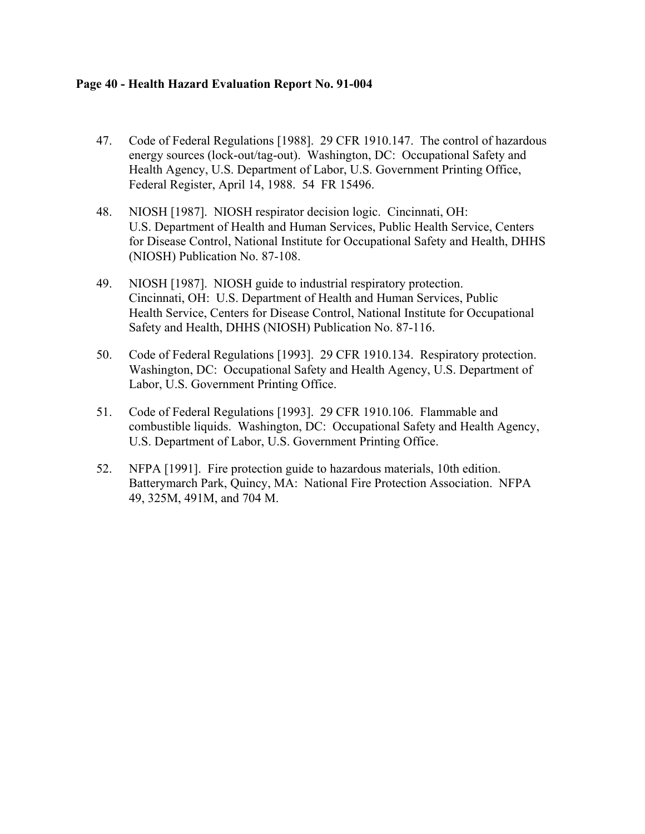## **Page 40 - Health Hazard Evaluation Report No. 91-004**

- 47. Code of Federal Regulations [1988]. 29 CFR 1910.147. The control of hazardous energy sources (lock-out/tag-out). Washington, DC: Occupational Safety and Health Agency, U.S. Department of Labor, U.S. Government Printing Office, Federal Register, April 14, 1988. 54 FR 15496.
- 48. NIOSH [1987]. NIOSH respirator decision logic. Cincinnati, OH: U.S. Department of Health and Human Services, Public Health Service, Centers for Disease Control, National Institute for Occupational Safety and Health, DHHS (NIOSH) Publication No. 87-108.
- 49. NIOSH [1987]. NIOSH guide to industrial respiratory protection. Cincinnati, OH: U.S. Department of Health and Human Services, Public Health Service, Centers for Disease Control, National Institute for Occupational Safety and Health, DHHS (NIOSH) Publication No. 87-116.
- 50. Code of Federal Regulations [1993]. 29 CFR 1910.134. Respiratory protection. Washington, DC: Occupational Safety and Health Agency, U.S. Department of Labor, U.S. Government Printing Office.
- 51. Code of Federal Regulations [1993]. 29 CFR 1910.106. Flammable and combustible liquids. Washington, DC: Occupational Safety and Health Agency, U.S. Department of Labor, U.S. Government Printing Office.
- 52. NFPA [1991]. Fire protection guide to hazardous materials, 10th edition. Batterymarch Park, Quincy, MA: National Fire Protection Association. NFPA 49, 325M, 491M, and 704 M.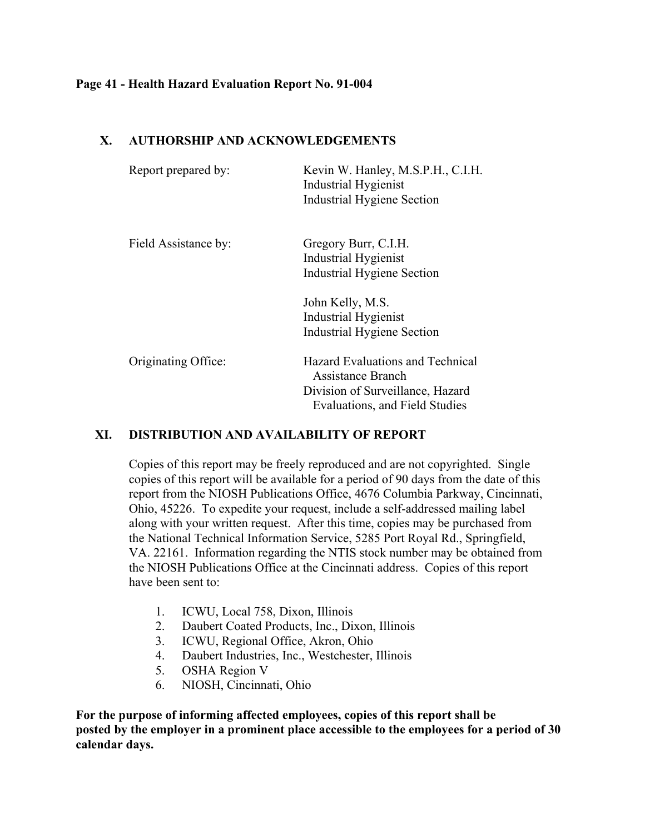## **Page 41 - Health Hazard Evaluation Report No. 91-004**

# **X. AUTHORSHIP AND ACKNOWLEDGEMENTS**

| Report prepared by:  | Kevin W. Hanley, M.S.P.H., C.I.H.<br><b>Industrial Hygienist</b><br><b>Industrial Hygiene Section</b>                              |
|----------------------|------------------------------------------------------------------------------------------------------------------------------------|
| Field Assistance by: | Gregory Burr, C.I.H.<br><b>Industrial Hygienist</b><br><b>Industrial Hygiene Section</b>                                           |
|                      | John Kelly, M.S.<br><b>Industrial Hygienist</b><br><b>Industrial Hygiene Section</b>                                               |
| Originating Office:  | <b>Hazard Evaluations and Technical</b><br>Assistance Branch<br>Division of Surveillance, Hazard<br>Evaluations, and Field Studies |

# **XI. DISTRIBUTION AND AVAILABILITY OF REPORT**

Copies of this report may be freely reproduced and are not copyrighted. Single copies of this report will be available for a period of 90 days from the date of this report from the NIOSH Publications Office, 4676 Columbia Parkway, Cincinnati, Ohio, 45226. To expedite your request, include a self-addressed mailing label along with your written request. After this time, copies may be purchased from the National Technical Information Service, 5285 Port Royal Rd., Springfield, VA. 22161. Information regarding the NTIS stock number may be obtained from the NIOSH Publications Office at the Cincinnati address. Copies of this report have been sent to:

- 1. ICWU, Local 758, Dixon, Illinois
- 2. Daubert Coated Products, Inc., Dixon, Illinois
- 3. ICWU, Regional Office, Akron, Ohio
- 4. Daubert Industries, Inc., Westchester, Illinois
- 5. OSHA Region V
- 6. NIOSH, Cincinnati, Ohio

**For the purpose of informing affected employees, copies of this report shall be posted by the employer in a prominent place accessible to the employees for a period of 30 calendar days.**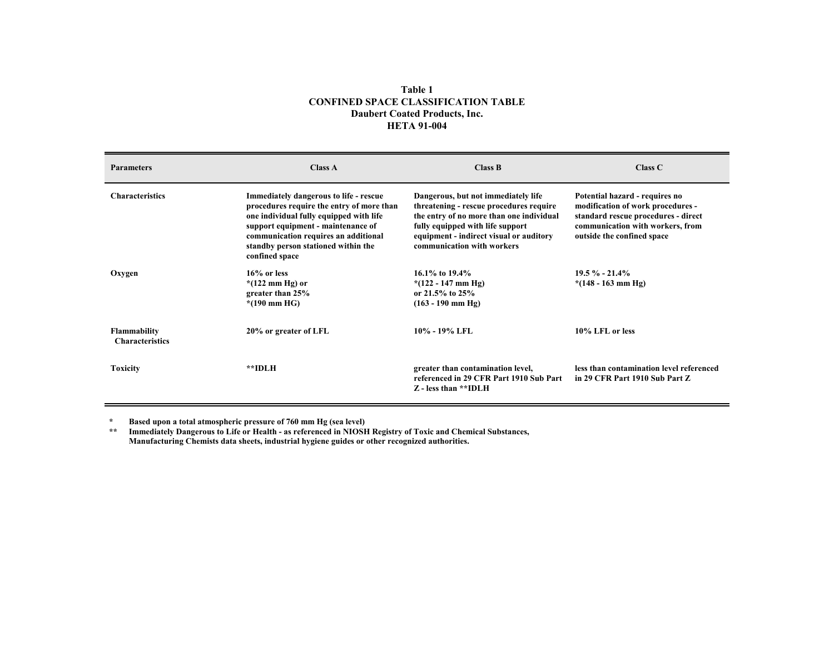#### **Table 1CONFINED SPACE CLASSIFICATION TABLEDaubert Coated Products, Inc. HETA 91-004**

| <b>Parameters</b>                             | <b>Class A</b>                                                                                                                                                                                                                                                               | Class B                                                                                                                                                                                                                                 | Class C                                                                                                                                                                      |
|-----------------------------------------------|------------------------------------------------------------------------------------------------------------------------------------------------------------------------------------------------------------------------------------------------------------------------------|-----------------------------------------------------------------------------------------------------------------------------------------------------------------------------------------------------------------------------------------|------------------------------------------------------------------------------------------------------------------------------------------------------------------------------|
| <b>Characteristics</b>                        | <b>Immediately dangerous to life - rescue</b><br>procedures require the entry of more than<br>one individual fully equipped with life<br>support equipment - maintenance of<br>communication requires an additional<br>standby person stationed within the<br>confined space | Dangerous, but not immediately life<br>threatening - rescue procedures require<br>the entry of no more than one individual<br>fully equipped with life support<br>equipment - indirect visual or auditory<br>communication with workers | Potential hazard - requires no<br>modification of work procedures -<br>standard rescue procedures - direct<br>communication with workers, from<br>outside the confined space |
| Oxygen                                        | $16\%$ or less<br>$*(122 \text{ mm Hg})$ or<br>greater than 25%<br>$*(190 \text{ mm HG})$                                                                                                                                                                                    | 16.1% to $19.4\%$<br>$*(122 - 147 \text{ mm Hg})$<br>or 21.5% to $25%$<br>$(163 - 190$ mm Hg)                                                                                                                                           | $19.5 \% - 21.4%$<br>$*(148 - 163 \text{ mm Hg})$                                                                                                                            |
| <b>Flammability</b><br><b>Characteristics</b> | 20% or greater of LFL                                                                                                                                                                                                                                                        | 10% - 19% LFL                                                                                                                                                                                                                           | 10% LFL or less                                                                                                                                                              |
| <b>Toxicity</b>                               | **IDLH                                                                                                                                                                                                                                                                       | greater than contamination level,<br>referenced in 29 CFR Part 1910 Sub Part<br>Z - less than **IDLH                                                                                                                                    | less than contamination level referenced<br>in 29 CFR Part 1910 Sub Part Z                                                                                                   |

**\* Based upon a total atmospheric pressure of 760 mm Hg (sea level)**

**\*\* Immediately Dangerous to Life or Health - as referenced in NIOSH Registry of Toxic and Chemical Substances, Manufacturing Chemists data sheets, industrial hygiene guides or other recognized authorities.**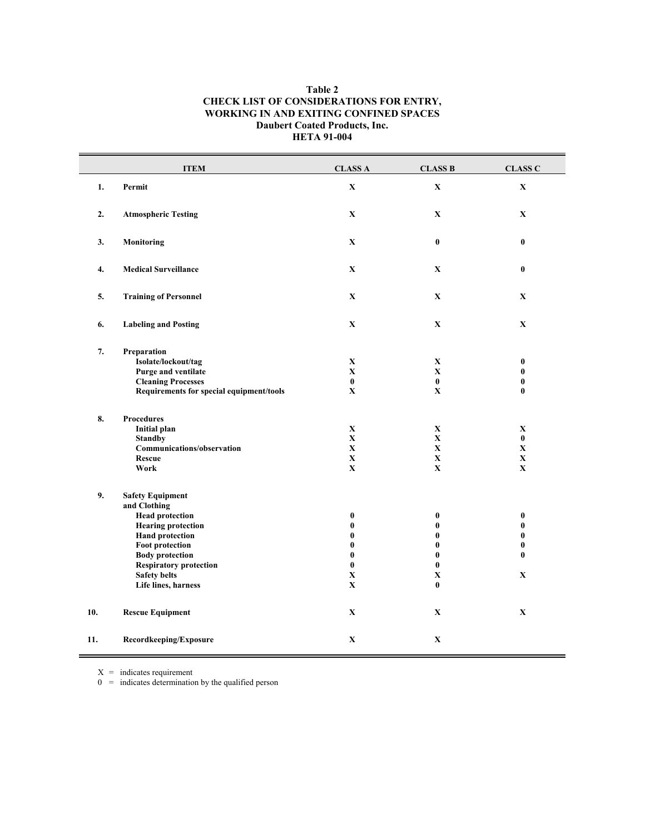#### **Table 2 CHECK LIST OF CONSIDERATIONS FOR ENTRY, WORKING IN AND EXITING CONFINED SPACES Daubert Coated Products, Inc. HETA 91-004**

|     | <b>ITEM</b>                                                                                                                                                                                                                                                 | <b>CLASS A</b>                                                                                     | <b>CLASS B</b>                                                                                   | <b>CLASS C</b>                                                          |
|-----|-------------------------------------------------------------------------------------------------------------------------------------------------------------------------------------------------------------------------------------------------------------|----------------------------------------------------------------------------------------------------|--------------------------------------------------------------------------------------------------|-------------------------------------------------------------------------|
| 1.  | Permit                                                                                                                                                                                                                                                      | $\mathbf X$                                                                                        | $\mathbf X$                                                                                      | $\mathbf X$                                                             |
| 2.  | <b>Atmospheric Testing</b>                                                                                                                                                                                                                                  | $\mathbf X$                                                                                        | $\mathbf X$                                                                                      | $\mathbf X$                                                             |
| 3.  | <b>Monitoring</b>                                                                                                                                                                                                                                           | $\mathbf X$                                                                                        | $\bf{0}$                                                                                         | $\bf{0}$                                                                |
| 4.  | <b>Medical Surveillance</b>                                                                                                                                                                                                                                 | $\mathbf X$                                                                                        | $\mathbf X$                                                                                      | $\bf{0}$                                                                |
| 5.  | <b>Training of Personnel</b>                                                                                                                                                                                                                                | $\mathbf{X}$                                                                                       | $\mathbf X$                                                                                      | $\mathbf X$                                                             |
| 6.  | <b>Labeling and Posting</b>                                                                                                                                                                                                                                 | $\mathbf X$                                                                                        | $\mathbf X$                                                                                      | $\mathbf X$                                                             |
| 7.  | Preparation<br>Isolate/lockout/tag<br><b>Purge and ventilate</b><br><b>Cleaning Processes</b><br>Requirements for special equipment/tools                                                                                                                   | $\mathbf X$<br>$\mathbf X$<br>$\pmb{0}$<br>$\mathbf X$                                             | $\mathbf X$<br>$\mathbf X$<br>$\bf{0}$<br>$\mathbf X$                                            | $\bf{0}$<br>$\bf{0}$<br>$\bf{0}$<br>$\bf{0}$                            |
| 8.  | <b>Procedures</b><br><b>Initial plan</b><br><b>Standby</b><br>Communications/observation<br><b>Rescue</b><br>Work                                                                                                                                           | $\mathbf X$<br>$\mathbf X$<br>$\mathbf X$<br>$\mathbf X$<br>$\mathbf X$                            | $\mathbf X$<br>$\mathbf X$<br>$\mathbf{X}$<br>$\mathbf X$<br>$\mathbf X$                         | $\mathbf X$<br>$\bf{0}$<br>$\mathbf X$<br>$\mathbf X$<br>$\mathbf X$    |
| 9.  | <b>Safety Equipment</b><br>and Clothing<br><b>Head protection</b><br><b>Hearing protection</b><br><b>Hand protection</b><br><b>Foot protection</b><br><b>Body protection</b><br><b>Respiratory protection</b><br><b>Safety belts</b><br>Life lines, harness | $\bf{0}$<br>$\bf{0}$<br>$\bf{0}$<br>$\bf{0}$<br>$\bf{0}$<br>$\bf{0}$<br>$\mathbf X$<br>$\mathbf X$ | $\pmb{0}$<br>$\bf{0}$<br>$\bf{0}$<br>$\bf{0}$<br>$\bf{0}$<br>$\bf{0}$<br>$\mathbf X$<br>$\bf{0}$ | $\bf{0}$<br>$\bf{0}$<br>$\bf{0}$<br>$\bf{0}$<br>$\bf{0}$<br>$\mathbf X$ |
| 10. | <b>Rescue Equipment</b>                                                                                                                                                                                                                                     | $\mathbf X$                                                                                        | $\mathbf X$                                                                                      | $\mathbf X$                                                             |
| 11. | Recordkeeping/Exposure                                                                                                                                                                                                                                      | $\mathbf X$                                                                                        | $\mathbf X$                                                                                      |                                                                         |

 $X =$  indicates requirement

 $0 =$  indicates determination by the qualified person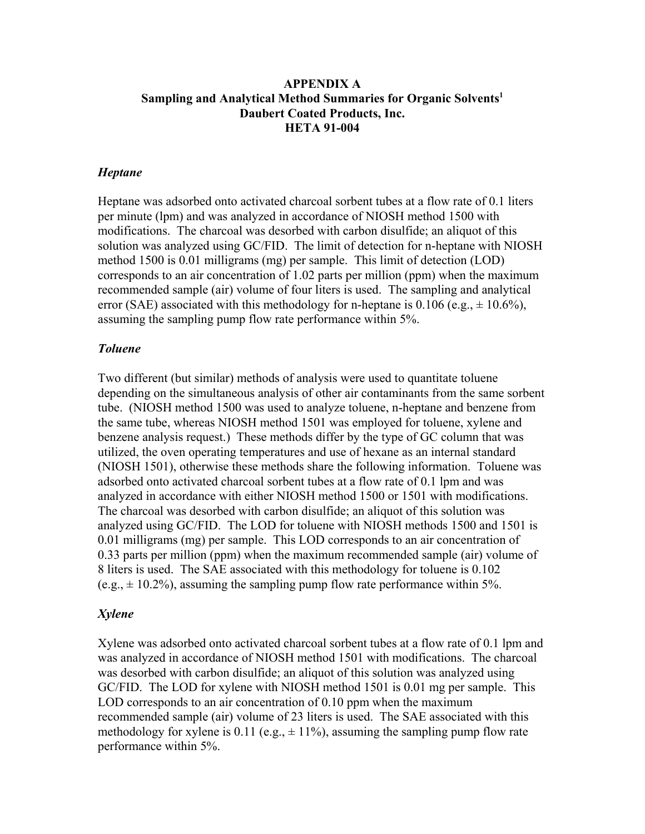# **APPENDIX A Sampling and Analytical Method Summaries for Organic Solvents1 Daubert Coated Products, Inc. HETA 91-004**

# *Heptane*

Heptane was adsorbed onto activated charcoal sorbent tubes at a flow rate of 0.1 liters per minute (lpm) and was analyzed in accordance of NIOSH method 1500 with modifications. The charcoal was desorbed with carbon disulfide; an aliquot of this solution was analyzed using GC/FID. The limit of detection for n-heptane with NIOSH method 1500 is 0.01 milligrams (mg) per sample. This limit of detection (LOD) corresponds to an air concentration of 1.02 parts per million (ppm) when the maximum recommended sample (air) volume of four liters is used. The sampling and analytical error (SAE) associated with this methodology for n-heptane is 0.106 (e.g.,  $\pm$  10.6%), assuming the sampling pump flow rate performance within 5%.

## *Toluene*

Two different (but similar) methods of analysis were used to quantitate toluene depending on the simultaneous analysis of other air contaminants from the same sorbent tube. (NIOSH method 1500 was used to analyze toluene, n-heptane and benzene from the same tube, whereas NIOSH method 1501 was employed for toluene, xylene and benzene analysis request.) These methods differ by the type of GC column that was utilized, the oven operating temperatures and use of hexane as an internal standard (NIOSH 1501), otherwise these methods share the following information. Toluene was adsorbed onto activated charcoal sorbent tubes at a flow rate of 0.1 lpm and was analyzed in accordance with either NIOSH method 1500 or 1501 with modifications. The charcoal was desorbed with carbon disulfide; an aliquot of this solution was analyzed using GC/FID. The LOD for toluene with NIOSH methods 1500 and 1501 is 0.01 milligrams (mg) per sample. This LOD corresponds to an air concentration of 0.33 parts per million (ppm) when the maximum recommended sample (air) volume of 8 liters is used. The SAE associated with this methodology for toluene is 0.102  $(e.g., \pm 10.2\%)$ , assuming the sampling pump flow rate performance within 5%.

# *Xylene*

Xylene was adsorbed onto activated charcoal sorbent tubes at a flow rate of 0.1 lpm and was analyzed in accordance of NIOSH method 1501 with modifications. The charcoal was desorbed with carbon disulfide; an aliquot of this solution was analyzed using GC/FID. The LOD for xylene with NIOSH method 1501 is 0.01 mg per sample. This LOD corresponds to an air concentration of 0.10 ppm when the maximum recommended sample (air) volume of 23 liters is used. The SAE associated with this methodology for xylene is 0.11 (e.g.,  $\pm$  11%), assuming the sampling pump flow rate performance within 5%.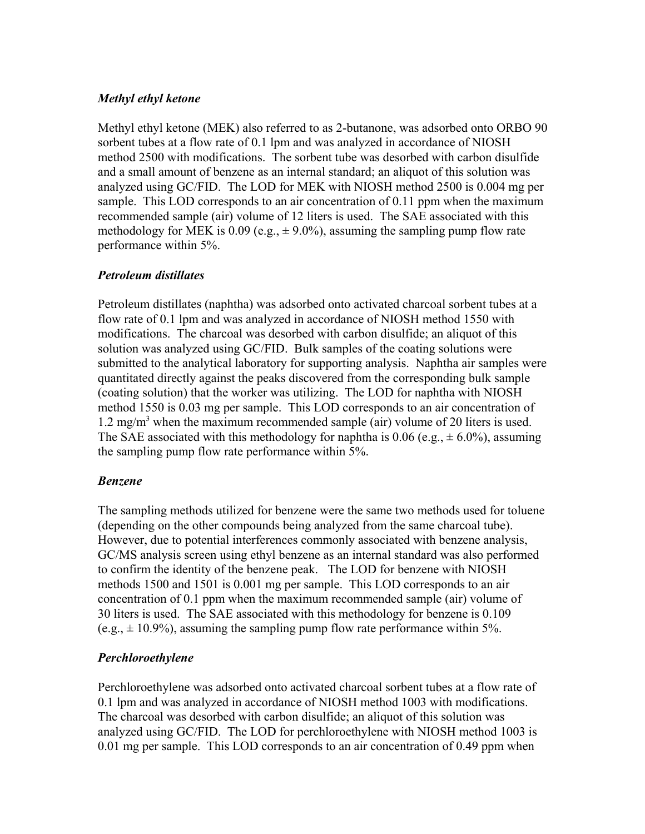# *Methyl ethyl ketone*

Methyl ethyl ketone (MEK) also referred to as 2-butanone, was adsorbed onto ORBO 90 sorbent tubes at a flow rate of 0.1 lpm and was analyzed in accordance of NIOSH method 2500 with modifications. The sorbent tube was desorbed with carbon disulfide and a small amount of benzene as an internal standard; an aliquot of this solution was analyzed using GC/FID. The LOD for MEK with NIOSH method 2500 is 0.004 mg per sample. This LOD corresponds to an air concentration of 0.11 ppm when the maximum recommended sample (air) volume of 12 liters is used. The SAE associated with this methodology for MEK is 0.09 (e.g.,  $\pm$  9.0%), assuming the sampling pump flow rate performance within 5%.

# *Petroleum distillates*

Petroleum distillates (naphtha) was adsorbed onto activated charcoal sorbent tubes at a flow rate of 0.1 lpm and was analyzed in accordance of NIOSH method 1550 with modifications. The charcoal was desorbed with carbon disulfide; an aliquot of this solution was analyzed using GC/FID. Bulk samples of the coating solutions were submitted to the analytical laboratory for supporting analysis. Naphtha air samples were quantitated directly against the peaks discovered from the corresponding bulk sample (coating solution) that the worker was utilizing. The LOD for naphtha with NIOSH method 1550 is 0.03 mg per sample. This LOD corresponds to an air concentration of 1.2 mg/m3 when the maximum recommended sample (air) volume of 20 liters is used. The SAE associated with this methodology for naphtha is 0.06 (e.g.,  $\pm$  6.0%), assuming the sampling pump flow rate performance within 5%.

# *Benzene*

The sampling methods utilized for benzene were the same two methods used for toluene (depending on the other compounds being analyzed from the same charcoal tube). However, due to potential interferences commonly associated with benzene analysis, GC/MS analysis screen using ethyl benzene as an internal standard was also performed to confirm the identity of the benzene peak. The LOD for benzene with NIOSH methods 1500 and 1501 is 0.001 mg per sample. This LOD corresponds to an air concentration of 0.1 ppm when the maximum recommended sample (air) volume of 30 liters is used. The SAE associated with this methodology for benzene is 0.109  $(e.g., \pm 10.9\%)$ , assuming the sampling pump flow rate performance within 5%.

# *Perchloroethylene*

Perchloroethylene was adsorbed onto activated charcoal sorbent tubes at a flow rate of 0.1 lpm and was analyzed in accordance of NIOSH method 1003 with modifications. The charcoal was desorbed with carbon disulfide; an aliquot of this solution was analyzed using GC/FID. The LOD for perchloroethylene with NIOSH method 1003 is 0.01 mg per sample. This LOD corresponds to an air concentration of 0.49 ppm when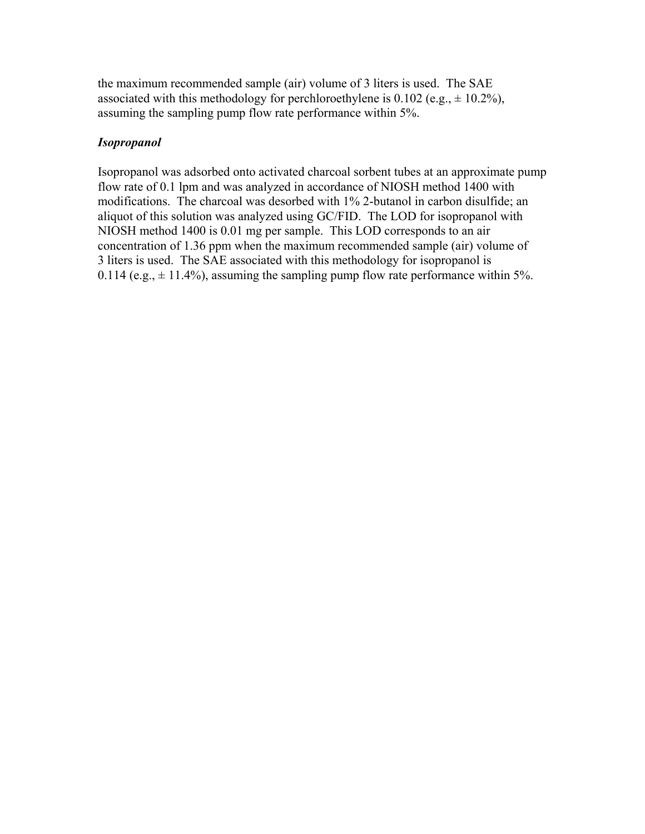the maximum recommended sample (air) volume of 3 liters is used. The SAE associated with this methodology for perchloroethylene is 0.102 (e.g.,  $\pm$  10.2%), assuming the sampling pump flow rate performance within 5%.

# *Isopropanol*

Isopropanol was adsorbed onto activated charcoal sorbent tubes at an approximate pump flow rate of 0.1 lpm and was analyzed in accordance of NIOSH method 1400 with modifications. The charcoal was desorbed with 1% 2-butanol in carbon disulfide; an aliquot of this solution was analyzed using GC/FID. The LOD for isopropanol with NIOSH method 1400 is 0.01 mg per sample. This LOD corresponds to an air concentration of 1.36 ppm when the maximum recommended sample (air) volume of 3 liters is used. The SAE associated with this methodology for isopropanol is 0.114 (e.g.,  $\pm$  11.4%), assuming the sampling pump flow rate performance within 5%.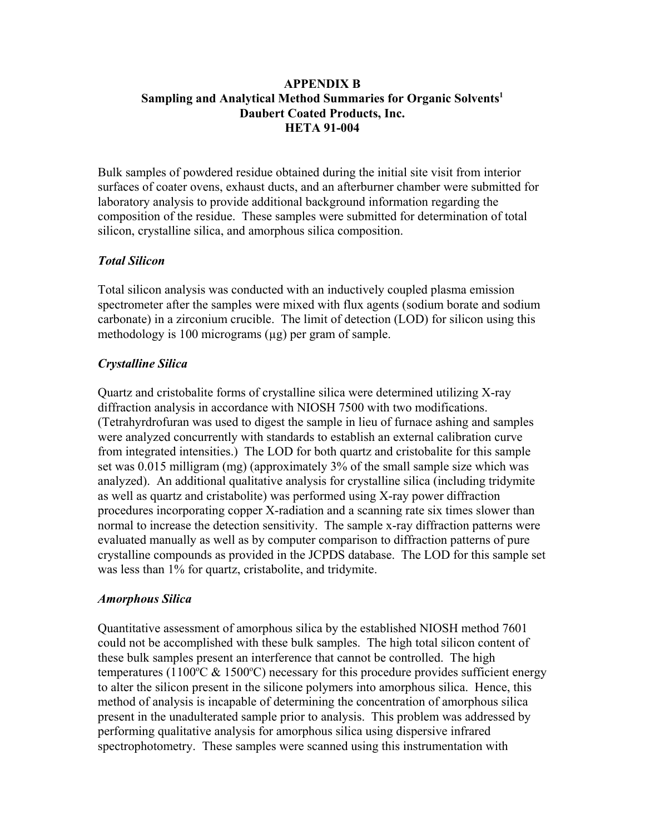# **APPENDIX B Sampling and Analytical Method Summaries for Organic Solvents1 Daubert Coated Products, Inc. HETA 91-004**

Bulk samples of powdered residue obtained during the initial site visit from interior surfaces of coater ovens, exhaust ducts, and an afterburner chamber were submitted for laboratory analysis to provide additional background information regarding the composition of the residue. These samples were submitted for determination of total silicon, crystalline silica, and amorphous silica composition.

# *Total Silicon*

Total silicon analysis was conducted with an inductively coupled plasma emission spectrometer after the samples were mixed with flux agents (sodium borate and sodium carbonate) in a zirconium crucible. The limit of detection (LOD) for silicon using this methodology is 100 micrograms  $(\mu g)$  per gram of sample.

# *Crystalline Silica*

Quartz and cristobalite forms of crystalline silica were determined utilizing X-ray diffraction analysis in accordance with NIOSH 7500 with two modifications. (Tetrahyrdrofuran was used to digest the sample in lieu of furnace ashing and samples were analyzed concurrently with standards to establish an external calibration curve from integrated intensities.) The LOD for both quartz and cristobalite for this sample set was 0.015 milligram (mg) (approximately 3% of the small sample size which was analyzed). An additional qualitative analysis for crystalline silica (including tridymite as well as quartz and cristabolite) was performed using X-ray power diffraction procedures incorporating copper X-radiation and a scanning rate six times slower than normal to increase the detection sensitivity. The sample x-ray diffraction patterns were evaluated manually as well as by computer comparison to diffraction patterns of pure crystalline compounds as provided in the JCPDS database. The LOD for this sample set was less than 1% for quartz, cristabolite, and tridymite.

# *Amorphous Silica*

Quantitative assessment of amorphous silica by the established NIOSH method 7601 could not be accomplished with these bulk samples. The high total silicon content of these bulk samples present an interference that cannot be controlled. The high temperatures (1100°C & 1500°C) necessary for this procedure provides sufficient energy to alter the silicon present in the silicone polymers into amorphous silica. Hence, this method of analysis is incapable of determining the concentration of amorphous silica present in the unadulterated sample prior to analysis. This problem was addressed by performing qualitative analysis for amorphous silica using dispersive infrared spectrophotometry. These samples were scanned using this instrumentation with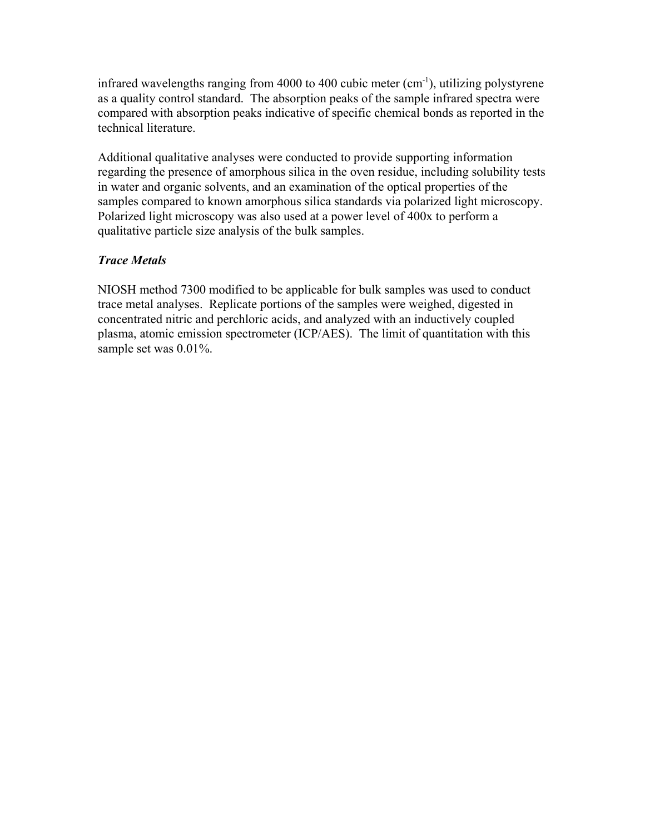infrared wavelengths ranging from 4000 to 400 cubic meter  $(cm<sup>-1</sup>)$ , utilizing polystyrene as a quality control standard. The absorption peaks of the sample infrared spectra were compared with absorption peaks indicative of specific chemical bonds as reported in the technical literature.

Additional qualitative analyses were conducted to provide supporting information regarding the presence of amorphous silica in the oven residue, including solubility tests in water and organic solvents, and an examination of the optical properties of the samples compared to known amorphous silica standards via polarized light microscopy. Polarized light microscopy was also used at a power level of 400x to perform a qualitative particle size analysis of the bulk samples.

# *Trace Metals*

NIOSH method 7300 modified to be applicable for bulk samples was used to conduct trace metal analyses. Replicate portions of the samples were weighed, digested in concentrated nitric and perchloric acids, and analyzed with an inductively coupled plasma, atomic emission spectrometer (ICP/AES). The limit of quantitation with this sample set was 0.01%.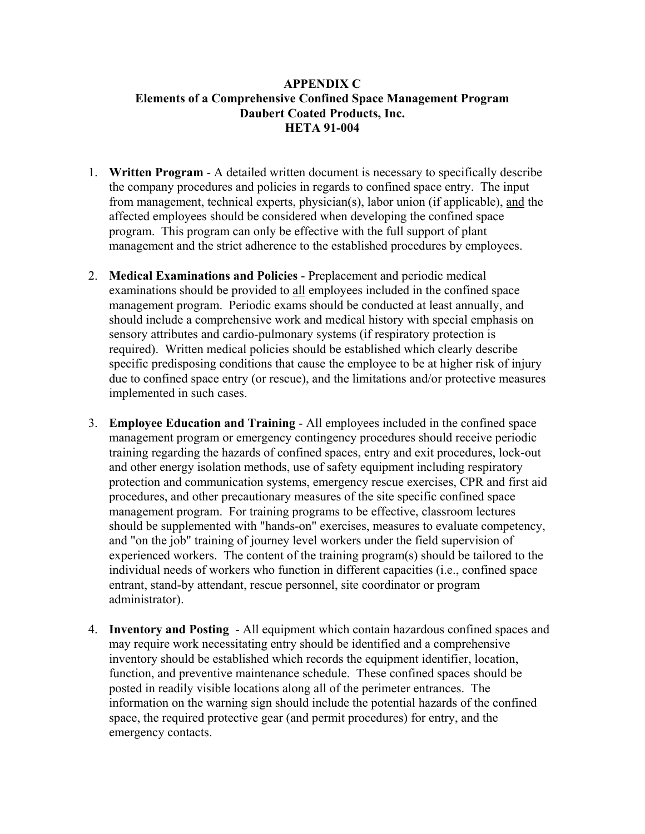# **APPENDIX C Elements of a Comprehensive Confined Space Management Program Daubert Coated Products, Inc. HETA 91-004**

- 1. **Written Program** A detailed written document is necessary to specifically describe the company procedures and policies in regards to confined space entry. The input from management, technical experts, physician(s), labor union (if applicable), and the affected employees should be considered when developing the confined space program. This program can only be effective with the full support of plant management and the strict adherence to the established procedures by employees.
- 2. **Medical Examinations and Policies** Preplacement and periodic medical examinations should be provided to all employees included in the confined space management program. Periodic exams should be conducted at least annually, and should include a comprehensive work and medical history with special emphasis on sensory attributes and cardio-pulmonary systems (if respiratory protection is required). Written medical policies should be established which clearly describe specific predisposing conditions that cause the employee to be at higher risk of injury due to confined space entry (or rescue), and the limitations and/or protective measures implemented in such cases.
- 3. **Employee Education and Training** All employees included in the confined space management program or emergency contingency procedures should receive periodic training regarding the hazards of confined spaces, entry and exit procedures, lock-out and other energy isolation methods, use of safety equipment including respiratory protection and communication systems, emergency rescue exercises, CPR and first aid procedures, and other precautionary measures of the site specific confined space management program. For training programs to be effective, classroom lectures should be supplemented with "hands-on" exercises, measures to evaluate competency, and "on the job" training of journey level workers under the field supervision of experienced workers. The content of the training program(s) should be tailored to the individual needs of workers who function in different capacities (i.e., confined space entrant, stand-by attendant, rescue personnel, site coordinator or program administrator).
- 4. **Inventory and Posting**  All equipment which contain hazardous confined spaces and may require work necessitating entry should be identified and a comprehensive inventory should be established which records the equipment identifier, location, function, and preventive maintenance schedule. These confined spaces should be posted in readily visible locations along all of the perimeter entrances. The information on the warning sign should include the potential hazards of the confined space, the required protective gear (and permit procedures) for entry, and the emergency contacts.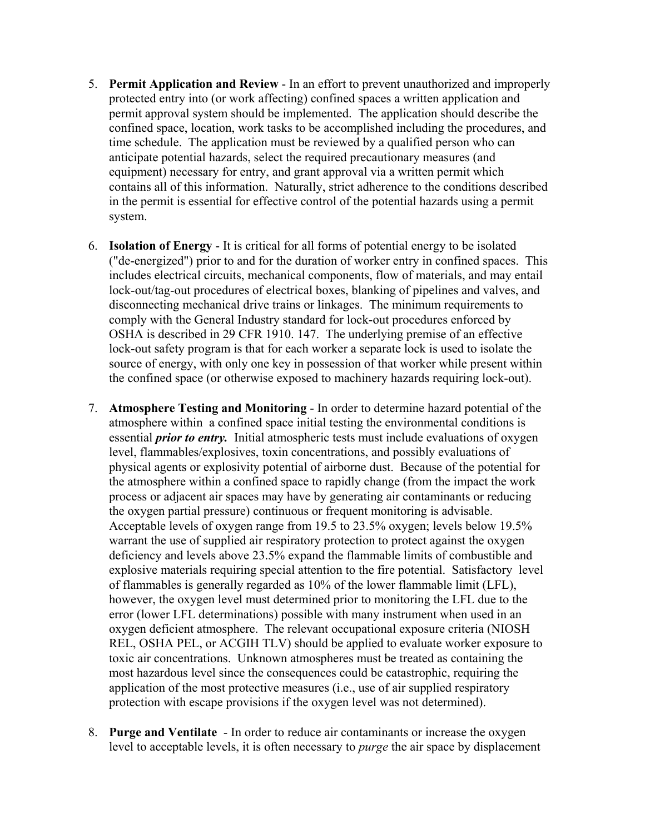- 5. **Permit Application and Review** In an effort to prevent unauthorized and improperly protected entry into (or work affecting) confined spaces a written application and permit approval system should be implemented. The application should describe the confined space, location, work tasks to be accomplished including the procedures, and time schedule. The application must be reviewed by a qualified person who can anticipate potential hazards, select the required precautionary measures (and equipment) necessary for entry, and grant approval via a written permit which contains all of this information. Naturally, strict adherence to the conditions described in the permit is essential for effective control of the potential hazards using a permit system.
- 6. **Isolation of Energy**  It is critical for all forms of potential energy to be isolated ("de-energized") prior to and for the duration of worker entry in confined spaces. This includes electrical circuits, mechanical components, flow of materials, and may entail lock-out/tag-out procedures of electrical boxes, blanking of pipelines and valves, and disconnecting mechanical drive trains or linkages. The minimum requirements to comply with the General Industry standard for lock-out procedures enforced by OSHA is described in 29 CFR 1910. 147. The underlying premise of an effective lock-out safety program is that for each worker a separate lock is used to isolate the source of energy, with only one key in possession of that worker while present within the confined space (or otherwise exposed to machinery hazards requiring lock-out).
- 7. **Atmosphere Testing and Monitoring** In order to determine hazard potential of the atmosphere within a confined space initial testing the environmental conditions is essential *prior to entry.* Initial atmospheric tests must include evaluations of oxygen level, flammables/explosives, toxin concentrations, and possibly evaluations of physical agents or explosivity potential of airborne dust. Because of the potential for the atmosphere within a confined space to rapidly change (from the impact the work process or adjacent air spaces may have by generating air contaminants or reducing the oxygen partial pressure) continuous or frequent monitoring is advisable. Acceptable levels of oxygen range from 19.5 to 23.5% oxygen; levels below 19.5% warrant the use of supplied air respiratory protection to protect against the oxygen deficiency and levels above 23.5% expand the flammable limits of combustible and explosive materials requiring special attention to the fire potential. Satisfactory level of flammables is generally regarded as 10% of the lower flammable limit (LFL), however, the oxygen level must determined prior to monitoring the LFL due to the error (lower LFL determinations) possible with many instrument when used in an oxygen deficient atmosphere. The relevant occupational exposure criteria (NIOSH REL, OSHA PEL, or ACGIH TLV) should be applied to evaluate worker exposure to toxic air concentrations. Unknown atmospheres must be treated as containing the most hazardous level since the consequences could be catastrophic, requiring the application of the most protective measures (i.e., use of air supplied respiratory protection with escape provisions if the oxygen level was not determined).
- 8. **Purge and Ventilate**  In order to reduce air contaminants or increase the oxygen level to acceptable levels, it is often necessary to *purge* the air space by displacement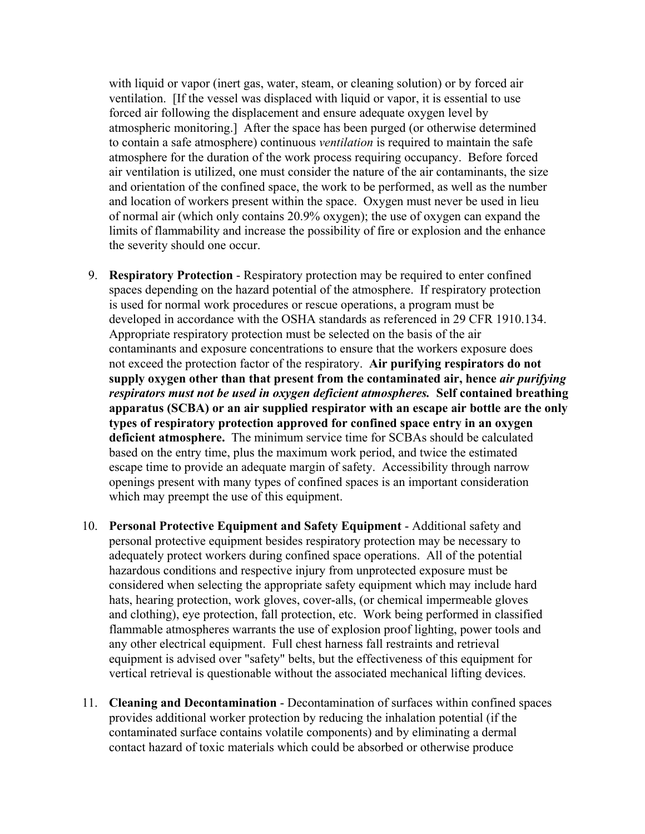with liquid or vapor (inert gas, water, steam, or cleaning solution) or by forced air ventilation. [If the vessel was displaced with liquid or vapor, it is essential to use forced air following the displacement and ensure adequate oxygen level by atmospheric monitoring.] After the space has been purged (or otherwise determined to contain a safe atmosphere) continuous *ventilation* is required to maintain the safe atmosphere for the duration of the work process requiring occupancy. Before forced air ventilation is utilized, one must consider the nature of the air contaminants, the size and orientation of the confined space, the work to be performed, as well as the number and location of workers present within the space. Oxygen must never be used in lieu of normal air (which only contains 20.9% oxygen); the use of oxygen can expand the limits of flammability and increase the possibility of fire or explosion and the enhance the severity should one occur.

- 9. **Respiratory Protection** Respiratory protection may be required to enter confined spaces depending on the hazard potential of the atmosphere. If respiratory protection is used for normal work procedures or rescue operations, a program must be developed in accordance with the OSHA standards as referenced in 29 CFR 1910.134. Appropriate respiratory protection must be selected on the basis of the air contaminants and exposure concentrations to ensure that the workers exposure does not exceed the protection factor of the respiratory. **Air purifying respirators do not supply oxygen other than that present from the contaminated air, hence** *air purifying respirators must not be used in oxygen deficient atmospheres.* **Self contained breathing apparatus (SCBA) or an air supplied respirator with an escape air bottle are the only types of respiratory protection approved for confined space entry in an oxygen deficient atmosphere.** The minimum service time for SCBAs should be calculated based on the entry time, plus the maximum work period, and twice the estimated escape time to provide an adequate margin of safety. Accessibility through narrow openings present with many types of confined spaces is an important consideration which may preempt the use of this equipment.
- 10. **Personal Protective Equipment and Safety Equipment** Additional safety and personal protective equipment besides respiratory protection may be necessary to adequately protect workers during confined space operations. All of the potential hazardous conditions and respective injury from unprotected exposure must be considered when selecting the appropriate safety equipment which may include hard hats, hearing protection, work gloves, cover-alls, (or chemical impermeable gloves and clothing), eye protection, fall protection, etc. Work being performed in classified flammable atmospheres warrants the use of explosion proof lighting, power tools and any other electrical equipment. Full chest harness fall restraints and retrieval equipment is advised over "safety" belts, but the effectiveness of this equipment for vertical retrieval is questionable without the associated mechanical lifting devices.
- 11. **Cleaning and Decontamination** Decontamination of surfaces within confined spaces provides additional worker protection by reducing the inhalation potential (if the contaminated surface contains volatile components) and by eliminating a dermal contact hazard of toxic materials which could be absorbed or otherwise produce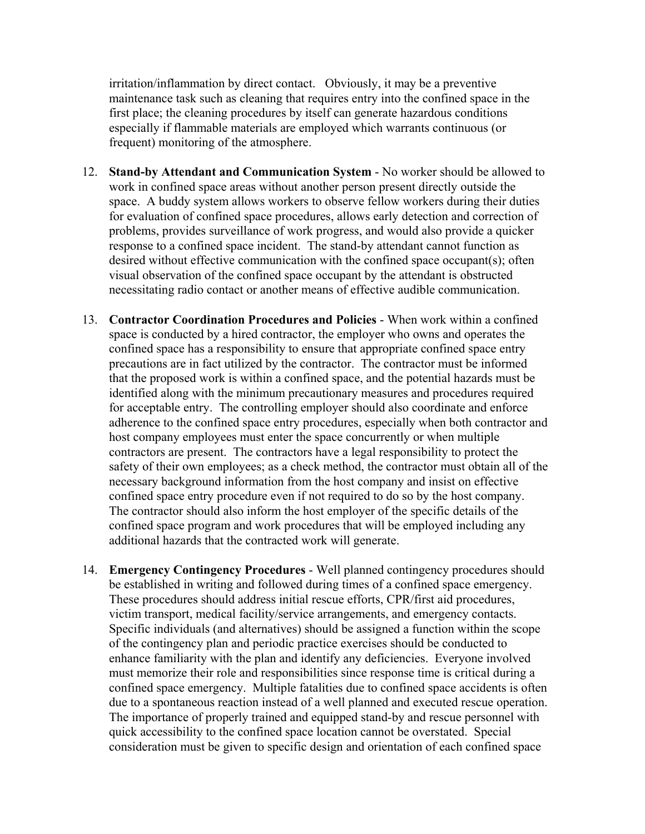irritation/inflammation by direct contact. Obviously, it may be a preventive maintenance task such as cleaning that requires entry into the confined space in the first place; the cleaning procedures by itself can generate hazardous conditions especially if flammable materials are employed which warrants continuous (or frequent) monitoring of the atmosphere.

- 12. **Stand-by Attendant and Communication System** No worker should be allowed to work in confined space areas without another person present directly outside the space. A buddy system allows workers to observe fellow workers during their duties for evaluation of confined space procedures, allows early detection and correction of problems, provides surveillance of work progress, and would also provide a quicker response to a confined space incident. The stand-by attendant cannot function as desired without effective communication with the confined space occupant(s); often visual observation of the confined space occupant by the attendant is obstructed necessitating radio contact or another means of effective audible communication.
- 13. **Contractor Coordination Procedures and Policies** When work within a confined space is conducted by a hired contractor, the employer who owns and operates the confined space has a responsibility to ensure that appropriate confined space entry precautions are in fact utilized by the contractor. The contractor must be informed that the proposed work is within a confined space, and the potential hazards must be identified along with the minimum precautionary measures and procedures required for acceptable entry. The controlling employer should also coordinate and enforce adherence to the confined space entry procedures, especially when both contractor and host company employees must enter the space concurrently or when multiple contractors are present. The contractors have a legal responsibility to protect the safety of their own employees; as a check method, the contractor must obtain all of the necessary background information from the host company and insist on effective confined space entry procedure even if not required to do so by the host company. The contractor should also inform the host employer of the specific details of the confined space program and work procedures that will be employed including any additional hazards that the contracted work will generate.
- 14. **Emergency Contingency Procedures** Well planned contingency procedures should be established in writing and followed during times of a confined space emergency. These procedures should address initial rescue efforts, CPR/first aid procedures, victim transport, medical facility/service arrangements, and emergency contacts. Specific individuals (and alternatives) should be assigned a function within the scope of the contingency plan and periodic practice exercises should be conducted to enhance familiarity with the plan and identify any deficiencies. Everyone involved must memorize their role and responsibilities since response time is critical during a confined space emergency. Multiple fatalities due to confined space accidents is often due to a spontaneous reaction instead of a well planned and executed rescue operation. The importance of properly trained and equipped stand-by and rescue personnel with quick accessibility to the confined space location cannot be overstated. Special consideration must be given to specific design and orientation of each confined space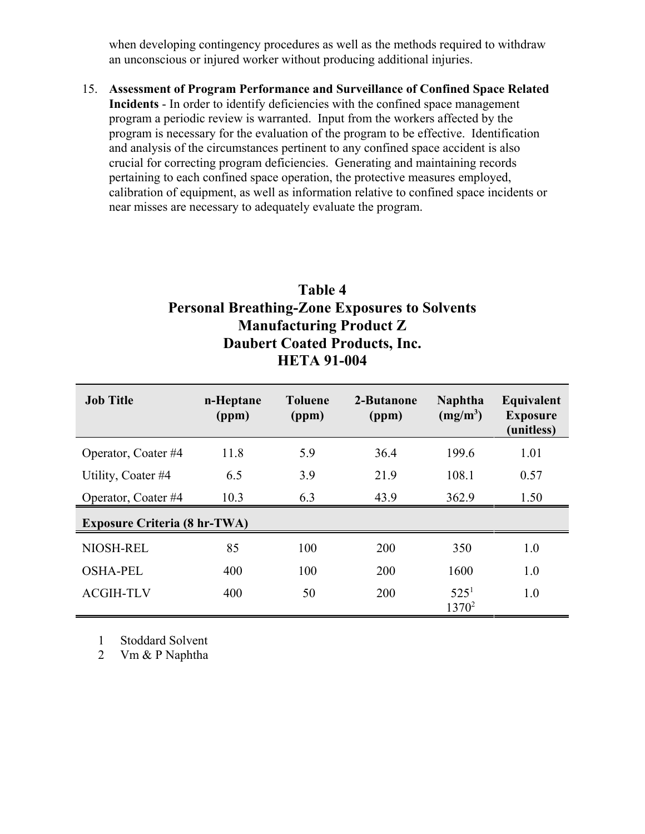when developing contingency procedures as well as the methods required to withdraw an unconscious or injured worker without producing additional injuries.

15. **Assessment of Program Performance and Surveillance of Confined Space Related Incidents** - In order to identify deficiencies with the confined space management program a periodic review is warranted. Input from the workers affected by the program is necessary for the evaluation of the program to be effective. Identification and analysis of the circumstances pertinent to any confined space accident is also crucial for correcting program deficiencies. Generating and maintaining records pertaining to each confined space operation, the protective measures employed, calibration of equipment, as well as information relative to confined space incidents or near misses are necessary to adequately evaluate the program.

# **Table 4 Personal Breathing-Zone Exposures to Solvents Manufacturing Product Z Daubert Coated Products, Inc. HETA 91-004**

| <b>Job Title</b>                    | n-Heptane<br>(ppm) | <b>Toluene</b><br>(ppm) | 2-Butanone<br>(ppm) | <b>Naphtha</b><br>$(mg/m^3)$ | Equivalent<br><b>Exposure</b><br>(unitless) |  |
|-------------------------------------|--------------------|-------------------------|---------------------|------------------------------|---------------------------------------------|--|
| Operator, Coater #4                 | 11.8               | 5.9                     | 36.4                | 199.6                        | 1.01                                        |  |
| Utility, Coater #4                  | 6.5                | 3.9                     | 21.9                | 108.1                        | 0.57                                        |  |
| Operator, Coater #4                 | 10.3               | 6.3                     | 43.9                | 362.9                        | 1.50                                        |  |
| <b>Exposure Criteria (8 hr-TWA)</b> |                    |                         |                     |                              |                                             |  |
| NIOSH-REL                           | 85                 | 100                     | 200                 | 350                          | 1.0                                         |  |
| <b>OSHA-PEL</b>                     | 400                | 100                     | 200                 | 1600                         | 1.0                                         |  |
| <b>ACGIH-TLV</b>                    | 400                | 50                      | 200                 | 525 <sup>1</sup><br>$1370^2$ | 1.0                                         |  |

1 Stoddard Solvent

2 Vm & P Naphtha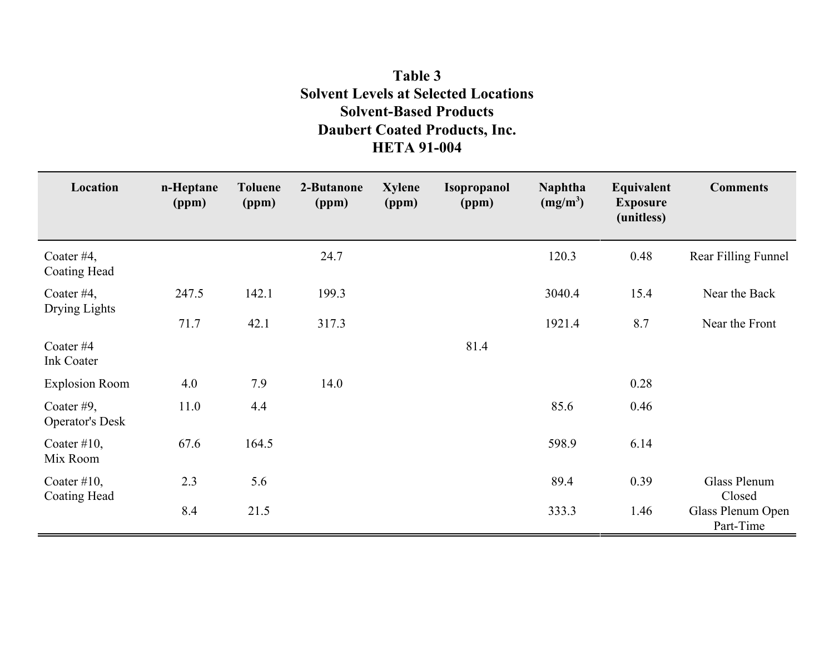# **Table 3 Solvent Levels at Selected Locations Solvent-Based Products Daubert Coated Products, Inc. HETA 91-004**

| Location                             | n-Heptane<br>(ppm) | <b>Toluene</b><br>(ppm) | 2-Butanone<br>(ppm) | <b>Xylene</b><br>(ppm) | <b>Isopropanol</b><br>(ppm) | <b>Naphtha</b><br>$(mg/m^3)$ | Equivalent<br><b>Exposure</b><br>(unitless) | <b>Comments</b>                |
|--------------------------------------|--------------------|-------------------------|---------------------|------------------------|-----------------------------|------------------------------|---------------------------------------------|--------------------------------|
| Coater $#4$ ,<br>Coating Head        |                    |                         | 24.7                |                        |                             | 120.3                        | 0.48                                        | Rear Filling Funnel            |
| Coater #4,<br>Drying Lights          | 247.5              | 142.1                   | 199.3               |                        |                             | 3040.4                       | 15.4                                        | Near the Back                  |
|                                      | 71.7               | 42.1                    | 317.3               |                        |                             | 1921.4                       | 8.7                                         | Near the Front                 |
| Coater# $44$<br><b>Ink Coater</b>    |                    |                         |                     |                        | 81.4                        |                              |                                             |                                |
| <b>Explosion Room</b>                | 4.0                | 7.9                     | 14.0                |                        |                             |                              | 0.28                                        |                                |
| Coater #9,<br><b>Operator's Desk</b> | 11.0               | 4.4                     |                     |                        |                             | 85.6                         | 0.46                                        |                                |
| Coater $#10$ ,<br>Mix Room           | 67.6               | 164.5                   |                     |                        |                             | 598.9                        | 6.14                                        |                                |
| Coater $#10$ ,<br>Coating Head       | 2.3                | 5.6                     |                     |                        |                             | 89.4                         | 0.39                                        | Glass Plenum<br>Closed         |
|                                      | 8.4                | 21.5                    |                     |                        |                             | 333.3                        | 1.46                                        | Glass Plenum Open<br>Part-Time |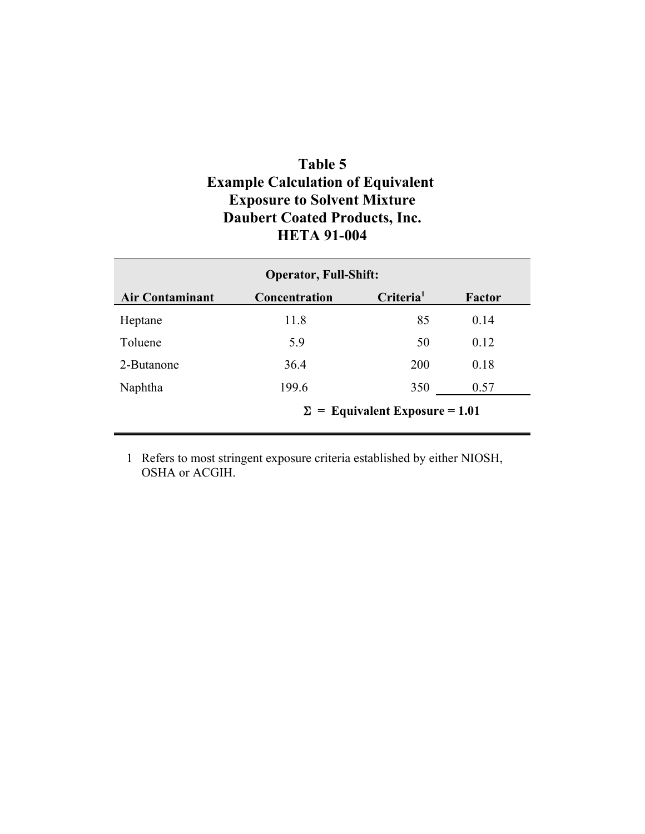# **Table 5 Example Calculation of Equivalent Exposure to Solvent Mixture Daubert Coated Products, Inc. HETA 91-004**

| <b>Operator, Full-Shift:</b>          |               |                       |        |  |  |
|---------------------------------------|---------------|-----------------------|--------|--|--|
| <b>Air Contaminant</b>                | Concentration | Criteria <sup>1</sup> | Factor |  |  |
| Heptane                               | 11.8          | 85                    | 0.14   |  |  |
| Toluene                               | 5.9           | 50                    | 0.12   |  |  |
| 2-Butanone                            | 36.4          | <b>200</b>            | 0.18   |  |  |
| Naphtha                               | 199.6         | 350                   | 0.57   |  |  |
| $\Sigma$ = Equivalent Exposure = 1.01 |               |                       |        |  |  |

1 Refers to most stringent exposure criteria established by either NIOSH, OSHA or ACGIH.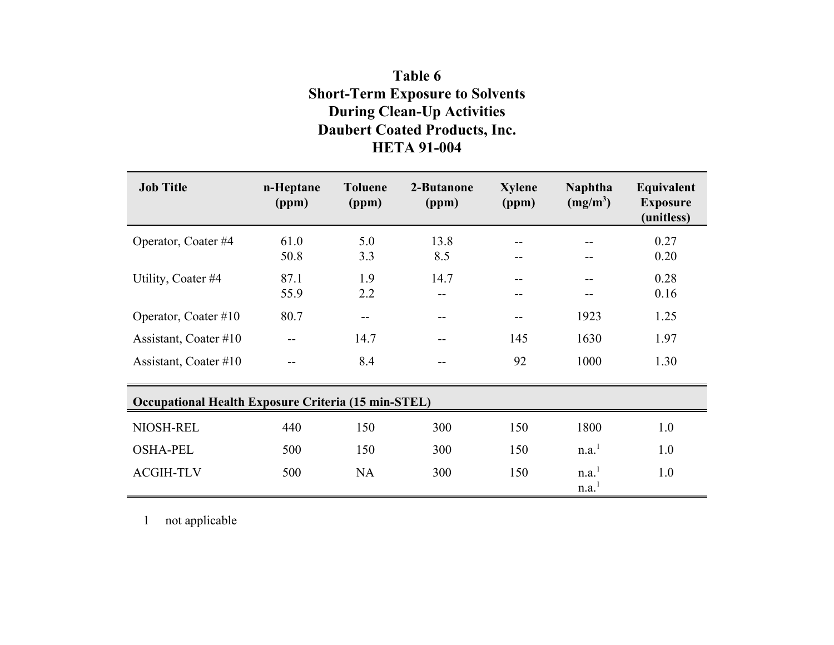# **Table 6 Short-Term Exposure to Solvents During Clean-Up Activities Daubert Coated Products, Inc. HETA 91-004**

| <b>Job Title</b>                                           | n-Heptane<br>(ppm) | <b>Toluene</b><br>(ppm) | 2-Butanone<br>(ppm) | <b>Xylene</b><br>(ppm) | <b>Naphtha</b><br>$(mg/m^3)$ | Equivalent<br><b>Exposure</b><br>(unitless) |
|------------------------------------------------------------|--------------------|-------------------------|---------------------|------------------------|------------------------------|---------------------------------------------|
| Operator, Coater #4                                        | 61.0<br>50.8       | 5.0<br>3.3              | 13.8<br>8.5         | --                     | --                           | 0.27<br>0.20                                |
| Utility, Coater #4                                         | 87.1<br>55.9       | 1.9<br>2.2              | 14.7<br>--          | --<br>--               |                              | 0.28<br>0.16                                |
| Operator, Coater #10                                       | 80.7               | --                      | $ -$                | --                     | 1923                         | 1.25                                        |
| Assistant, Coater #10                                      |                    | 14.7                    | $-$                 | 145                    | 1630                         | 1.97                                        |
| Assistant, Coater #10                                      |                    | 8.4                     |                     | 92                     | 1000                         | 1.30                                        |
| <b>Occupational Health Exposure Criteria (15 min-STEL)</b> |                    |                         |                     |                        |                              |                                             |
| NIOSH-REL                                                  | 440                | 150                     | 300                 | 150                    | 1800                         | 1.0                                         |
| <b>OSHA-PEL</b>                                            | 500                | 150                     | 300                 | 150                    | n.a. <sup>1</sup>            | 1.0                                         |
| <b>ACGIH-TLV</b>                                           | 500                | <b>NA</b>               | 300                 | 150                    | n.a. <sup>1</sup><br>n.a.    | 1.0                                         |

1 not applicable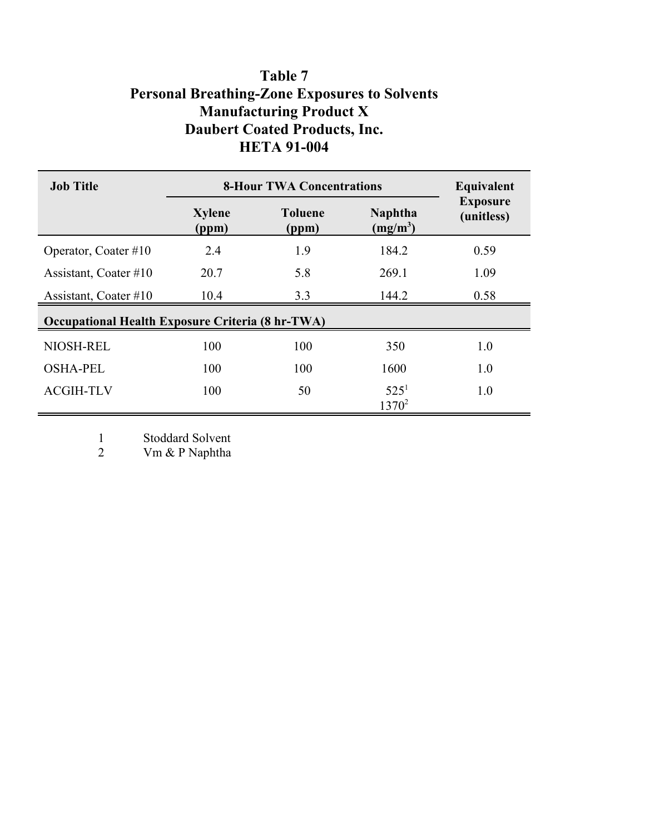# **Table 7 Personal Breathing-Zone Exposures to Solvents Manufacturing Product X Daubert Coated Products, Inc. HETA 91-004**

| <b>Job Title</b>                                        | <b>8-Hour TWA Concentrations</b> | Equivalent              |                              |                               |
|---------------------------------------------------------|----------------------------------|-------------------------|------------------------------|-------------------------------|
|                                                         | <b>Xylene</b><br>(ppm)           | <b>Toluene</b><br>(ppm) | <b>Naphtha</b><br>$(mg/m^3)$ | <b>Exposure</b><br>(unitless) |
| Operator, Coater $#10$                                  | 2.4                              | 1.9                     | 184.2                        | 0.59                          |
| Assistant, Coater #10                                   | 20.7                             | 5.8                     | 269.1                        | 1.09                          |
| Assistant, Coater #10                                   | 10.4                             | 3.3                     | 144.2                        | 0.58                          |
| <b>Occupational Health Exposure Criteria (8 hr-TWA)</b> |                                  |                         |                              |                               |
| NIOSH-REL                                               | 100                              | 100                     | 350                          | 1.0                           |
| <b>OSHA-PEL</b>                                         | 100                              | 100                     | 1600                         | 1.0                           |
| <b>ACGIH-TLV</b>                                        | 100                              | 50                      | 525 <sup>1</sup><br>$1370^2$ | 1.0                           |

1 Stoddard Solvent<br>2 Vm & P Naphtha

Vm & P Naphtha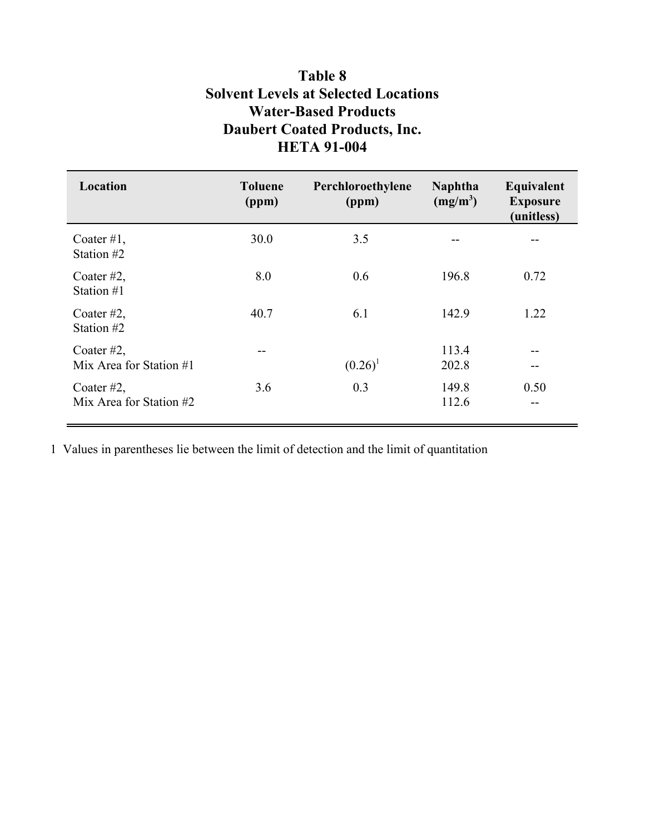# **Table 8 Solvent Levels at Selected Locations Water-Based Products Daubert Coated Products, Inc. HETA 91-004**

| Location                                 | <b>Toluene</b><br>(ppm) | Perchloroethylene<br>(ppm) | <b>Naphtha</b><br>$(mg/m^3)$ | Equivalent<br><b>Exposure</b><br>(unitless) |
|------------------------------------------|-------------------------|----------------------------|------------------------------|---------------------------------------------|
| Coater $#1$ ,<br>Station #2              | 30.0                    | 3.5                        |                              |                                             |
| Coater $#2$ ,<br>Station #1              | 8.0                     | 0.6                        | 196.8                        | 0.72                                        |
| Coater $#2$ ,<br>Station #2              | 40.7                    | 6.1                        | 142.9                        | 1.22                                        |
| Coater $#2$ ,<br>Mix Area for Station #1 | --                      | $(0.26)^1$                 | 113.4<br>202.8               | --<br>--                                    |
| Coater $#2$ ,<br>Mix Area for Station #2 | 3.6                     | 0.3                        | 149.8<br>112.6               | 0.50<br>--                                  |

1 Values in parentheses lie between the limit of detection and the limit of quantitation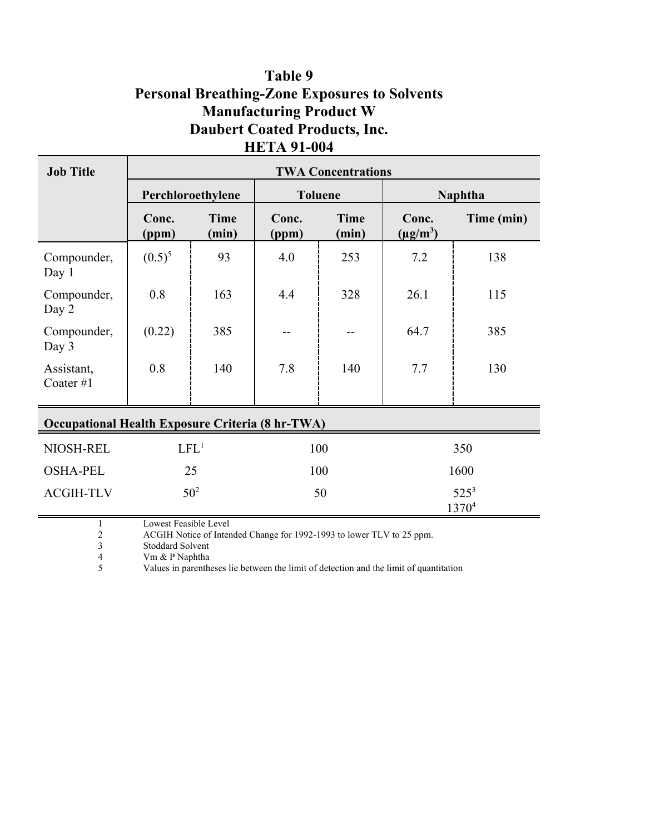# **Table 9 Personal Breathing-Zone Exposures to Solvents Manufacturing Product W Daubert Coated Products, Inc. HETA 91-004**

| <b>Job Title</b>                                        | <b>TWA Concentrations</b> |                      |                |                      |                        |                |
|---------------------------------------------------------|---------------------------|----------------------|----------------|----------------------|------------------------|----------------|
|                                                         |                           | Perchloroethylene    |                | <b>Toluene</b>       |                        | <b>Naphtha</b> |
|                                                         | Conc.<br>(ppm)            | <b>Time</b><br>(min) | Conc.<br>(ppm) | <b>Time</b><br>(min) | Conc.<br>$(\mu g/m^3)$ | Time (min)     |
| Compounder,<br>Day 1                                    | $(0.5)^5$                 | 93                   | 4.0            | 253                  | 7.2                    | 138            |
| Compounder,<br>Day 2                                    | 0.8                       | 163                  | 4.4            | 328                  | 26.1                   | 115            |
| Compounder,<br>Day 3                                    | (0.22)                    | 385                  |                |                      | 64.7                   | 385            |
| Assistant,<br>Coater#1                                  | 0.8                       | 140                  | 7.8            | 140                  | 7.7                    | 130            |
|                                                         |                           |                      |                |                      |                        |                |
| <b>Occupational Health Exposure Criteria (8 hr-TWA)</b> |                           |                      |                |                      |                        |                |
| NIOSH-REL                                               | LFL <sup>1</sup>          |                      | 100            |                      | 350                    |                |
| <b>OSHA-PEL</b>                                         | 25                        |                      | 100            |                      | 1600                   |                |
| <b>ACGIH-TLV</b>                                        |                           | 50 <sup>2</sup>      | 50             |                      | $525^3$<br>13704       |                |

1 Lowest Feasible Level<br>2 ACGIH Notice of Inten

2 ACGIH Notice of Intended Change for 1992-1993 to lower TLV to 25 ppm.<br>
Stoddard Solvent

3 Stoddard Solvent<br>4 Vm & P Naphtha

4 Vm & P Naphtha<br>5 Values in parenth

Values in parentheses lie between the limit of detection and the limit of quantitation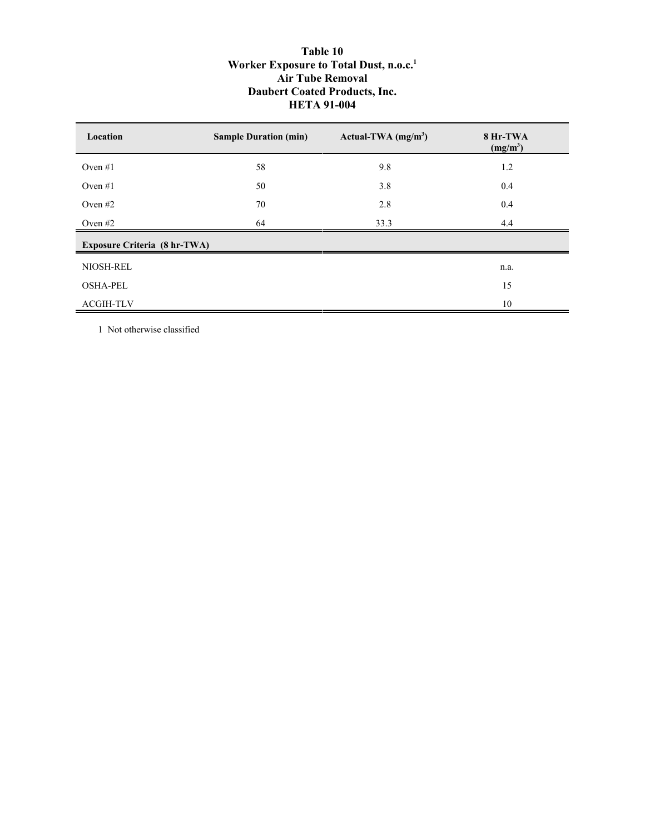## **Table 10 Worker Exposure to Total Dust, n.o.c.1 Air Tube Removal Daubert Coated Products, Inc. HETA 91-004**

| Location                            | <b>Sample Duration (min)</b> | Actual-TWA $(mg/m3)$ | 8 Hr-TWA<br>$(mg/m^3)$ |
|-------------------------------------|------------------------------|----------------------|------------------------|
| Oven $#1$                           | 58                           | 9.8                  | 1.2                    |
| Oven $#1$                           | 50                           | 3.8                  | 0.4                    |
| Oven $#2$                           | 70                           | 2.8                  | 0.4                    |
| Oven $#2$                           | 64                           | 33.3                 | 4.4                    |
| <b>Exposure Criteria (8 hr-TWA)</b> |                              |                      |                        |
| NIOSH-REL                           |                              |                      | n.a.                   |
| <b>OSHA-PEL</b>                     |                              |                      | 15                     |
| <b>ACGIH-TLV</b>                    |                              |                      | 10                     |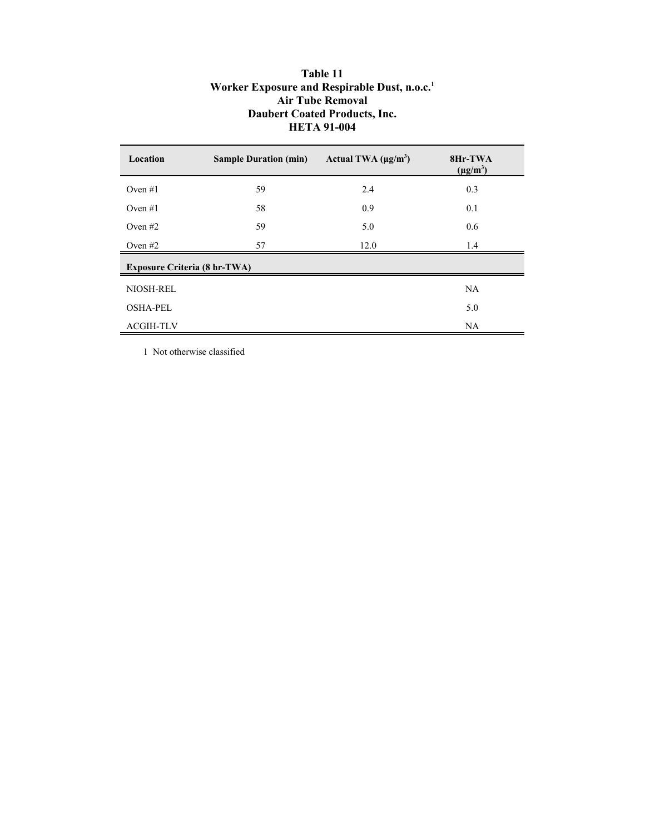## **Table 11 Worker Exposure and Respirable Dust, n.o.c.1 Air Tube Removal Daubert Coated Products, Inc. HETA 91-004**

| Location                            | <b>Sample Duration (min)</b> | Actual TWA $(\mu g/m^3)$ | 8Hr-TWA<br>$(\mu g/m^3)$ |
|-------------------------------------|------------------------------|--------------------------|--------------------------|
| Oven $#1$                           | 59                           | 2.4                      | 0.3                      |
| Oven $#1$                           | 58                           | 0.9                      | 0.1                      |
| Oven $#2$                           | 59                           | 5.0                      | 0.6                      |
| Oven $#2$                           | 57                           | 12.0                     | 1.4                      |
| <b>Exposure Criteria (8 hr-TWA)</b> |                              |                          |                          |
| NIOSH-REL                           |                              |                          | NA                       |
| <b>OSHA-PEL</b>                     |                              |                          | 5.0                      |
| <b>ACGIH-TLV</b>                    |                              |                          | NA.                      |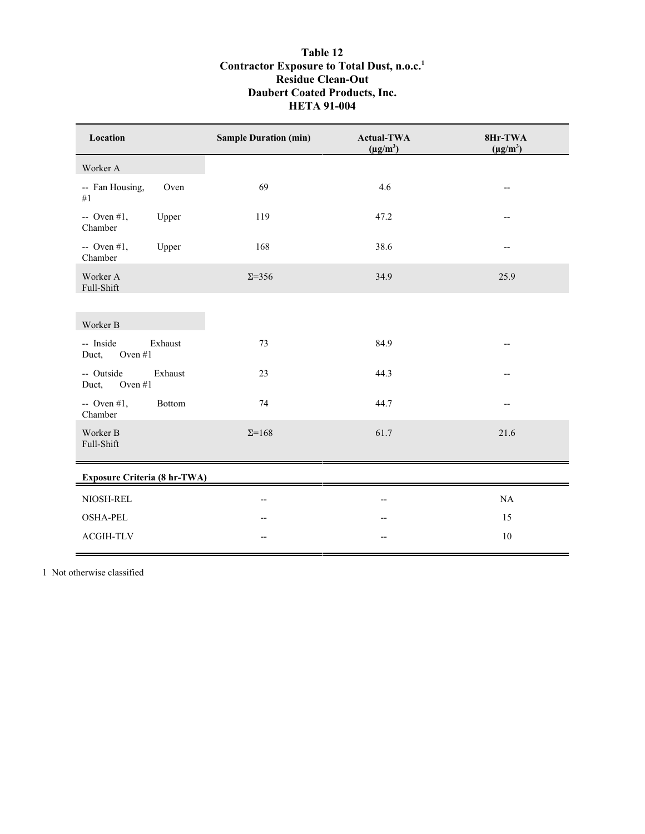## **Table 12 Contractor Exposure to Total Dust, n.o.c.1 Residue Clean-Out Daubert Coated Products, Inc. HETA 91-004**

| Location                                 |         | <b>Sample Duration (min)</b> | <b>Actual-TWA</b><br>$(\mu g/m^3)$ | 8Hr-TWA<br>$(\mu g/m^3)$ |
|------------------------------------------|---------|------------------------------|------------------------------------|--------------------------|
| Worker A                                 |         |                              |                                    |                          |
| -- Fan Housing,<br>#1                    | Oven    | 69                           | 4.6                                | $\overline{\phantom{a}}$ |
| $\sim$ Oven #1,<br>Chamber               | Upper   | 119                          | 47.2                               | --                       |
| $\sim$ Oven #1,<br>Chamber               | Upper   | 168                          | 38.6                               | $-$                      |
| Worker A<br>Full-Shift                   |         | $\Sigma = 356$               | 34.9                               | 25.9                     |
|                                          |         |                              |                                    |                          |
| Worker B                                 |         |                              |                                    |                          |
| -- Inside<br>Exhaust<br>Oven #1<br>Duct, |         | 73                           | 84.9                               | $\overline{\phantom{a}}$ |
| -- Outside<br>Oven #1<br>Duct,           | Exhaust | 23                           | 44.3                               | --                       |
| $-$ Oven #1,<br>Bottom<br>Chamber        |         | 74                           | 44.7                               | $-$                      |
| Worker B<br>Full-Shift                   |         | $\Sigma = 168$               | 61.7                               | 21.6                     |
| <b>Exposure Criteria (8 hr-TWA)</b>      |         |                              |                                    |                          |
| NIOSH-REL                                |         | $\overline{\phantom{a}}$     | $-$                                | NA                       |
| <b>OSHA-PEL</b>                          |         |                              |                                    | 15                       |
| <b>ACGIH-TLV</b>                         |         | --                           |                                    | 10                       |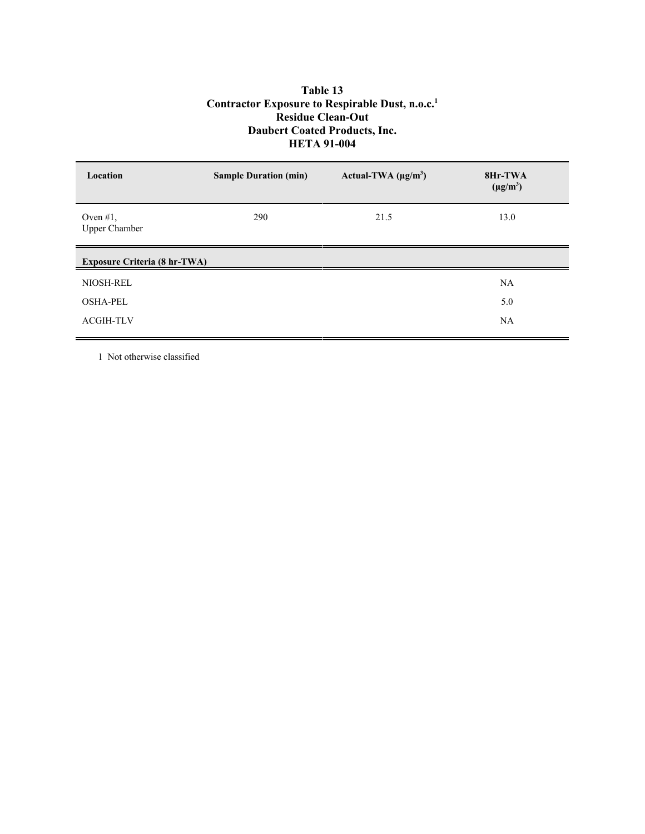## **Table 13 Contractor Exposure to Respirable Dust, n.o.c.1 Residue Clean-Out Daubert Coated Products, Inc. HETA 91-004**

| Location                            | <b>Sample Duration (min)</b> | Actual-TWA $(\mu g/m^3)$ | 8Hr-TWA<br>$(\mu g/m^3)$ |
|-------------------------------------|------------------------------|--------------------------|--------------------------|
| Oven $#1$ ,<br><b>Upper Chamber</b> | 290                          | 21.5                     | 13.0                     |
| <b>Exposure Criteria (8 hr-TWA)</b> |                              |                          |                          |
| NIOSH-REL                           |                              |                          | NA                       |
| <b>OSHA-PEL</b>                     |                              |                          | 5.0                      |
| <b>ACGIH-TLV</b>                    |                              |                          | NA                       |
|                                     |                              |                          |                          |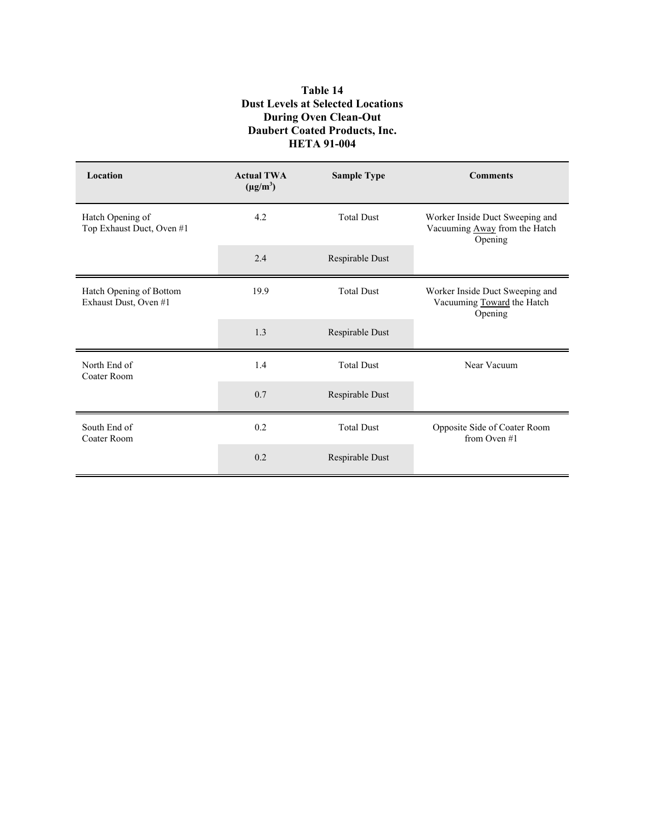## **Table 14 Dust Levels at Selected Locations During Oven Clean-Out Daubert Coated Products, Inc. HETA 91-004**

| Location                                         | <b>Actual TWA</b><br>$(\mu g/m^3)$ | <b>Sample Type</b> | <b>Comments</b>                                                             |  |
|--------------------------------------------------|------------------------------------|--------------------|-----------------------------------------------------------------------------|--|
| Hatch Opening of<br>Top Exhaust Duct, Oven #1    | 4.2                                | <b>Total Dust</b>  | Worker Inside Duct Sweeping and<br>Vacuuming Away from the Hatch<br>Opening |  |
|                                                  | 2.4                                | Respirable Dust    |                                                                             |  |
| Hatch Opening of Bottom<br>Exhaust Dust, Oven #1 | 19.9                               | <b>Total Dust</b>  | Worker Inside Duct Sweeping and<br>Vacuuming Toward the Hatch<br>Opening    |  |
|                                                  | 1.3                                | Respirable Dust    |                                                                             |  |
| North End of<br>Coater Room                      | 1.4                                | <b>Total Dust</b>  | Near Vacuum                                                                 |  |
|                                                  | 0.7                                | Respirable Dust    |                                                                             |  |
| South End of<br>Coater Room                      | 0.2                                | <b>Total Dust</b>  | Opposite Side of Coater Room<br>from Oven $#1$                              |  |
|                                                  | 0.2                                | Respirable Dust    |                                                                             |  |